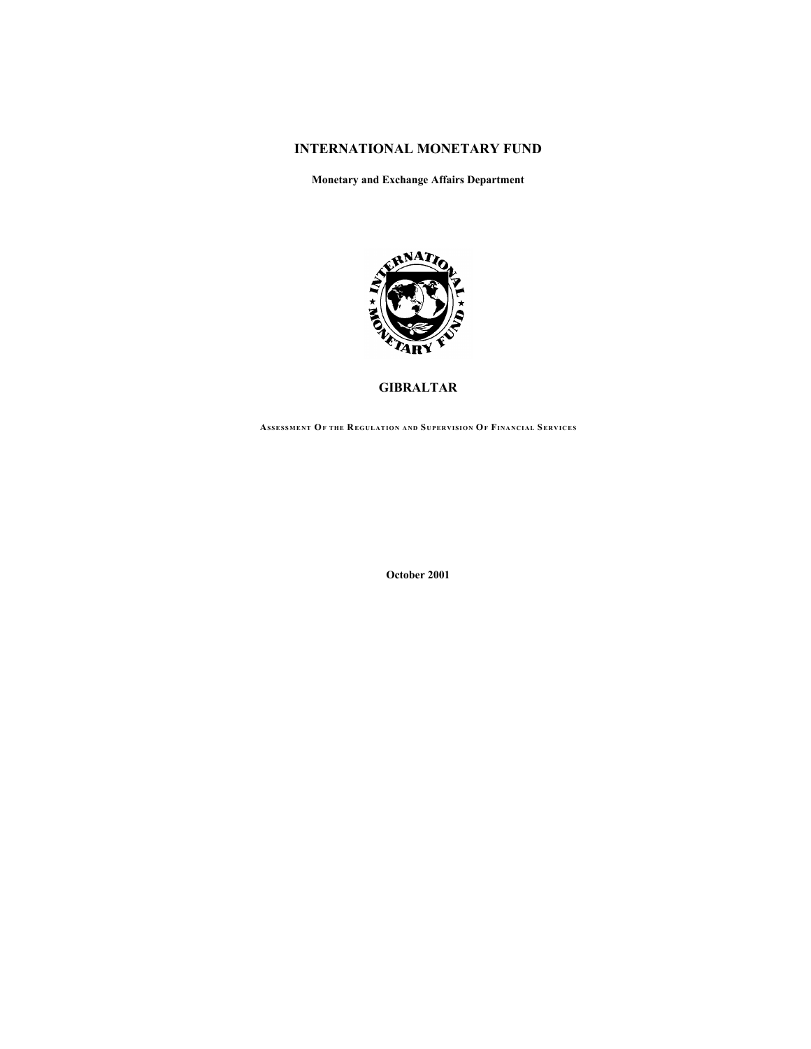# **INTERNATIONAL MONETARY FUND**

**Monetary and Exchange Affairs Department**



**GIBRALTAR**

**ASSESSMENT OF THE REGULATION AND SUPERVISION OF FINANCIAL SERVICES**

**October 2001**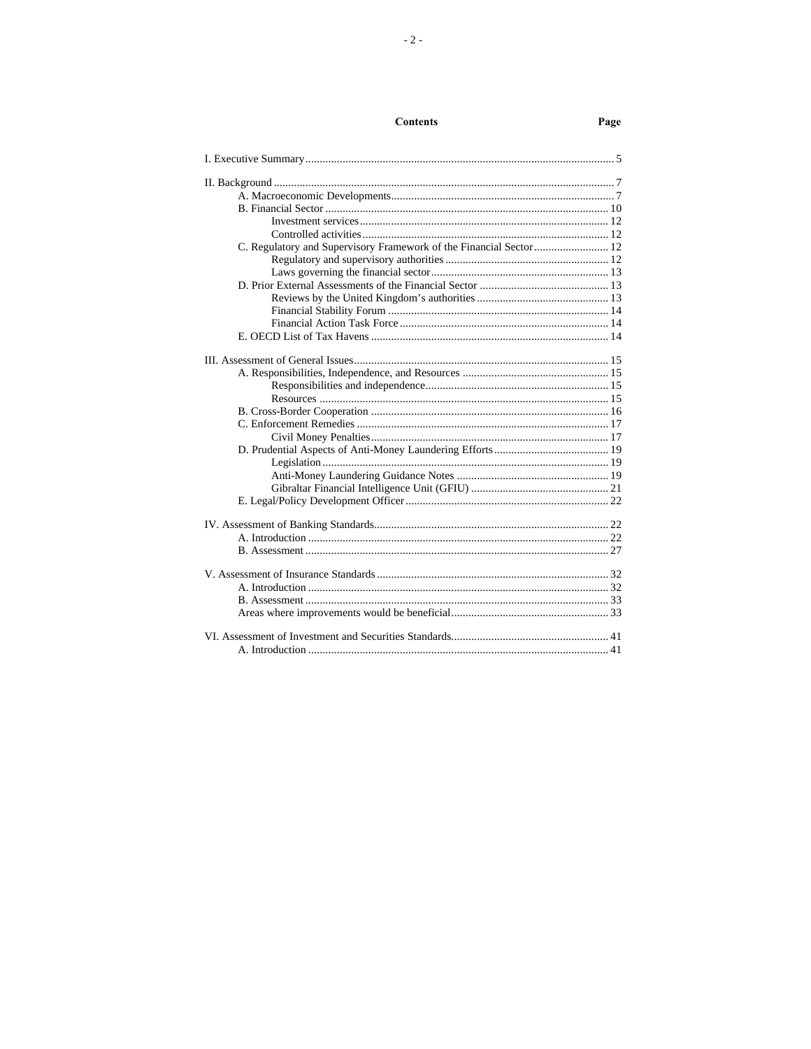# **Contents**

# Page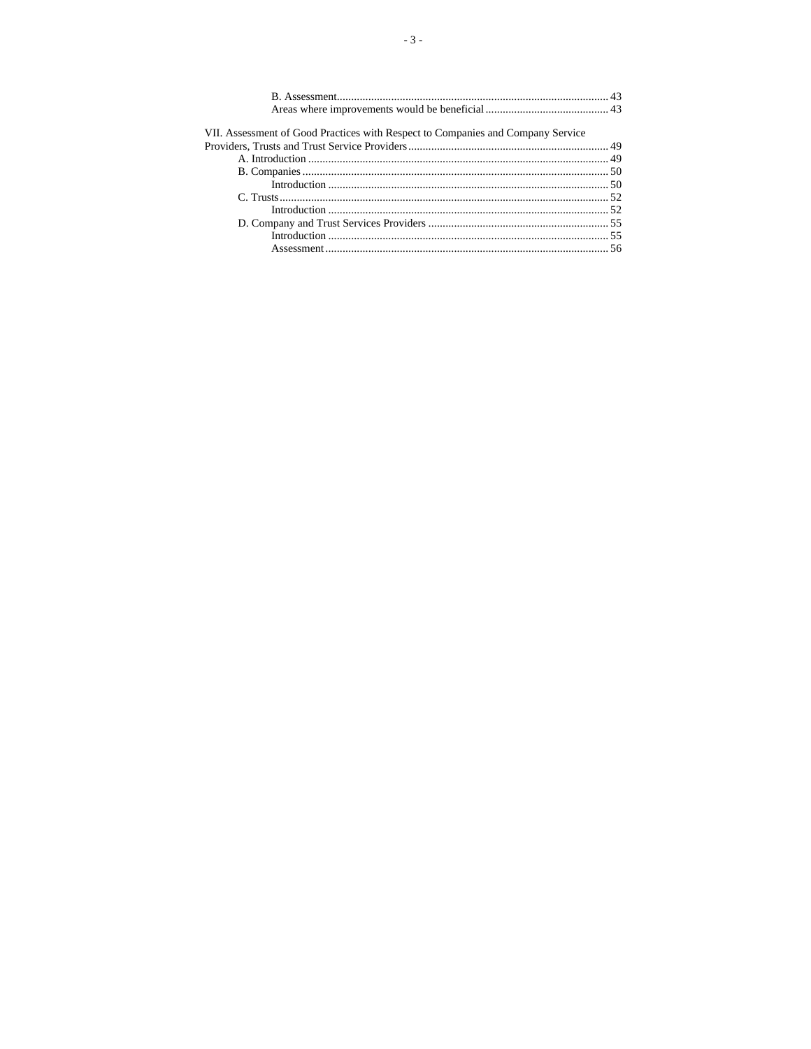| VII. Assessment of Good Practices with Respect to Companies and Company Service |  |
|---------------------------------------------------------------------------------|--|
|                                                                                 |  |
|                                                                                 |  |
|                                                                                 |  |
|                                                                                 |  |
|                                                                                 |  |
|                                                                                 |  |
|                                                                                 |  |
|                                                                                 |  |
|                                                                                 |  |
|                                                                                 |  |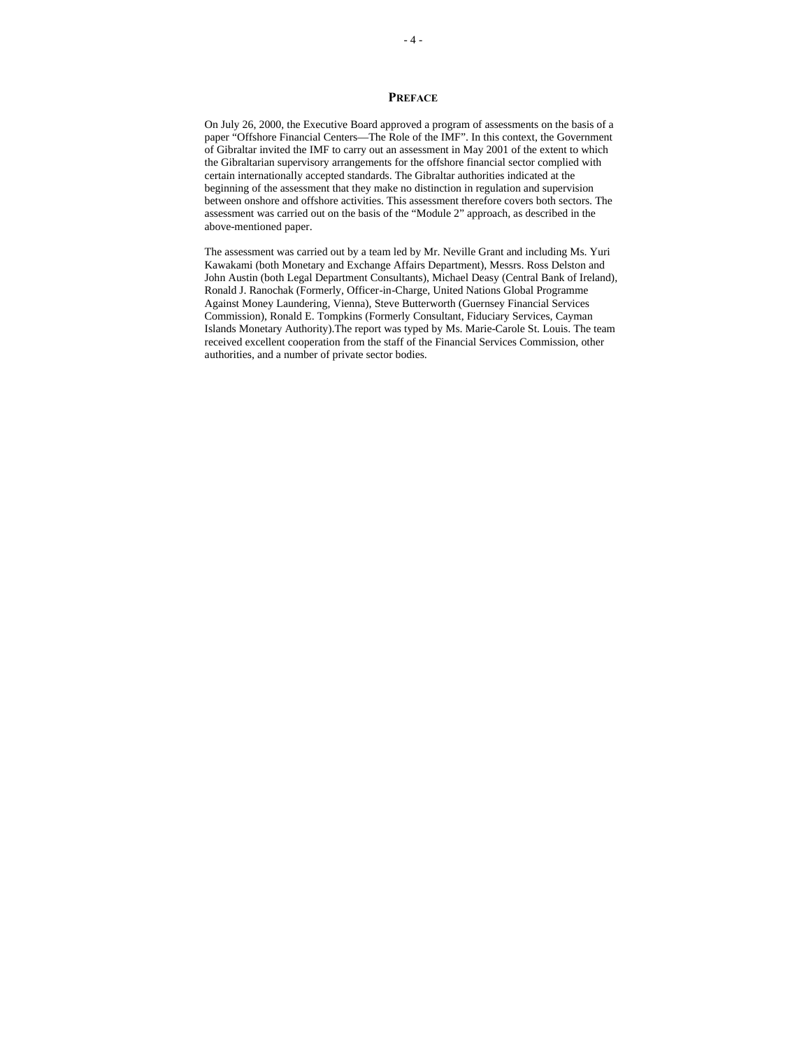## **PREFACE**

On July 26, 2000, the Executive Board approved a program of assessments on the basis of a paper "Offshore Financial Centers—The Role of the IMF". In this context, the Government of Gibraltar invited the IMF to carry out an assessment in May 2001 of the extent to which the Gibraltarian supervisory arrangements for the offshore financial sector complied with certain internationally accepted standards. The Gibraltar authorities indicated at the beginning of the assessment that they make no distinction in regulation and supervision between onshore and offshore activities. This assessment therefore covers both sectors. The assessment was carried out on the basis of the "Module 2" approach, as described in the above-mentioned paper.

The assessment was carried out by a team led by Mr. Neville Grant and including Ms. Yuri Kawakami (both Monetary and Exchange Affairs Department), Messrs. Ross Delston and John Austin (both Legal Department Consultants), Michael Deasy (Central Bank of Ireland), Ronald J. Ranochak (Formerly, Officer-in-Charge, United Nations Global Programme Against Money Laundering, Vienna), Steve Butterworth (Guernsey Financial Services Commission), Ronald E. Tompkins (Formerly Consultant, Fiduciary Services, Cayman Islands Monetary Authority).The report was typed by Ms. Marie-Carole St. Louis. The team received excellent cooperation from the staff of the Financial Services Commission, other authorities, and a number of private sector bodies.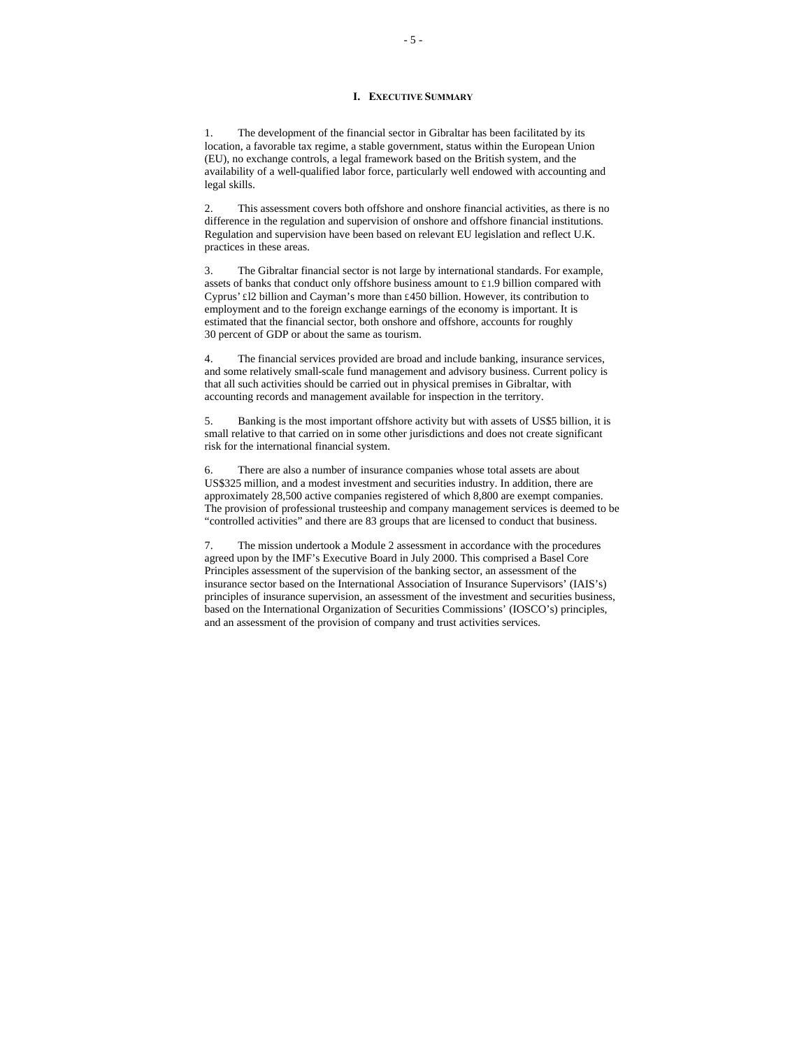#### **I. EXECUTIVE SUMMARY**

1. The development of the financial sector in Gibraltar has been facilitated by its location, a favorable tax regime, a stable government, status within the European Union (EU), no exchange controls, a legal framework based on the British system, and the availability of a well-qualified labor force, particularly well endowed with accounting and legal skills.

2. This assessment covers both offshore and onshore financial activities, as there is no difference in the regulation and supervision of onshore and offshore financial institutions. Regulation and supervision have been based on relevant EU legislation and reflect U.K. practices in these areas.

3. The Gibraltar financial sector is not large by international standards. For example, assets of banks that conduct only offshore business amount to £1.9 billion compared with Cyprus' £l2 billion and Cayman's more than £450 billion. However, its contribution to employment and to the foreign exchange earnings of the economy is important. It is estimated that the financial sector, both onshore and offshore, accounts for roughly 30 percent of GDP or about the same as tourism.

4. The financial services provided are broad and include banking, insurance services, and some relatively small-scale fund management and advisory business. Current policy is that all such activities should be carried out in physical premises in Gibraltar, with accounting records and management available for inspection in the territory.

5. Banking is the most important offshore activity but with assets of US\$5 billion, it is small relative to that carried on in some other jurisdictions and does not create significant risk for the international financial system.

6. There are also a number of insurance companies whose total assets are about US\$325 million, and a modest investment and securities industry. In addition, there are approximately 28,500 active companies registered of which 8,800 are exempt companies. The provision of professional trusteeship and company management services is deemed to be "controlled activities" and there are 83 groups that are licensed to conduct that business.

7. The mission undertook a Module 2 assessment in accordance with the procedures agreed upon by the IMF's Executive Board in July 2000. This comprised a Basel Core Principles assessment of the supervision of the banking sector, an assessment of the insurance sector based on the International Association of Insurance Supervisors' (IAIS's) principles of insurance supervision, an assessment of the investment and securities business, based on the International Organization of Securities Commissions' (IOSCO's) principles, and an assessment of the provision of company and trust activities services.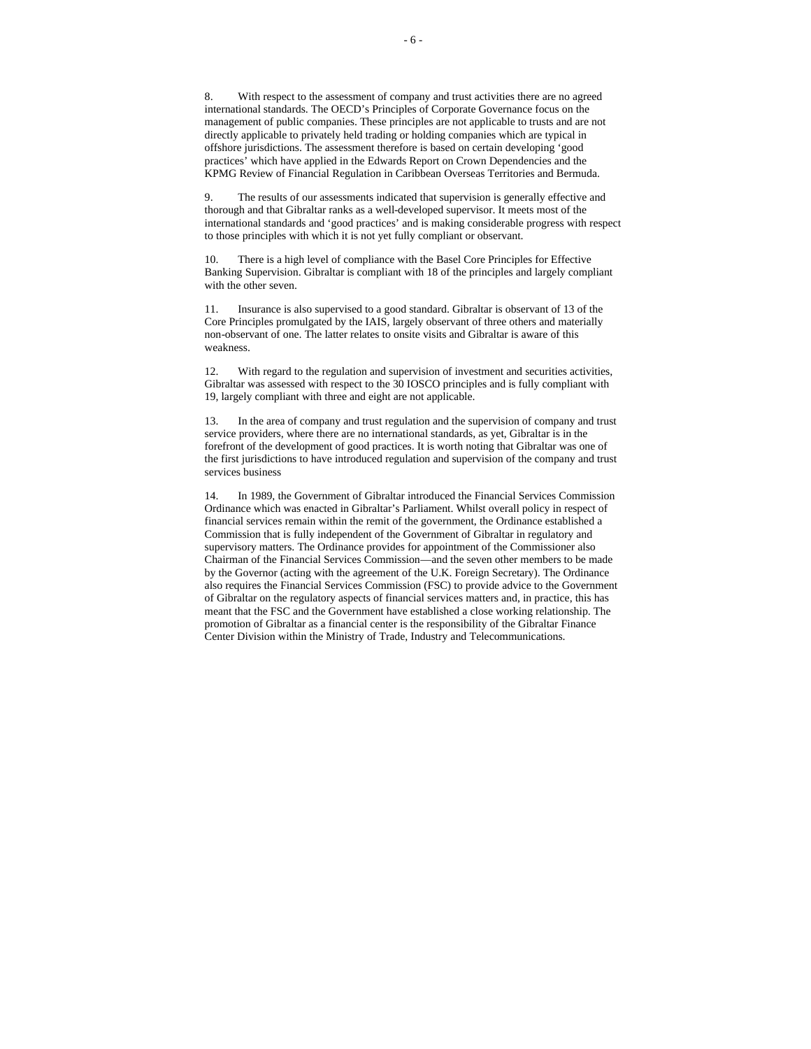8. With respect to the assessment of company and trust activities there are no agreed international standards. The OECD's Principles of Corporate Governance focus on the management of public companies. These principles are not applicable to trusts and are not directly applicable to privately held trading or holding companies which are typical in offshore jurisdictions. The assessment therefore is based on certain developing 'good practices' which have applied in the Edwards Report on Crown Dependencies and the KPMG Review of Financial Regulation in Caribbean Overseas Territories and Bermuda.

9. The results of our assessments indicated that supervision is generally effective and thorough and that Gibraltar ranks as a well-developed supervisor. It meets most of the international standards and 'good practices' and is making considerable progress with respect to those principles with which it is not yet fully compliant or observant.

10. There is a high level of compliance with the Basel Core Principles for Effective Banking Supervision. Gibraltar is compliant with 18 of the principles and largely compliant with the other seven.

11. Insurance is also supervised to a good standard. Gibraltar is observant of 13 of the Core Principles promulgated by the IAIS, largely observant of three others and materially non-observant of one. The latter relates to onsite visits and Gibraltar is aware of this weakness.

12. With regard to the regulation and supervision of investment and securities activities, Gibraltar was assessed with respect to the 30 IOSCO principles and is fully compliant with 19, largely compliant with three and eight are not applicable.

13. In the area of company and trust regulation and the supervision of company and trust service providers, where there are no international standards, as yet, Gibraltar is in the forefront of the development of good practices. It is worth noting that Gibraltar was one of the first jurisdictions to have introduced regulation and supervision of the company and trust services business

14. In 1989, the Government of Gibraltar introduced the Financial Services Commission Ordinance which was enacted in Gibraltar's Parliament. Whilst overall policy in respect of financial services remain within the remit of the government, the Ordinance established a Commission that is fully independent of the Government of Gibraltar in regulatory and supervisory matters. The Ordinance provides for appointment of the Commissioner also Chairman of the Financial Services Commission—and the seven other members to be made by the Governor (acting with the agreement of the U.K. Foreign Secretary). The Ordinance also requires the Financial Services Commission (FSC) to provide advice to the Government of Gibraltar on the regulatory aspects of financial services matters and, in practice, this has meant that the FSC and the Government have established a close working relationship. The promotion of Gibraltar as a financial center is the responsibility of the Gibraltar Finance Center Division within the Ministry of Trade, Industry and Telecommunications.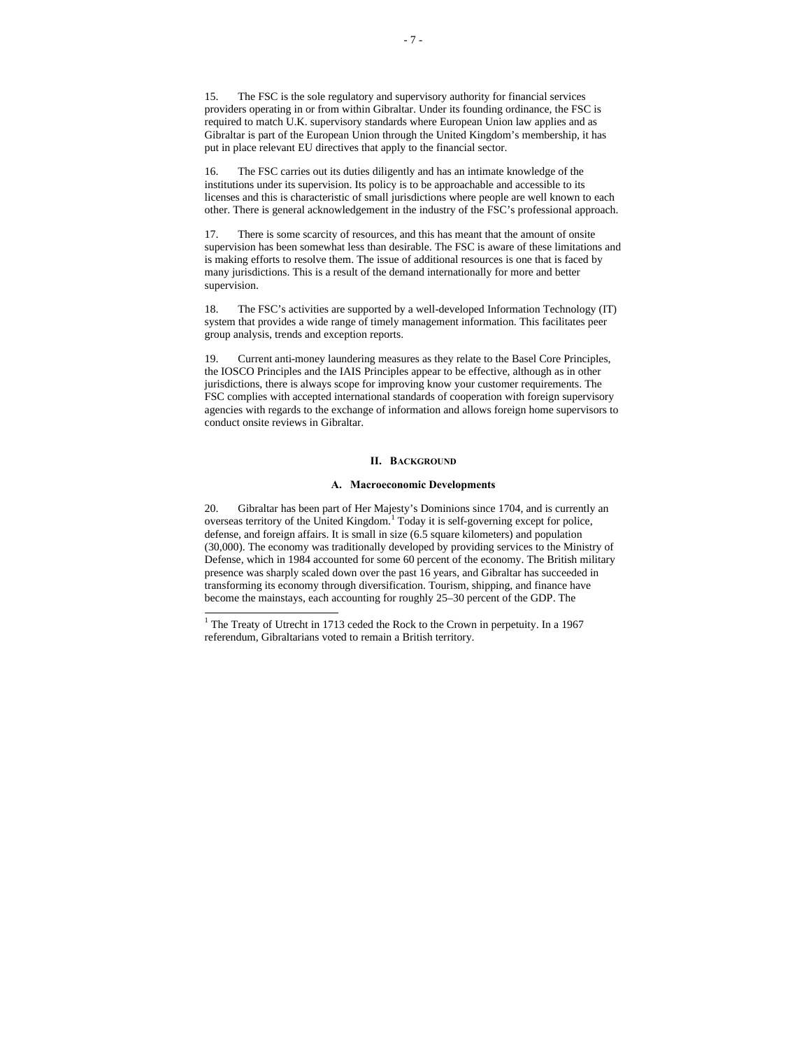15. The FSC is the sole regulatory and supervisory authority for financial services providers operating in or from within Gibraltar. Under its founding ordinance, the FSC is required to match U.K. supervisory standards where European Union law applies and as Gibraltar is part of the European Union through the United Kingdom's membership, it has put in place relevant EU directives that apply to the financial sector.

16. The FSC carries out its duties diligently and has an intimate knowledge of the institutions under its supervision. Its policy is to be approachable and accessible to its licenses and this is characteristic of small jurisdictions where people are well known to each other. There is general acknowledgement in the industry of the FSC's professional approach.

17. There is some scarcity of resources, and this has meant that the amount of onsite supervision has been somewhat less than desirable. The FSC is aware of these limitations and is making efforts to resolve them. The issue of additional resources is one that is faced by many jurisdictions. This is a result of the demand internationally for more and better supervision.

18. The FSC's activities are supported by a well-developed Information Technology (IT) system that provides a wide range of timely management information. This facilitates peer group analysis, trends and exception reports.

19. Current anti-money laundering measures as they relate to the Basel Core Principles, the IOSCO Principles and the IAIS Principles appear to be effective, although as in other jurisdictions, there is always scope for improving know your customer requirements. The FSC complies with accepted international standards of cooperation with foreign supervisory agencies with regards to the exchange of information and allows foreign home supervisors to conduct onsite reviews in Gibraltar.

#### **II. BACKGROUND**

# **A. Macroeconomic Developments**

20. Gibraltar has been part of Her Majesty's Dominions since 1704, and is currently an overseas territory of the United Kingdom.<sup>1</sup> Today it is self-governing except for police, defense, and foreign affairs. It is small in size (6.5 square kilometers) and population (30,000). The economy was traditionally developed by providing services to the Ministry of Defense, which in 1984 accounted for some 60 percent of the economy. The British military presence was sharply scaled down over the past 16 years, and Gibraltar has succeeded in transforming its economy through diversification. Tourism, shipping, and finance have become the mainstays, each accounting for roughly 25–30 percent of the GDP. The

 1 The Treaty of Utrecht in 1713 ceded the Rock to the Crown in perpetuity. In a 1967 referendum, Gibraltarians voted to remain a British territory.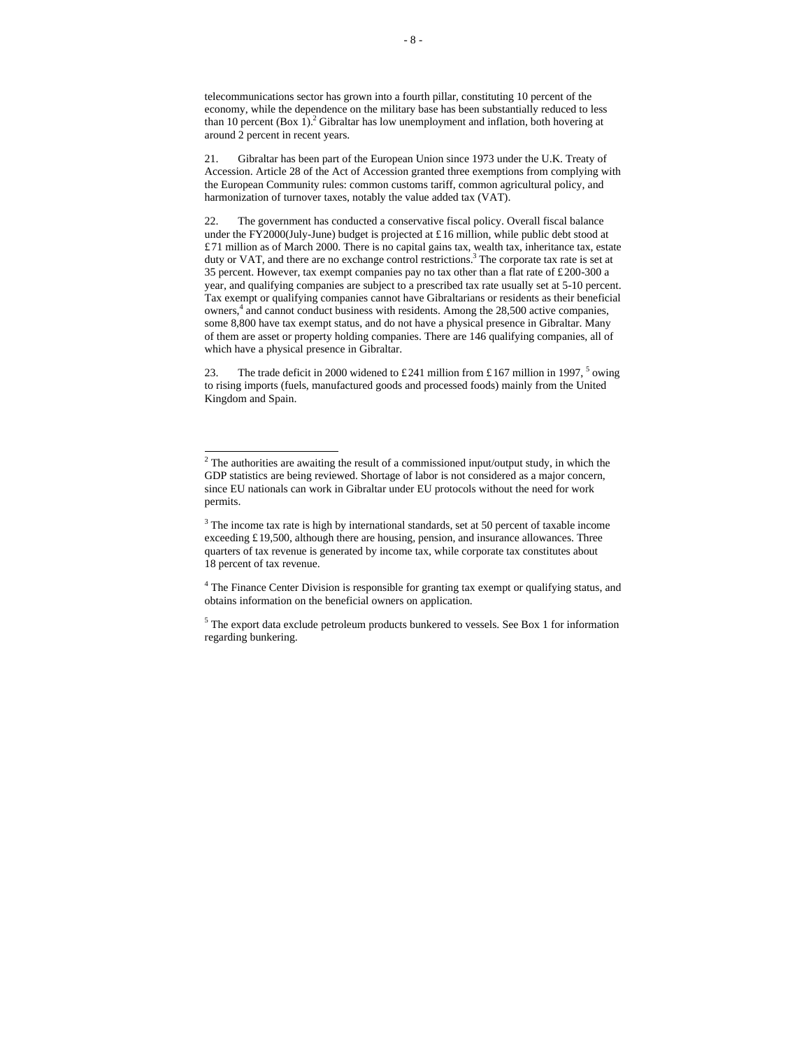telecommunications sector has grown into a fourth pillar, constituting 10 percent of the economy, while the dependence on the military base has been substantially reduced to less than 10 percent  $(Box 1)<sup>2</sup>$  Gibraltar has low unemployment and inflation, both hovering at around 2 percent in recent years.

21. Gibraltar has been part of the European Union since 1973 under the U.K. Treaty of Accession. Article 28 of the Act of Accession granted three exemptions from complying with the European Community rules: common customs tariff, common agricultural policy, and harmonization of turnover taxes, notably the value added tax (VAT).

22. The government has conducted a conservative fiscal policy. Overall fiscal balance under the FY2000(July-June) budget is projected at £16 million, while public debt stood at £71 million as of March 2000. There is no capital gains tax, wealth tax, inheritance tax, estate duty or VAT, and there are no exchange control restrictions.<sup>3</sup> The corporate tax rate is set at 35 percent. However, tax exempt companies pay no tax other than a flat rate of £200-300 a year, and qualifying companies are subject to a prescribed tax rate usually set at 5-10 percent. Tax exempt or qualifying companies cannot have Gibraltarians or residents as their beneficial owners,<sup>4</sup> and cannot conduct business with residents. Among the 28,500 active companies, some 8,800 have tax exempt status, and do not have a physical presence in Gibraltar. Many of them are asset or property holding companies. There are 146 qualifying companies, all of which have a physical presence in Gibraltar.

23. The trade deficit in 2000 widened to £241 million from £167 million in 1997,  $5$  owing to rising imports (fuels, manufactured goods and processed foods) mainly from the United Kingdom and Spain.

<sup>&</sup>lt;sup>2</sup> The authorities are awaiting the result of a commissioned input/output study, in which the GDP statistics are being reviewed. Shortage of labor is not considered as a major concern, since EU nationals can work in Gibraltar under EU protocols without the need for work permits.

 $3$  The income tax rate is high by international standards, set at 50 percent of taxable income exceeding £19,500, although there are housing, pension, and insurance allowances. Three quarters of tax revenue is generated by income tax, while corporate tax constitutes about 18 percent of tax revenue.

<sup>&</sup>lt;sup>4</sup> The Finance Center Division is responsible for granting tax exempt or qualifying status, and obtains information on the beneficial owners on application.

<sup>&</sup>lt;sup>5</sup> The export data exclude petroleum products bunkered to vessels. See Box 1 for information regarding bunkering.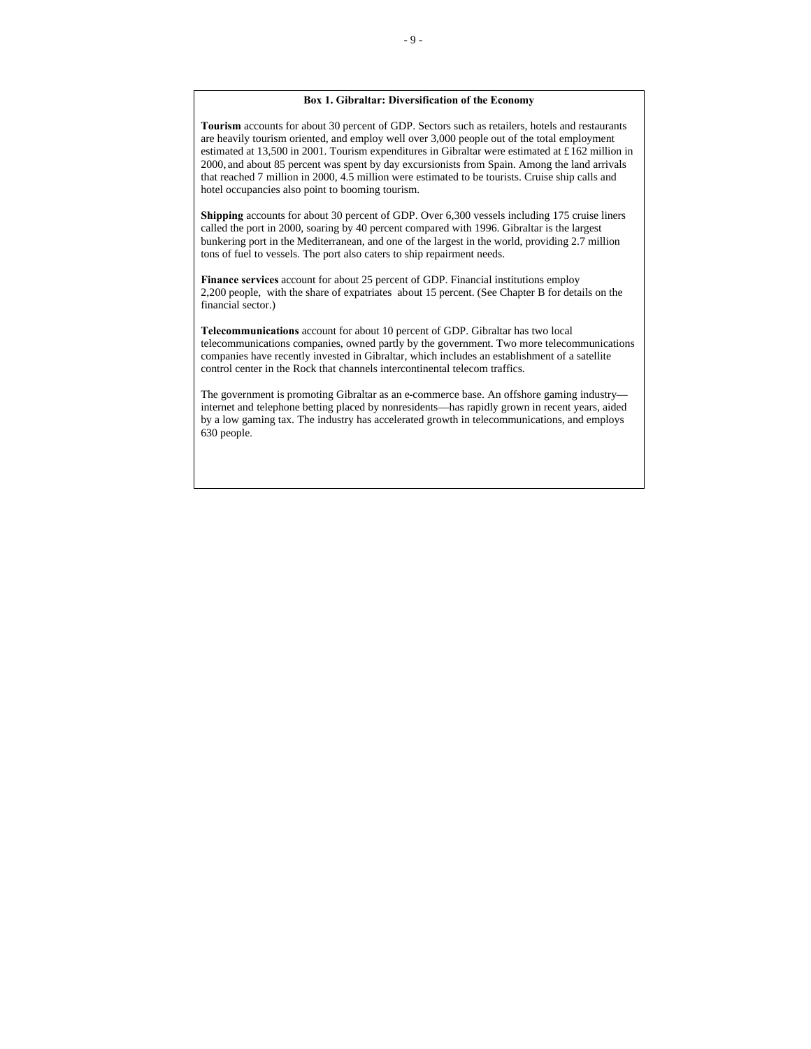# **Box 1. Gibraltar: Diversification of the Economy**

**Tourism** accounts for about 30 percent of GDP. Sectors such as retailers, hotels and restaurants are heavily tourism oriented, and employ well over 3,000 people out of the total employment estimated at 13,500 in 2001. Tourism expenditures in Gibraltar were estimated at £162 million in 2000, and about 85 percent was spent by day excursionists from Spain. Among the land arrivals that reached 7 million in 2000, 4.5 million were estimated to be tourists. Cruise ship calls and hotel occupancies also point to booming tourism.

**Shipping** accounts for about 30 percent of GDP. Over 6,300 vessels including 175 cruise liners called the port in 2000, soaring by 40 percent compared with 1996. Gibraltar is the largest bunkering port in the Mediterranean, and one of the largest in the world, providing 2.7 million tons of fuel to vessels. The port also caters to ship repairment needs.

**Finance services** account for about 25 percent of GDP. Financial institutions employ 2,200 people, with the share of expatriates about 15 percent. (See Chapter B for details on the financial sector.)

**Telecommunications** account for about 10 percent of GDP. Gibraltar has two local telecommunications companies, owned partly by the government. Two more telecommunications companies have recently invested in Gibraltar, which includes an establishment of a satellite control center in the Rock that channels intercontinental telecom traffics.

The government is promoting Gibraltar as an e-commerce base. An offshore gaming industry internet and telephone betting placed by nonresidents—has rapidly grown in recent years, aided by a low gaming tax. The industry has accelerated growth in telecommunications, and employs 630 people.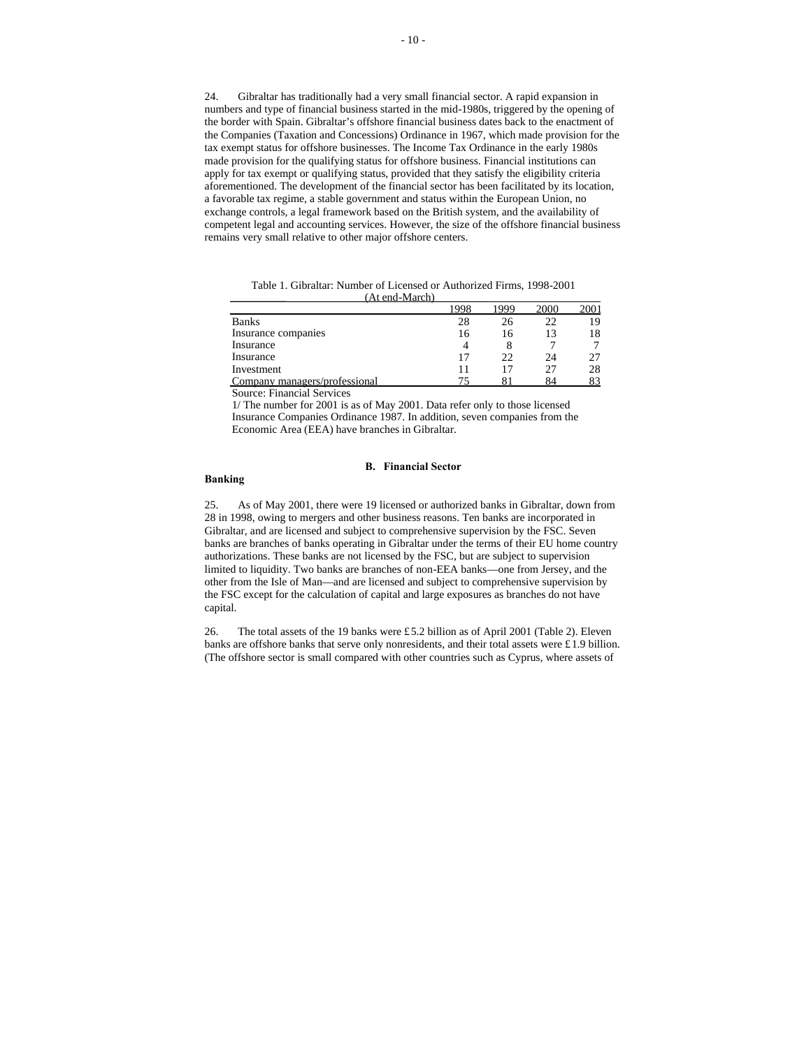24. Gibraltar has traditionally had a very small financial sector. A rapid expansion in numbers and type of financial business started in the mid-1980s, triggered by the opening of the border with Spain. Gibraltar's offshore financial business dates back to the enactment of the Companies (Taxation and Concessions) Ordinance in 1967, which made provision for the tax exempt status for offshore businesses. The Income Tax Ordinance in the early 1980s made provision for the qualifying status for offshore business. Financial institutions can apply for tax exempt or qualifying status, provided that they satisfy the eligibility criteria aforementioned. The development of the financial sector has been facilitated by its location, a favorable tax regime, a stable government and status within the European Union, no exchange controls, a legal framework based on the British system, and the availability of competent legal and accounting services. However, the size of the offshore financial business remains very small relative to other major offshore centers.

|                               | 1998 |    | 2000 | 200 <sub>1</sub> |
|-------------------------------|------|----|------|------------------|
| <b>Banks</b>                  | 28   | Ζh | 22   | 19               |
| Insurance companies           | 16   | 16 |      | 18               |
| Insurance                     |      |    |      |                  |
| Insurance                     | 17   | つつ | 24   |                  |
| Investment                    |      |    | 27   | 28               |
| Company managers/professional |      |    | 84   |                  |

Table 1. Gibraltar: Number of Licensed or Authorized Firms, 1998-2001 (At end-March)

Source: Financial Services

 $1/$  The number for 2001 is as of May 2001. Data refer only to those licensed Insurance Companies Ordinance 1987. In addition, seven companies from the Economic Area (EEA) have branches in Gibraltar.

# **B. Financial Sector**

# **Banking**

25. As of May 2001, there were 19 licensed or authorized banks in Gibraltar, down from 28 in 1998, owing to mergers and other business reasons. Ten banks are incorporated in Gibraltar, and are licensed and subject to comprehensive supervision by the FSC. Seven banks are branches of banks operating in Gibraltar under the terms of their EU home country authorizations. These banks are not licensed by the FSC, but are subject to supervision limited to liquidity. Two banks are branches of non-EEA banks—one from Jersey, and the other from the Isle of Man—and are licensed and subject to comprehensive supervision by the FSC except for the calculation of capital and large exposures as branches do not have capital.

26. The total assets of the 19 banks were £5.2 billion as of April 2001 (Table 2). Eleven banks are offshore banks that serve only nonresidents, and their total assets were £1.9 billion. (The offshore sector is small compared with other countries such as Cyprus, where assets of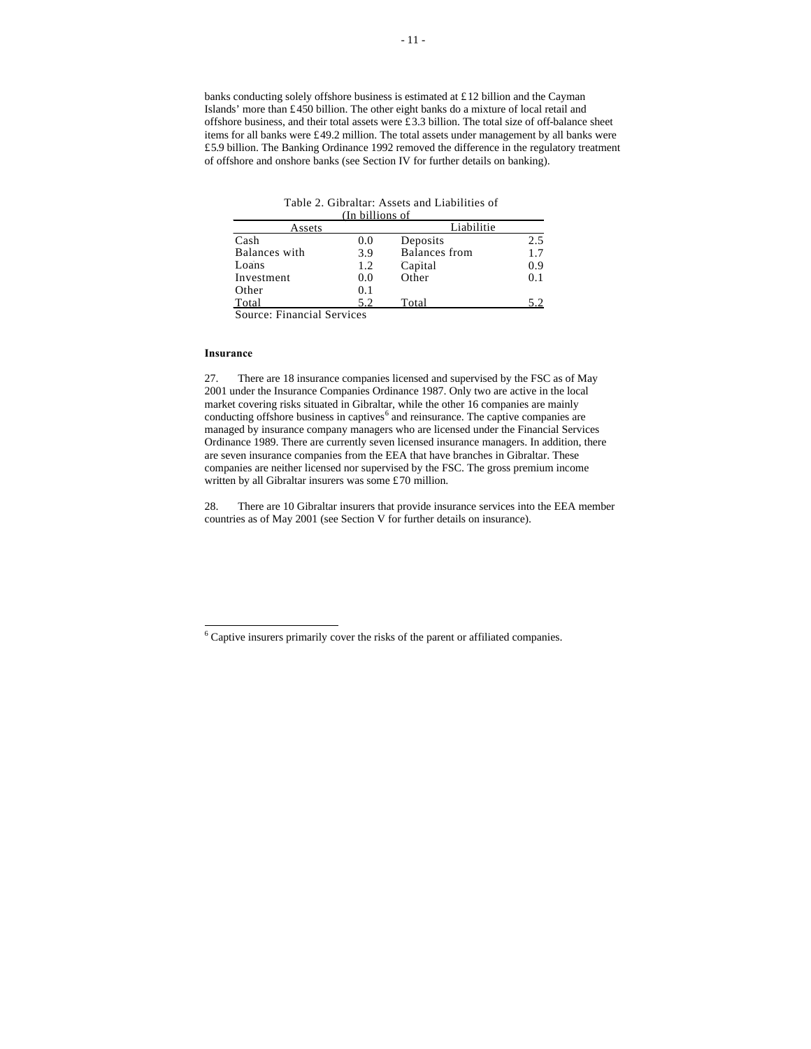banks conducting solely offshore business is estimated at £12 billion and the Cayman Islands' more than £450 billion. The other eight banks do a mixture of local retail and offshore business, and their total assets were £3.3 billion. The total size of off-balance sheet items for all banks were £49.2 million. The total assets under management by all banks were £5.9 billion. The Banking Ordinance 1992 removed the difference in the regulatory treatment of offshore and onshore banks (see Section IV for further details on banking).

#### (In billions of Table 2. Gibraltar: Assets and Liabilities of Banks

| Assets                 |     | Liabilitie           |     |
|------------------------|-----|----------------------|-----|
| Cash                   | 0.0 | Deposits             | 2.5 |
| Balances with          | 3.9 | <b>Balances</b> from | 1.7 |
| Loans                  | 1.2 | Capital              | 0.9 |
| Investment             | 0.0 | Other                | 0.1 |
| Other                  | 0.1 |                      |     |
| Total                  | 5.2 | Total                | 5.2 |
| $\sim$<br>--<br>$\sim$ |     |                      |     |

Source: Financial Services

### **Insurance**

27. There are 18 insurance companies licensed and supervised by the FSC as of May 2001 under the Insurance Companies Ordinance 1987. Only two are active in the local market covering risks situated in Gibraltar, while the other 16 companies are mainly conducting offshore business in captives<sup>6</sup> and reinsurance. The captive companies are managed by insurance company managers who are licensed under the Financial Services Ordinance 1989. There are currently seven licensed insurance managers. In addition, there are seven insurance companies from the EEA that have branches in Gibraltar. These companies are neither licensed nor supervised by the FSC. The gross premium income written by all Gibraltar insurers was some £70 million.

28. There are 10 Gibraltar insurers that provide insurance services into the EEA member countries as of May 2001 (see Section V for further details on insurance).

 6 Captive insurers primarily cover the risks of the parent or affiliated companies.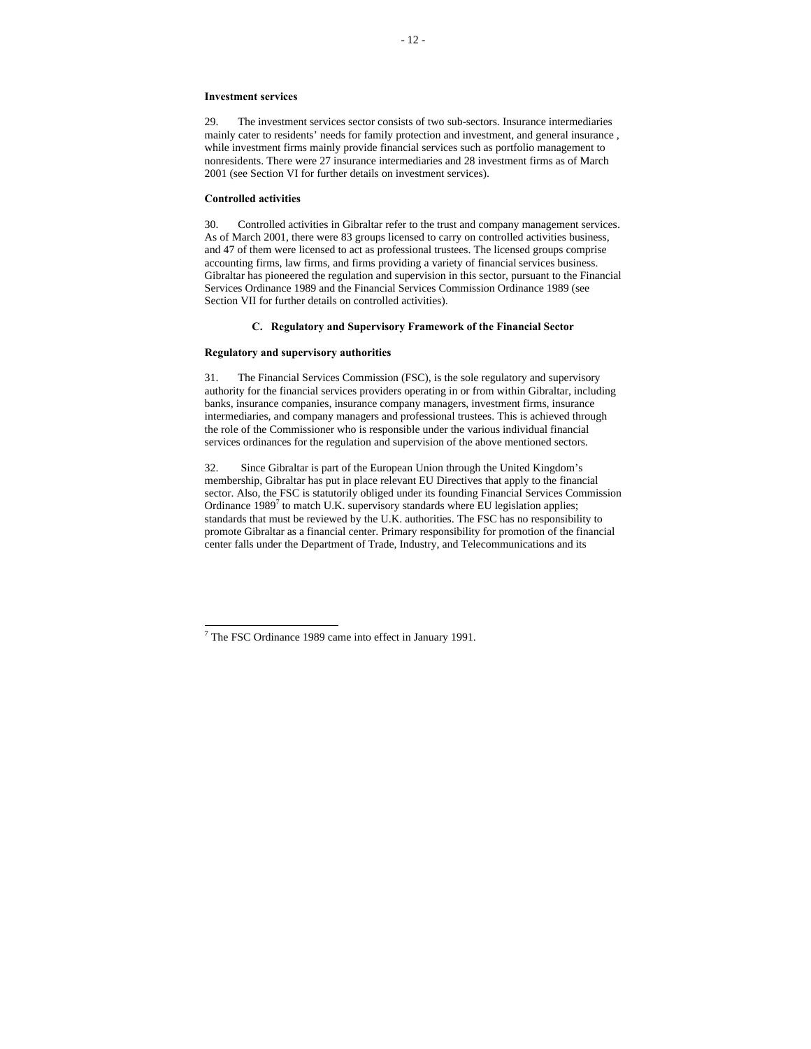#### **Investment services**

29. The investment services sector consists of two sub-sectors. Insurance intermediaries mainly cater to residents' needs for family protection and investment, and general insurance , while investment firms mainly provide financial services such as portfolio management to nonresidents. There were 27 insurance intermediaries and 28 investment firms as of March 2001 (see Section VI for further details on investment services).

#### **Controlled activities**

30. Controlled activities in Gibraltar refer to the trust and company management services. As of March 2001, there were 83 groups licensed to carry on controlled activities business, and 47 of them were licensed to act as professional trustees. The licensed groups comprise accounting firms, law firms, and firms providing a variety of financial services business. Gibraltar has pioneered the regulation and supervision in this sector, pursuant to the Financial Services Ordinance 1989 and the Financial Services Commission Ordinance 1989 (see Section VII for further details on controlled activities).

#### **C. Regulatory and Supervisory Framework of the Financial Sector**

#### **Regulatory and supervisory authorities**

31. The Financial Services Commission (FSC), is the sole regulatory and supervisory authority for the financial services providers operating in or from within Gibraltar, including banks, insurance companies, insurance company managers, investment firms, insurance intermediaries, and company managers and professional trustees. This is achieved through the role of the Commissioner who is responsible under the various individual financial services ordinances for the regulation and supervision of the above mentioned sectors.

32. Since Gibraltar is part of the European Union through the United Kingdom's membership, Gibraltar has put in place relevant EU Directives that apply to the financial sector. Also, the FSC is statutorily obliged under its founding Financial Services Commission Ordinance  $1989<sup>7</sup>$  to match U.K. supervisory standards where EU legislation applies; standards that must be reviewed by the U.K. authorities. The FSC has no responsibility to promote Gibraltar as a financial center. Primary responsibility for promotion of the financial center falls under the Department of Trade, Industry, and Telecommunications and its

 7 The FSC Ordinance 1989 came into effect in January 1991.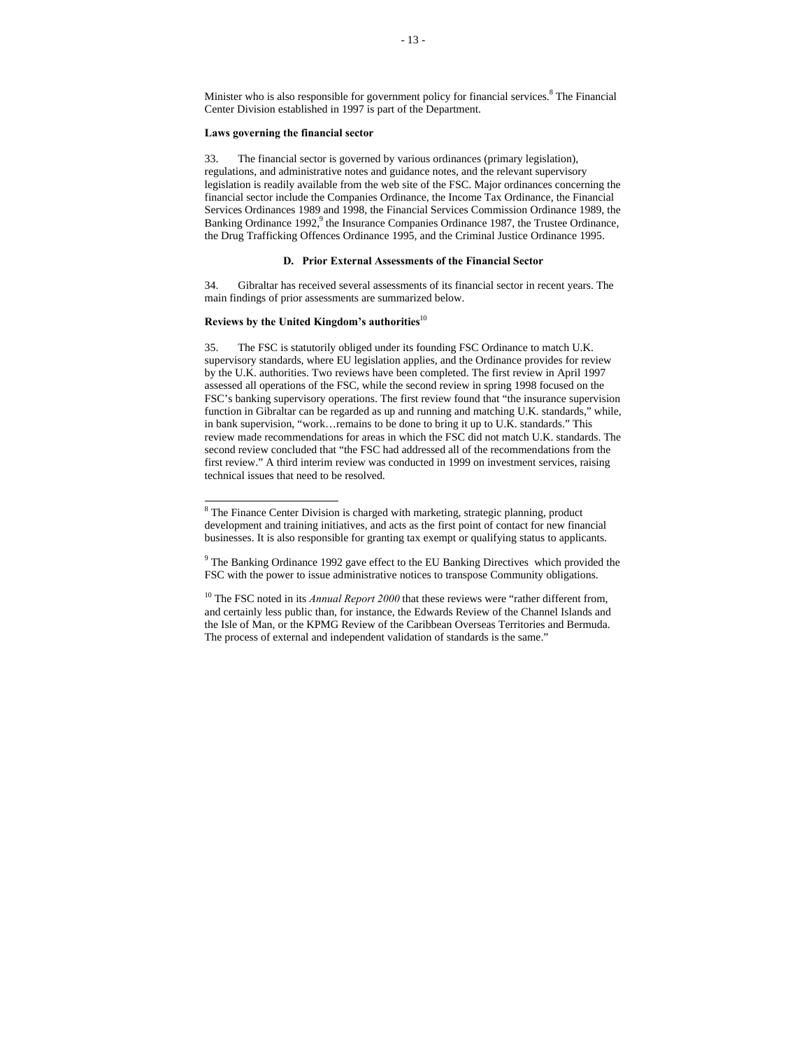Minister who is also responsible for government policy for financial services.<sup>8</sup> The Financial Center Division established in 1997 is part of the Department.

#### **Laws governing the financial sector**

33. The financial sector is governed by various ordinances (primary legislation), regulations, and administrative notes and guidance notes, and the relevant supervisory legislation is readily available from the web site of the FSC. Major ordinances concerning the financial sector include the Companies Ordinance, the Income Tax Ordinance, the Financial Services Ordinances 1989 and 1998, the Financial Services Commission Ordinance 1989, the Banking Ordinance 1992,<sup>9</sup> the Insurance Companies Ordinance 1987, the Trustee Ordinance, the Drug Trafficking Offences Ordinance 1995, and the Criminal Justice Ordinance 1995.

# **D. Prior External Assessments of the Financial Sector**

34. Gibraltar has received several assessments of its financial sector in recent years. The main findings of prior assessments are summarized below.

## **Reviews by the United Kingdom's authorities**<sup>10</sup>

35. The FSC is statutorily obliged under its founding FSC Ordinance to match U.K. supervisory standards, where EU legislation applies, and the Ordinance provides for review by the U.K. authorities. Two reviews have been completed. The first review in April 1997 assessed all operations of the FSC, while the second review in spring 1998 focused on the FSC's banking supervisory operations. The first review found that "the insurance supervision function in Gibraltar can be regarded as up and running and matching U.K. standards," while, in bank supervision, "work…remains to be done to bring it up to U.K. standards." This review made recommendations for areas in which the FSC did not match U.K. standards. The second review concluded that "the FSC had addressed all of the recommendations from the first review." A third interim review was conducted in 1999 on investment services, raising technical issues that need to be resolved.

<sup>&</sup>lt;sup>8</sup> The Finance Center Division is charged with marketing, strategic planning, product development and training initiatives, and acts as the first point of contact for new financial businesses. It is also responsible for granting tax exempt or qualifying status to applicants.

<sup>&</sup>lt;sup>9</sup> The Banking Ordinance 1992 gave effect to the EU Banking Directives which provided the FSC with the power to issue administrative notices to transpose Community obligations.

<sup>&</sup>lt;sup>10</sup> The FSC noted in its *Annual Report 2000* that these reviews were "rather different from, and certainly less public than, for instance, the Edwards Review of the Channel Islands and the Isle of Man, or the KPMG Review of the Caribbean Overseas Territories and Bermuda. The process of external and independent validation of standards is the same."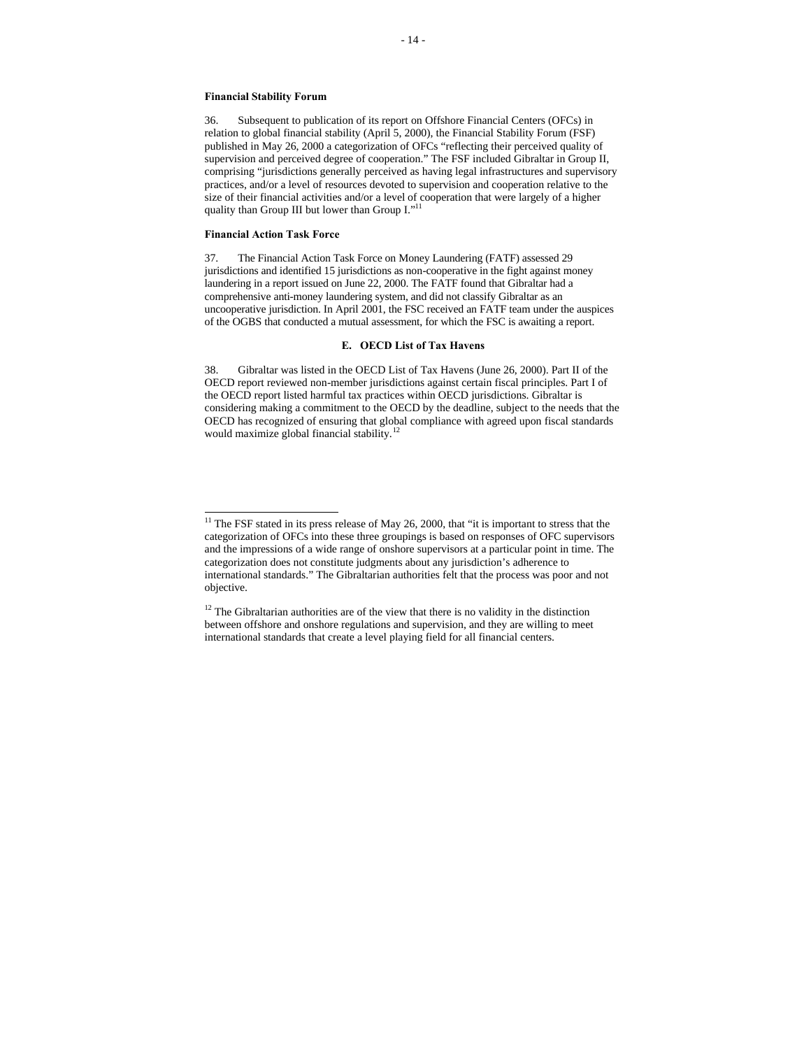#### **Financial Stability Forum**

36. Subsequent to publication of its report on Offshore Financial Centers (OFCs) in relation to global financial stability (April 5, 2000), the Financial Stability Forum (FSF) published in May 26, 2000 a categorization of OFCs "reflecting their perceived quality of supervision and perceived degree of cooperation." The FSF included Gibraltar in Group II, comprising "jurisdictions generally perceived as having legal infrastructures and supervisory practices, and/or a level of resources devoted to supervision and cooperation relative to the size of their financial activities and/or a level of cooperation that were largely of a higher quality than Group III but lower than Group I."<sup>11</sup>

### **Financial Action Task Force**

j

37. The Financial Action Task Force on Money Laundering (FATF) assessed 29 jurisdictions and identified 15 jurisdictions as non-cooperative in the fight against money laundering in a report issued on June 22, 2000. The FATF found that Gibraltar had a comprehensive anti-money laundering system, and did not classify Gibraltar as an uncooperative jurisdiction. In April 2001, the FSC received an FATF team under the auspices of the OGBS that conducted a mutual assessment, for which the FSC is awaiting a report.

#### **E. OECD List of Tax Havens**

38. Gibraltar was listed in the OECD List of Tax Havens (June 26, 2000). Part II of the OECD report reviewed non-member jurisdictions against certain fiscal principles. Part I of the OECD report listed harmful tax practices within OECD jurisdictions. Gibraltar is considering making a commitment to the OECD by the deadline, subject to the needs that the OECD has recognized of ensuring that global compliance with agreed upon fiscal standards would maximize global financial stability.<sup>1</sup>

 $11$  The FSF stated in its press release of May 26, 2000, that "it is important to stress that the categorization of OFCs into these three groupings is based on responses of OFC supervisors and the impressions of a wide range of onshore supervisors at a particular point in time. The categorization does not constitute judgments about any jurisdiction's adherence to international standards." The Gibraltarian authorities felt that the process was poor and not objective.

 $12$  The Gibraltarian authorities are of the view that there is no validity in the distinction between offshore and onshore regulations and supervision, and they are willing to meet international standards that create a level playing field for all financial centers.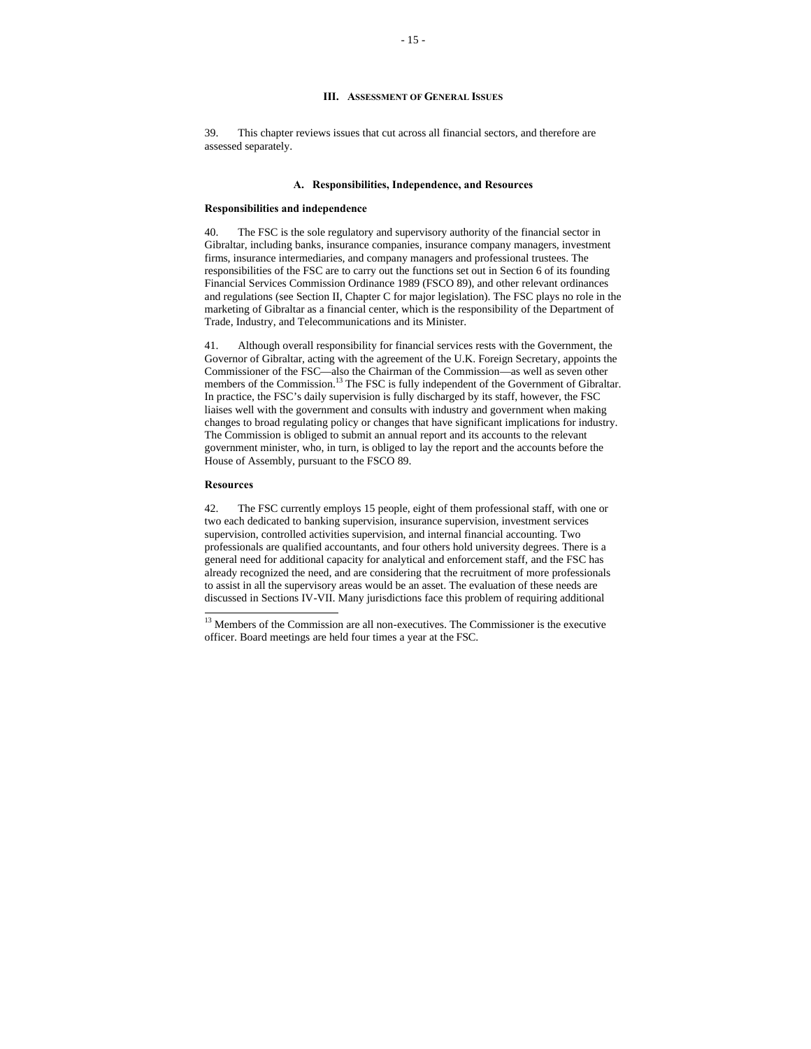## **III.** ASSESSMENT OF GENERAL **ISSUES**

39. This chapter reviews issues that cut across all financial sectors, and therefore are assessed separately.

#### **A. Responsibilities, Independence, and Resources**

#### **Responsibilities and independence**

40. The FSC is the sole regulatory and supervisory authority of the financial sector in Gibraltar, including banks, insurance companies, insurance company managers, investment firms, insurance intermediaries, and company managers and professional trustees. The responsibilities of the FSC are to carry out the functions set out in Section 6 of its founding Financial Services Commission Ordinance 1989 (FSCO 89), and other relevant ordinances and regulations (see Section II, Chapter C for major legislation). The FSC plays no role in the marketing of Gibraltar as a financial center, which is the responsibility of the Department of Trade, Industry, and Telecommunications and its Minister.

41. Although overall responsibility for financial services rests with the Government, the Governor of Gibraltar, acting with the agreement of the U.K. Foreign Secretary, appoints the Commissioner of the FSC—also the Chairman of the Commission—as well as seven other members of the Commission.<sup>13</sup> The FSC is fully independent of the Government of Gibraltar. In practice, the FSC's daily supervision is fully discharged by its staff, however, the FSC liaises well with the government and consults with industry and government when making changes to broad regulating policy or changes that have significant implications for industry. The Commission is obliged to submit an annual report and its accounts to the relevant government minister, who, in turn, is obliged to lay the report and the accounts before the House of Assembly, pursuant to the FSCO 89.

#### **Resources**

j

42. The FSC currently employs 15 people, eight of them professional staff, with one or two each dedicated to banking supervision, insurance supervision, investment services supervision, controlled activities supervision, and internal financial accounting. Two professionals are qualified accountants, and four others hold university degrees. There is a general need for additional capacity for analytical and enforcement staff, and the FSC has already recognized the need, and are considering that the recruitment of more professionals to assist in all the supervisory areas would be an asset. The evaluation of these needs are discussed in Sections IV-VII. Many jurisdictions face this problem of requiring additional

<sup>&</sup>lt;sup>13</sup> Members of the Commission are all non-executives. The Commissioner is the executive officer. Board meetings are held four times a year at the FSC.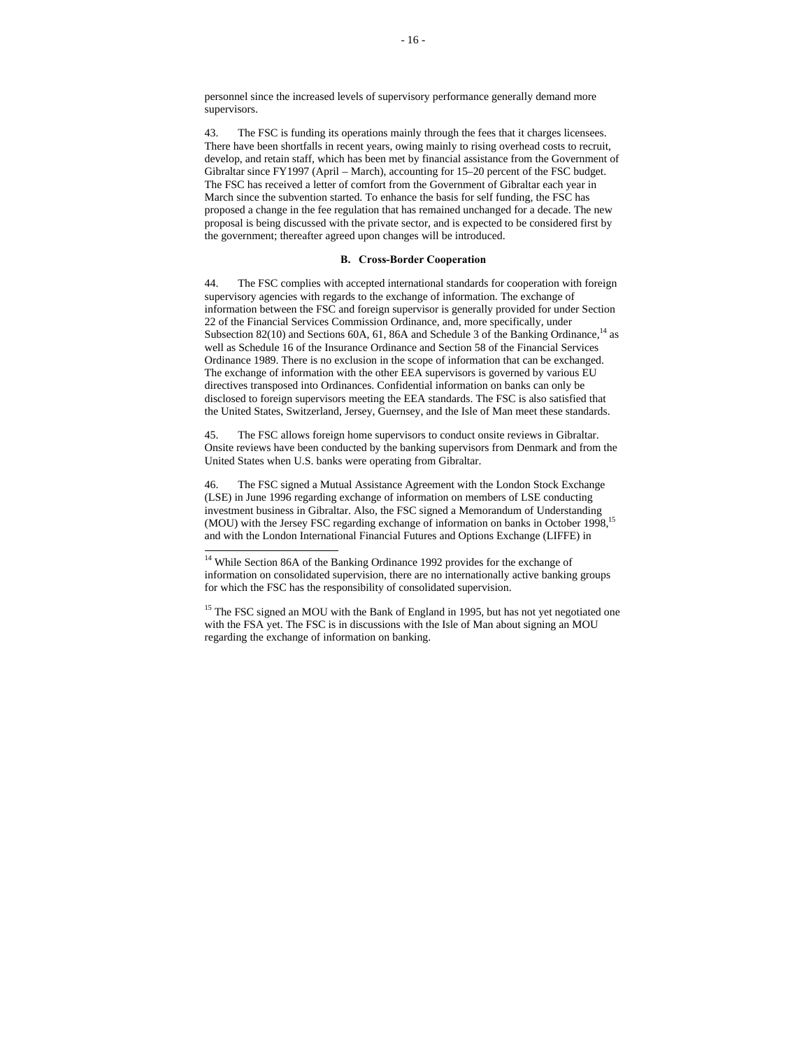personnel since the increased levels of supervisory performance generally demand more supervisors.

43. The FSC is funding its operations mainly through the fees that it charges licensees. There have been shortfalls in recent years, owing mainly to rising overhead costs to recruit, develop, and retain staff, which has been met by financial assistance from the Government of Gibraltar since FY1997 (April – March), accounting for 15–20 percent of the FSC budget. The FSC has received a letter of comfort from the Government of Gibraltar each year in March since the subvention started. To enhance the basis for self funding, the FSC has proposed a change in the fee regulation that has remained unchanged for a decade. The new proposal is being discussed with the private sector, and is expected to be considered first by the government; thereafter agreed upon changes will be introduced.

# **B. Cross-Border Cooperation**

44. The FSC complies with accepted international standards for cooperation with foreign supervisory agencies with regards to the exchange of information. The exchange of information between the FSC and foreign supervisor is generally provided for under Section 22 of the Financial Services Commission Ordinance, and, more specifically, under Subsection 82(10) and Sections 60A, 61, 86A and Schedule 3 of the Banking Ordinance,<sup>14</sup> as well as Schedule 16 of the Insurance Ordinance and Section 58 of the Financial Services Ordinance 1989. There is no exclusion in the scope of information that can be exchanged. The exchange of information with the other EEA supervisors is governed by various EU directives transposed into Ordinances. Confidential information on banks can only be disclosed to foreign supervisors meeting the EEA standards. The FSC is also satisfied that the United States, Switzerland, Jersey, Guernsey, and the Isle of Man meet these standards.

45. The FSC allows foreign home supervisors to conduct onsite reviews in Gibraltar. Onsite reviews have been conducted by the banking supervisors from Denmark and from the United States when U.S. banks were operating from Gibraltar.

46. The FSC signed a Mutual Assistance Agreement with the London Stock Exchange (LSE) in June 1996 regarding exchange of information on members of LSE conducting investment business in Gibraltar. Also, the FSC signed a Memorandum of Understanding (MOU) with the Jersey FSC regarding exchange of information on banks in October 1998,<sup>15</sup> and with the London International Financial Futures and Options Exchange (LIFFE) in

 $\overline{a}$ 

<sup>&</sup>lt;sup>14</sup> While Section 86A of the Banking Ordinance 1992 provides for the exchange of information on consolidated supervision, there are no internationally active banking groups for which the FSC has the responsibility of consolidated supervision.

<sup>&</sup>lt;sup>15</sup> The FSC signed an MOU with the Bank of England in 1995, but has not yet negotiated one with the FSA yet. The FSC is in discussions with the Isle of Man about signing an MOU regarding the exchange of information on banking.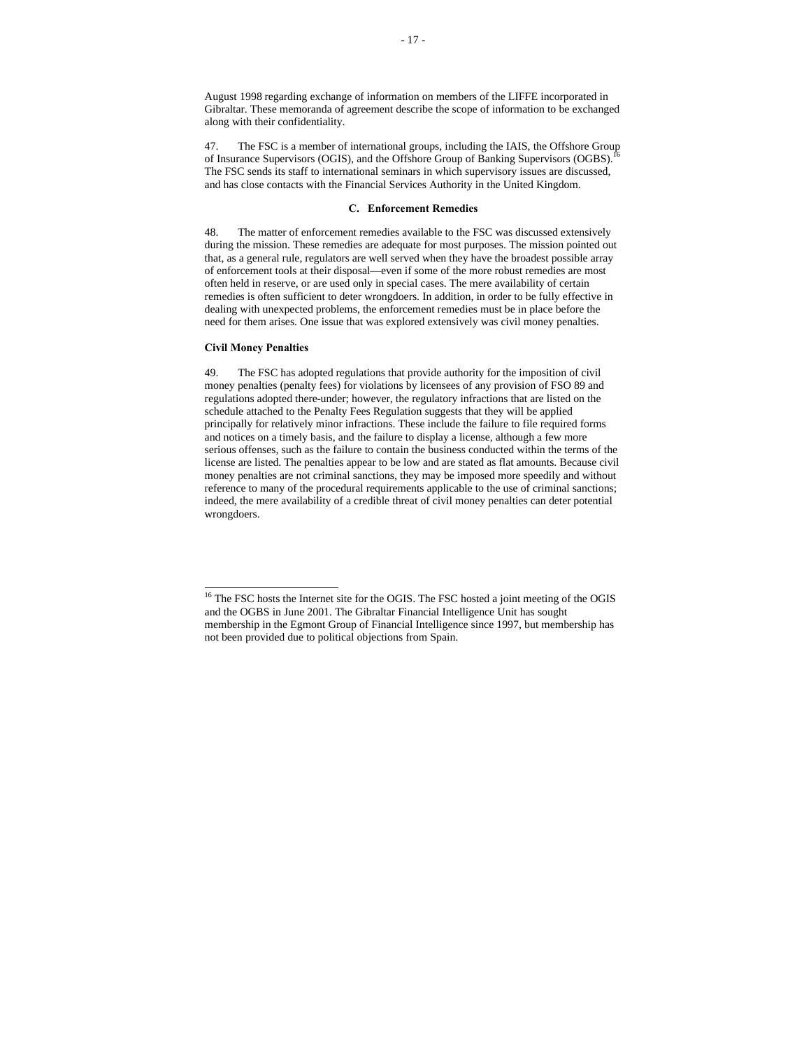August 1998 regarding exchange of information on members of the LIFFE incorporated in Gibraltar. These memoranda of agreement describe the scope of information to be exchanged along with their confidentiality.

47. The FSC is a member of international groups, including the IAIS, the Offshore Group of Insurance Supervisors (OGIS), and the Offshore Group of Banking Supervisors (OGBS).<sup>16</sup> The FSC sends its staff to international seminars in which supervisory issues are discussed, and has close contacts with the Financial Services Authority in the United Kingdom.

#### **C. Enforcement Remedies**

48. The matter of enforcement remedies available to the FSC was discussed extensively during the mission. These remedies are adequate for most purposes. The mission pointed out that, as a general rule, regulators are well served when they have the broadest possible array of enforcement tools at their disposal—even if some of the more robust remedies are most often held in reserve, or are used only in special cases. The mere availability of certain remedies is often sufficient to deter wrongdoers. In addition, in order to be fully effective in dealing with unexpected problems, the enforcement remedies must be in place before the need for them arises. One issue that was explored extensively was civil money penalties.

#### **Civil Money Penalties**

l

49. The FSC has adopted regulations that provide authority for the imposition of civil money penalties (penalty fees) for violations by licensees of any provision of FSO 89 and regulations adopted there-under; however, the regulatory infractions that are listed on the schedule attached to the Penalty Fees Regulation suggests that they will be applied principally for relatively minor infractions. These include the failure to file required forms and notices on a timely basis, and the failure to display a license, although a few more serious offenses, such as the failure to contain the business conducted within the terms of the license are listed. The penalties appear to be low and are stated as flat amounts. Because civil money penalties are not criminal sanctions, they may be imposed more speedily and without reference to many of the procedural requirements applicable to the use of criminal sanctions; indeed, the mere availability of a credible threat of civil money penalties can deter potential wrongdoers.

<sup>&</sup>lt;sup>16</sup> The FSC hosts the Internet site for the OGIS. The FSC hosted a joint meeting of the OGIS and the OGBS in June 2001. The Gibraltar Financial Intelligence Unit has sought membership in the Egmont Group of Financial Intelligence since 1997, but membership has not been provided due to political objections from Spain.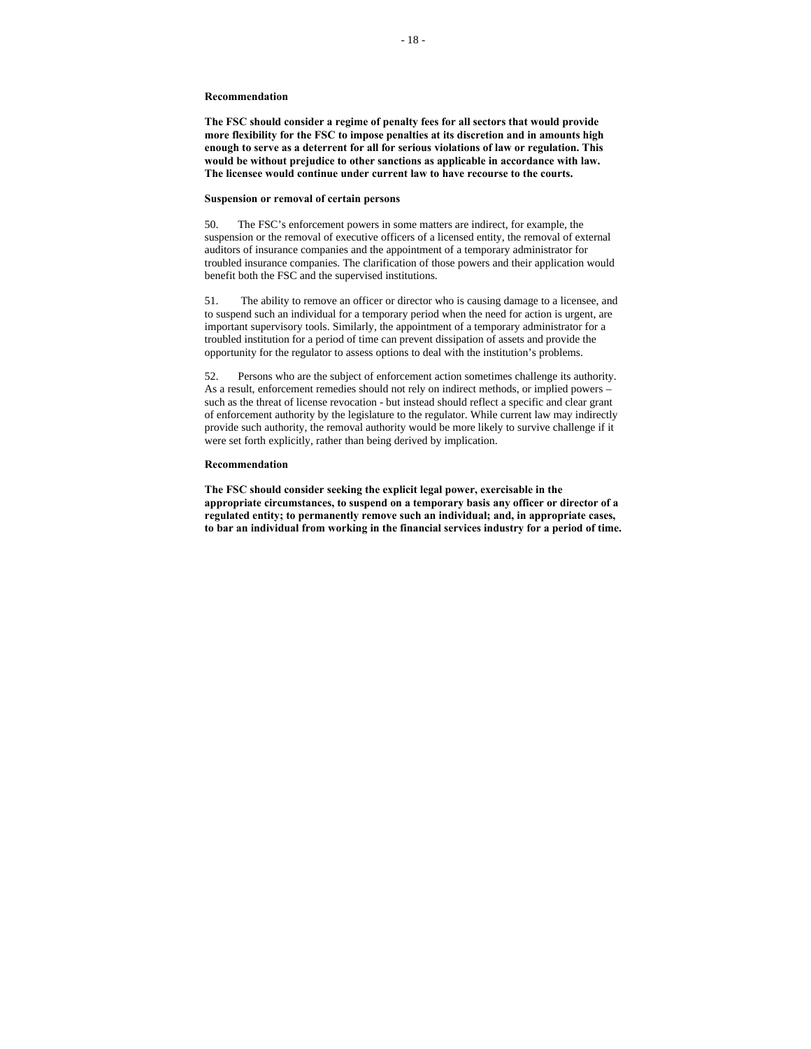**The FSC should consider a regime of penalty fees for all sectors that would provide more flexibility for the FSC to impose penalties at its discretion and in amounts high enough to serve as a deterrent for all for serious violations of law or regulation. This would be without prejudice to other sanctions as applicable in accordance with law. The licensee would continue under current law to have recourse to the courts.**

#### **Suspension or removal of certain persons**

50. The FSC's enforcement powers in some matters are indirect, for example, the suspension or the removal of executive officers of a licensed entity, the removal of external auditors of insurance companies and the appointment of a temporary administrator for troubled insurance companies. The clarification of those powers and their application would benefit both the FSC and the supervised institutions.

51. The ability to remove an officer or director who is causing damage to a licensee, and to suspend such an individual for a temporary period when the need for action is urgent, are important supervisory tools. Similarly, the appointment of a temporary administrator for a troubled institution for a period of time can prevent dissipation of assets and provide the opportunity for the regulator to assess options to deal with the institution's problems.

52. Persons who are the subject of enforcement action sometimes challenge its authority. As a result, enforcement remedies should not rely on indirect methods, or implied powers – such as the threat of license revocation - but instead should reflect a specific and clear grant of enforcement authority by the legislature to the regulator. While current law may indirectly provide such authority, the removal authority would be more likely to survive challenge if it were set forth explicitly, rather than being derived by implication.

#### **Recommendation**

**The FSC should consider seeking the explicit legal power, exercisable in the appropriate circumstances, to suspend on a temporary basis any officer or director of a regulated entity; to permanently remove such an individual; and, in appropriate cases, to bar an individual from working in the financial services industry for a period of time.**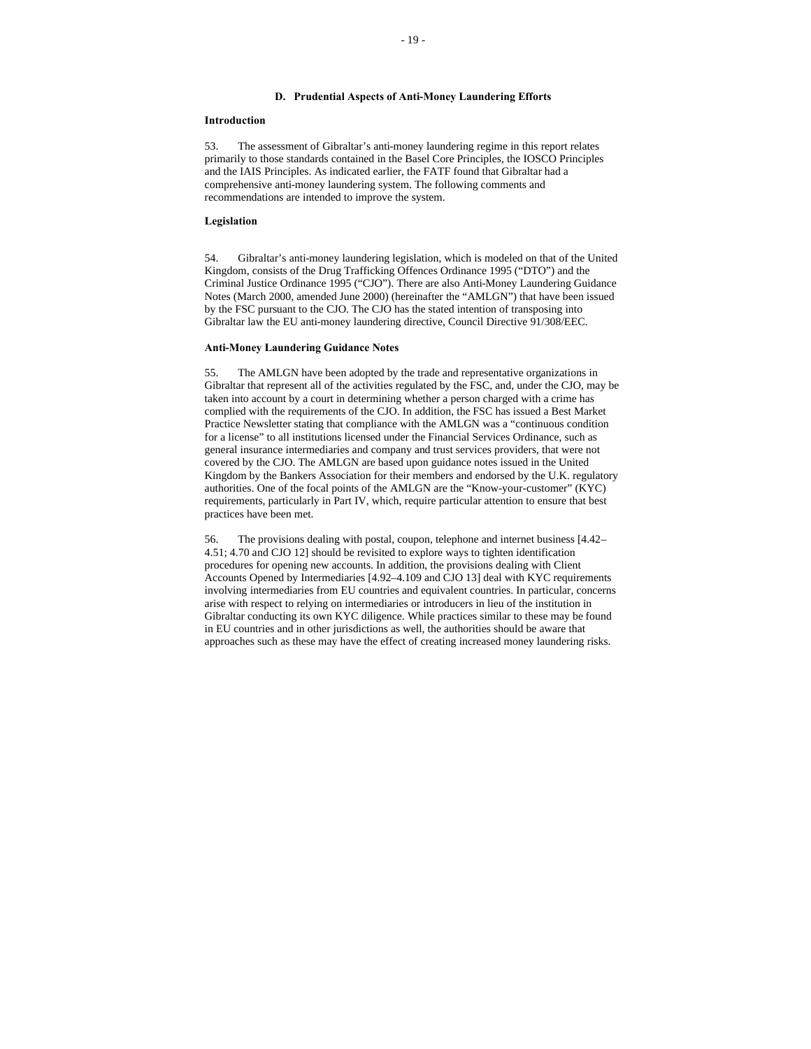# **D. Prudential Aspects of Anti-Money Laundering Efforts**

#### **Introduction**

53. The assessment of Gibraltar's anti-money laundering regime in this report relates primarily to those standards contained in the Basel Core Principles, the IOSCO Principles and the IAIS Principles. As indicated earlier, the FATF found that Gibraltar had a comprehensive anti-money laundering system. The following comments and recommendations are intended to improve the system.

## **Legislation**

54. Gibraltar's anti-money laundering legislation, which is modeled on that of the United Kingdom, consists of the Drug Trafficking Offences Ordinance 1995 ("DTO") and the Criminal Justice Ordinance 1995 ("CJO"). There are also Anti-Money Laundering Guidance Notes (March 2000, amended June 2000) (hereinafter the "AMLGN") that have been issued by the FSC pursuant to the CJO. The CJO has the stated intention of transposing into Gibraltar law the EU anti-money laundering directive, Council Directive 91/308/EEC.

## **Anti-Money Laundering Guidance Notes**

55. The AMLGN have been adopted by the trade and representative organizations in Gibraltar that represent all of the activities regulated by the FSC, and, under the CJO, may be taken into account by a court in determining whether a person charged with a crime has complied with the requirements of the CJO. In addition, the FSC has issued a Best Market Practice Newsletter stating that compliance with the AMLGN was a "continuous condition for a license" to all institutions licensed under the Financial Services Ordinance, such as general insurance intermediaries and company and trust services providers, that were not covered by the CJO. The AMLGN are based upon guidance notes issued in the United Kingdom by the Bankers Association for their members and endorsed by the U.K. regulatory authorities. One of the focal points of the AMLGN are the "Know-your-customer" (KYC) requirements, particularly in Part IV, which, require particular attention to ensure that best practices have been met.

56. The provisions dealing with postal, coupon, telephone and internet business [4.42– 4.51; 4.70 and CJO 12] should be revisited to explore ways to tighten identification procedures for opening new accounts. In addition, the provisions dealing with Client Accounts Opened by Intermediaries [4.92–4.109 and CJO 13] deal with KYC requirements involving intermediaries from EU countries and equivalent countries. In particular, concerns arise with respect to relying on intermediaries or introducers in lieu of the institution in Gibraltar conducting its own KYC diligence. While practices similar to these may be found in EU countries and in other jurisdictions as well, the authorities should be aware that approaches such as these may have the effect of creating increased money laundering risks.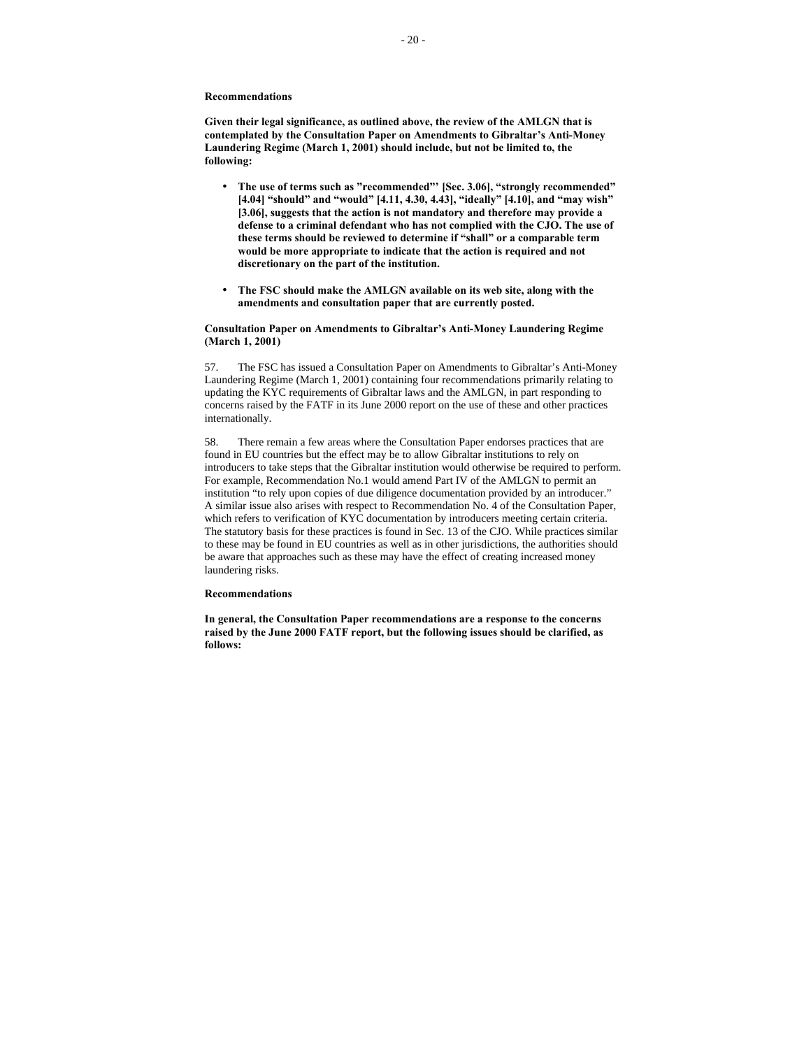**Given their legal significance, as outlined above, the review of the AMLGN that is contemplated by the Consultation Paper on Amendments to Gibraltar's Anti-Money Laundering Regime (March 1, 2001) should include, but not be limited to, the following:**

- **The use of terms such as "recommended"' [Sec. 3.06], "strongly recommended" [4.04] "should" and "would" [4.11, 4.30, 4.43], "ideally" [4.10], and "may wish" [3.06], suggests that the action is not mandatory and therefore may provide a defense to a criminal defendant who has not complied with the CJO. The use of these terms should be reviewed to determine if "shall" or a comparable term would be more appropriate to indicate that the action is required and not discretionary on the part of the institution.**
- **The FSC should make the AMLGN available on its web site, along with the amendments and consultation paper that are currently posted.**

## **Consultation Paper on Amendments to Gibraltar's Anti-Money Laundering Regime (March 1, 2001)**

57. The FSC has issued a Consultation Paper on Amendments to Gibraltar's Anti-Money Laundering Regime (March 1, 2001) containing four recommendations primarily relating to updating the KYC requirements of Gibraltar laws and the AMLGN, in part responding to concerns raised by the FATF in its June 2000 report on the use of these and other practices internationally.

58. There remain a few areas where the Consultation Paper endorses practices that are found in EU countries but the effect may be to allow Gibraltar institutions to rely on introducers to take steps that the Gibraltar institution would otherwise be required to perform. For example, Recommendation No.1 would amend Part IV of the AMLGN to permit an institution "to rely upon copies of due diligence documentation provided by an introducer." A similar issue also arises with respect to Recommendation No. 4 of the Consultation Paper, which refers to verification of KYC documentation by introducers meeting certain criteria. The statutory basis for these practices is found in Sec. 13 of the CJO. While practices similar to these may be found in EU countries as well as in other jurisdictions, the authorities should be aware that approaches such as these may have the effect of creating increased money laundering risks.

#### **Recommendations**

**In general, the Consultation Paper recommendations are a response to the concerns raised by the June 2000 FATF report, but the following issues should be clarified, as follows:**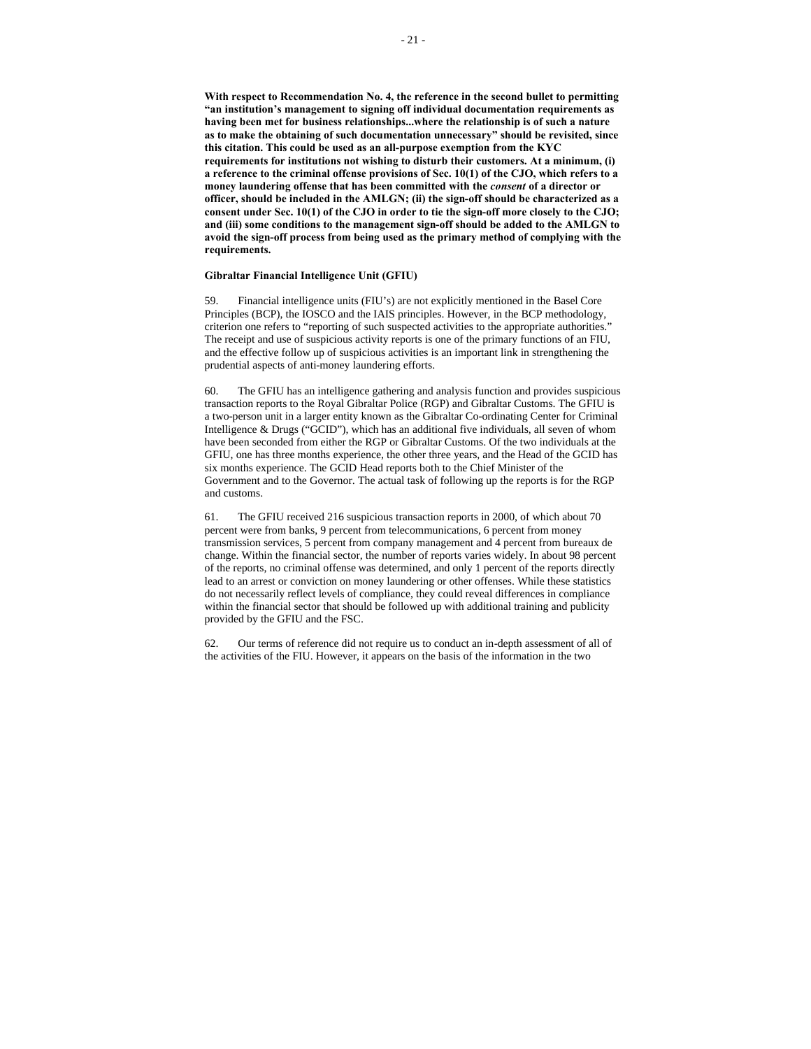**With respect to Recommendation No. 4, the reference in the second bullet to permitting "an institution's management to signing off individual documentation requirements as having been met for business relationships...where the relationship is of such a nature as to make the obtaining of such documentation unnecessary" should be revisited, since this citation. This could be used as an all-purpose exemption from the KYC requirements for institutions not wishing to disturb their customers. At a minimum, (i) a reference to the criminal offense provisions of Sec. 10(1) of the CJO, which refers to a money laundering offense that has been committed with the** *consent* **of a director or officer, should be included in the AMLGN; (ii) the sign-off should be characterized as a consent under Sec. 10(1) of the CJO in order to tie the sign-off more closely to the CJO; and (iii) some conditions to the management sign-off should be added to the AMLGN to avoid the sign-off process from being used as the primary method of complying with the requirements.**

# **Gibraltar Financial Intelligence Unit (GFIU)**

59. Financial intelligence units (FIU's) are not explicitly mentioned in the Basel Core Principles (BCP), the IOSCO and the IAIS principles. However, in the BCP methodology, criterion one refers to "reporting of such suspected activities to the appropriate authorities." The receipt and use of suspicious activity reports is one of the primary functions of an FIU, and the effective follow up of suspicious activities is an important link in strengthening the prudential aspects of anti-money laundering efforts.

60. The GFIU has an intelligence gathering and analysis function and provides suspicious transaction reports to the Royal Gibraltar Police (RGP) and Gibraltar Customs. The GFIU is a two-person unit in a larger entity known as the Gibraltar Co-ordinating Center for Criminal Intelligence & Drugs ("GCID"), which has an additional five individuals, all seven of whom have been seconded from either the RGP or Gibraltar Customs. Of the two individuals at the GFIU, one has three months experience, the other three years, and the Head of the GCID has six months experience. The GCID Head reports both to the Chief Minister of the Government and to the Governor. The actual task of following up the reports is for the RGP and customs.

61. The GFIU received 216 suspicious transaction reports in 2000, of which about 70 percent were from banks, 9 percent from telecommunications, 6 percent from money transmission services, 5 percent from company management and 4 percent from bureaux de change. Within the financial sector, the number of reports varies widely. In about 98 percent of the reports, no criminal offense was determined, and only 1 percent of the reports directly lead to an arrest or conviction on money laundering or other offenses. While these statistics do not necessarily reflect levels of compliance, they could reveal differences in compliance within the financial sector that should be followed up with additional training and publicity provided by the GFIU and the FSC.

62. Our terms of reference did not require us to conduct an in-depth assessment of all of the activities of the FIU. However, it appears on the basis of the information in the two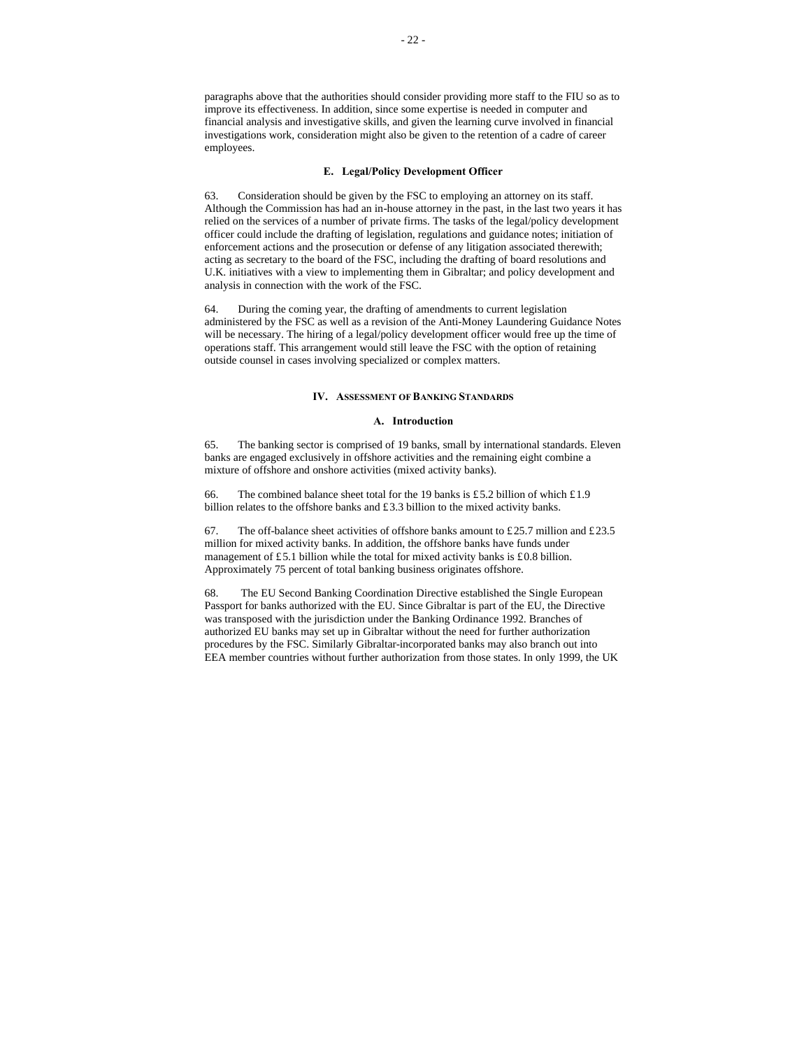paragraphs above that the authorities should consider providing more staff to the FIU so as to improve its effectiveness. In addition, since some expertise is needed in computer and financial analysis and investigative skills, and given the learning curve involved in financial investigations work, consideration might also be given to the retention of a cadre of career employees.

#### **E. Legal/Policy Development Officer**

63. Consideration should be given by the FSC to employing an attorney on its staff. Although the Commission has had an in-house attorney in the past, in the last two years it has relied on the services of a number of private firms. The tasks of the legal/policy development officer could include the drafting of legislation, regulations and guidance notes; initiation of enforcement actions and the prosecution or defense of any litigation associated therewith; acting as secretary to the board of the FSC, including the drafting of board resolutions and U.K. initiatives with a view to implementing them in Gibraltar; and policy development and analysis in connection with the work of the FSC.

64. During the coming year, the drafting of amendments to current legislation administered by the FSC as well as a revision of the Anti-Money Laundering Guidance Notes will be necessary. The hiring of a legal/policy development officer would free up the time of operations staff. This arrangement would still leave the FSC with the option of retaining outside counsel in cases involving specialized or complex matters.

### **IV. ASSESSMENT OF BANKING STANDARDS**

#### **A. Introduction**

65. The banking sector is comprised of 19 banks, small by international standards. Eleven banks are engaged exclusively in offshore activities and the remaining eight combine a mixture of offshore and onshore activities (mixed activity banks).

66. The combined balance sheet total for the 19 banks is £5.2 billion of which £1.9 billion relates to the offshore banks and £3.3 billion to the mixed activity banks.

67. The off-balance sheet activities of offshore banks amount to £25.7 million and £23.5 million for mixed activity banks. In addition, the offshore banks have funds under management of £5.1 billion while the total for mixed activity banks is £0.8 billion. Approximately 75 percent of total banking business originates offshore.

68. The EU Second Banking Coordination Directive established the Single European Passport for banks authorized with the EU. Since Gibraltar is part of the EU, the Directive was transposed with the jurisdiction under the Banking Ordinance 1992. Branches of authorized EU banks may set up in Gibraltar without the need for further authorization procedures by the FSC. Similarly Gibraltar-incorporated banks may also branch out into EEA member countries without further authorization from those states. In only 1999, the UK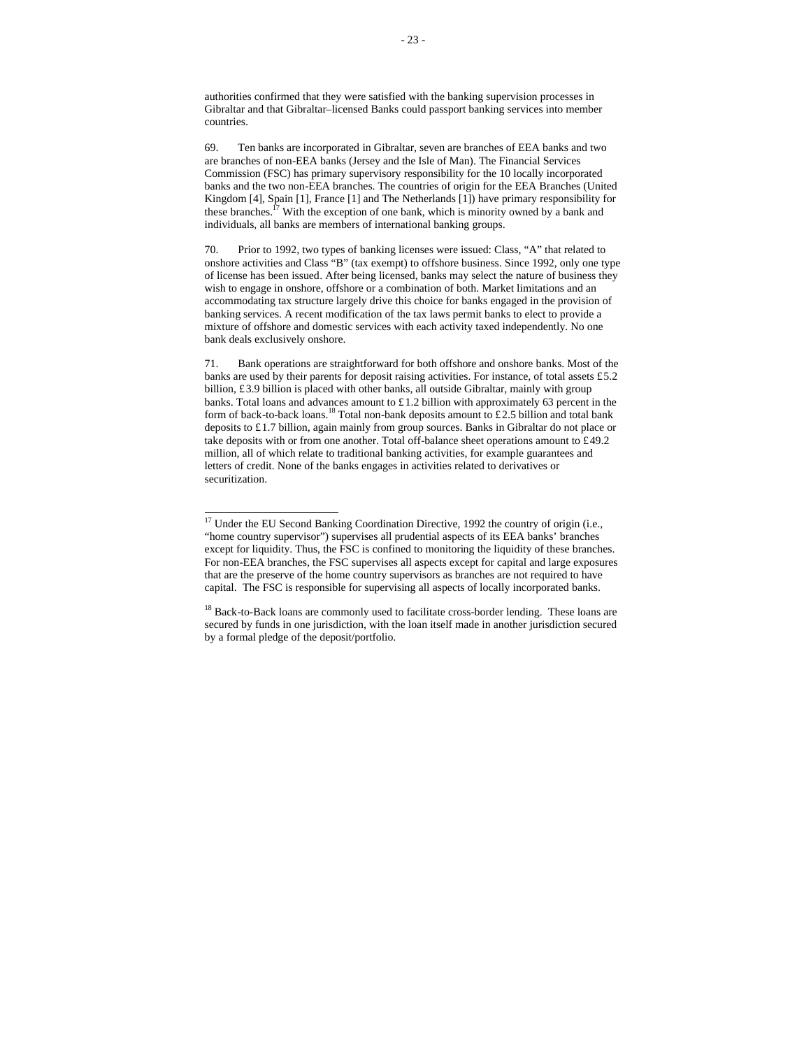authorities confirmed that they were satisfied with the banking supervision processes in Gibraltar and that Gibraltar–licensed Banks could passport banking services into member countries.

69. Ten banks are incorporated in Gibraltar, seven are branches of EEA banks and two are branches of non-EEA banks (Jersey and the Isle of Man). The Financial Services Commission (FSC) has primary supervisory responsibility for the 10 locally incorporated banks and the two non-EEA branches. The countries of origin for the EEA Branches (United Kingdom [4], Spain [1], France [1] and The Netherlands [1]) have primary responsibility for these branches.<sup> $17$ </sup> With the exception of one bank, which is minority owned by a bank and individuals, all banks are members of international banking groups.

70. Prior to 1992, two types of banking licenses were issued: Class, "A" that related to onshore activities and Class "B" (tax exempt) to offshore business. Since 1992, only one type of license has been issued. After being licensed, banks may select the nature of business they wish to engage in onshore, offshore or a combination of both. Market limitations and an accommodating tax structure largely drive this choice for banks engaged in the provision of banking services. A recent modification of the tax laws permit banks to elect to provide a mixture of offshore and domestic services with each activity taxed independently. No one bank deals exclusively onshore.

71. Bank operations are straightforward for both offshore and onshore banks. Most of the banks are used by their parents for deposit raising activities. For instance, of total assets £5.2 billion, £3.9 billion is placed with other banks, all outside Gibraltar, mainly with group banks. Total loans and advances amount to £1.2 billion with approximately 63 percent in the form of back-to-back loans.<sup>18</sup> Total non-bank deposits amount to £2.5 billion and total bank deposits to £1.7 billion, again mainly from group sources. Banks in Gibraltar do not place or take deposits with or from one another. Total off-balance sheet operations amount to  $£49.2$ million, all of which relate to traditional banking activities, for example guarantees and letters of credit. None of the banks engages in activities related to derivatives or securitization.

j

<sup>&</sup>lt;sup>17</sup> Under the EU Second Banking Coordination Directive, 1992 the country of origin (i.e., "home country supervisor") supervises all prudential aspects of its EEA banks' branches except for liquidity. Thus, the FSC is confined to monitoring the liquidity of these branches. For non-EEA branches, the FSC supervises all aspects except for capital and large exposures that are the preserve of the home country supervisors as branches are not required to have capital. The FSC is responsible for supervising all aspects of locally incorporated banks.

<sup>&</sup>lt;sup>18</sup> Back-to-Back loans are commonly used to facilitate cross-border lending. These loans are secured by funds in one jurisdiction, with the loan itself made in another jurisdiction secured by a formal pledge of the deposit/portfolio.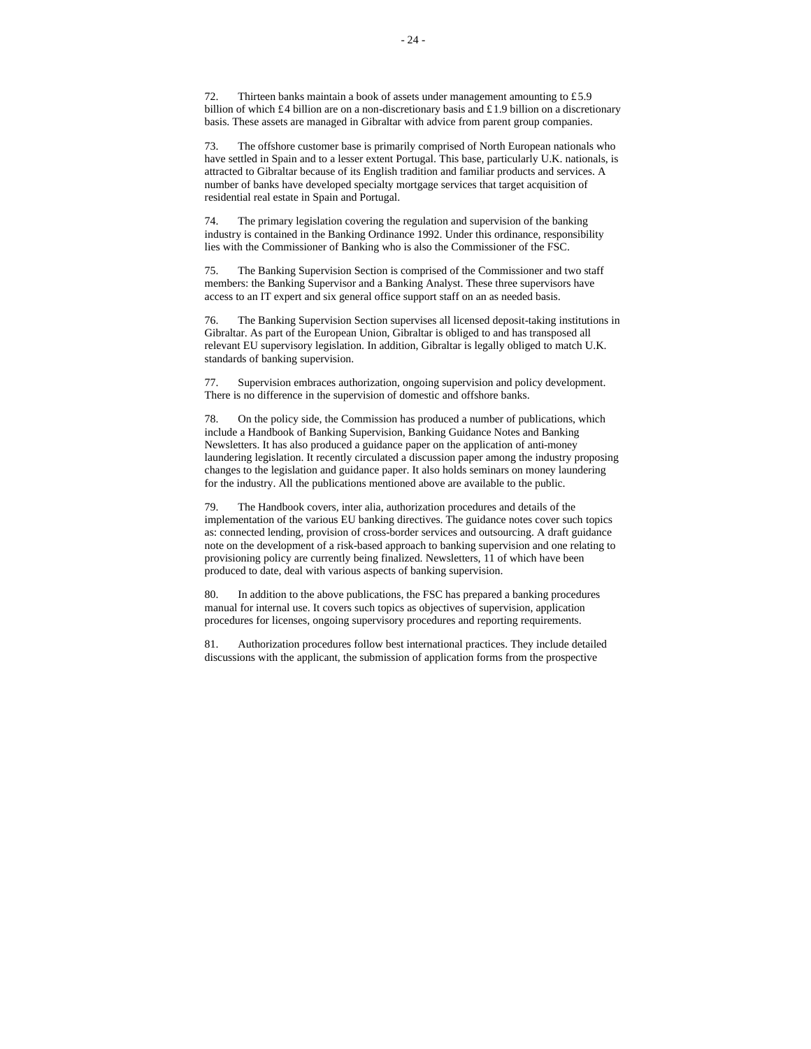73. The offshore customer base is primarily comprised of North European nationals who have settled in Spain and to a lesser extent Portugal. This base, particularly U.K. nationals, is attracted to Gibraltar because of its English tradition and familiar products and services. A number of banks have developed specialty mortgage services that target acquisition of residential real estate in Spain and Portugal.

74. The primary legislation covering the regulation and supervision of the banking industry is contained in the Banking Ordinance 1992. Under this ordinance, responsibility lies with the Commissioner of Banking who is also the Commissioner of the FSC.

75. The Banking Supervision Section is comprised of the Commissioner and two staff members: the Banking Supervisor and a Banking Analyst. These three supervisors have access to an IT expert and six general office support staff on an as needed basis.

76. The Banking Supervision Section supervises all licensed deposit-taking institutions in Gibraltar. As part of the European Union, Gibraltar is obliged to and has transposed all relevant EU supervisory legislation. In addition, Gibraltar is legally obliged to match U.K. standards of banking supervision.

77. Supervision embraces authorization, ongoing supervision and policy development. There is no difference in the supervision of domestic and offshore banks.

78. On the policy side, the Commission has produced a number of publications, which include a Handbook of Banking Supervision, Banking Guidance Notes and Banking Newsletters. It has also produced a guidance paper on the application of anti-money laundering legislation. It recently circulated a discussion paper among the industry proposing changes to the legislation and guidance paper. It also holds seminars on money laundering for the industry. All the publications mentioned above are available to the public.

79. The Handbook covers, inter alia, authorization procedures and details of the implementation of the various EU banking directives. The guidance notes cover such topics as: connected lending, provision of cross-border services and outsourcing. A draft guidance note on the development of a risk-based approach to banking supervision and one relating to provisioning policy are currently being finalized. Newsletters, 11 of which have been produced to date, deal with various aspects of banking supervision.

80. In addition to the above publications, the FSC has prepared a banking procedures manual for internal use. It covers such topics as objectives of supervision, application procedures for licenses, ongoing supervisory procedures and reporting requirements.

81. Authorization procedures follow best international practices. They include detailed discussions with the applicant, the submission of application forms from the prospective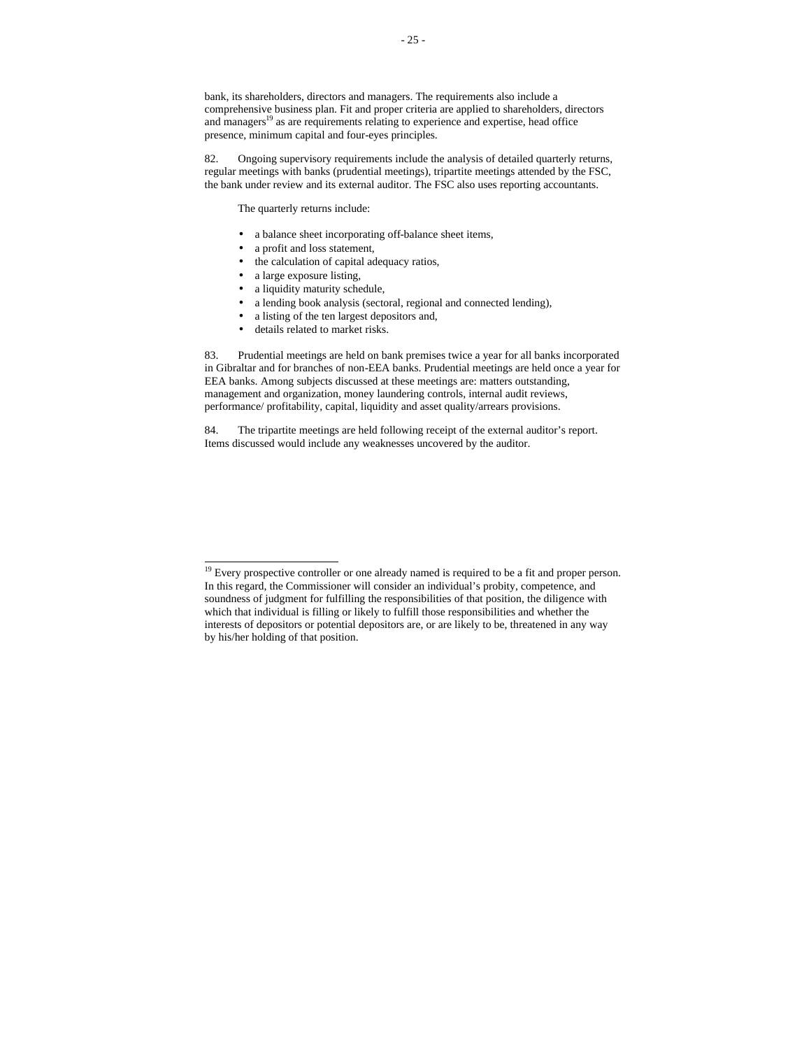bank, its shareholders, directors and managers. The requirements also include a comprehensive business plan. Fit and proper criteria are applied to shareholders, directors and managers<sup>19</sup> as are requirements relating to experience and expertise, head office presence, minimum capital and four-eyes principles.

82. Ongoing supervisory requirements include the analysis of detailed quarterly returns, regular meetings with banks (prudential meetings), tripartite meetings attended by the FSC, the bank under review and its external auditor. The FSC also uses reporting accountants.

The quarterly returns include:

- a balance sheet incorporating off-balance sheet items,
- a profit and loss statement,
- the calculation of capital adequacy ratios,
- a large exposure listing,

j

- a liquidity maturity schedule,
- a lending book analysis (sectoral, regional and connected lending),
- a listing of the ten largest depositors and,
- details related to market risks.

83. Prudential meetings are held on bank premises twice a year for all banks incorporated in Gibraltar and for branches of non-EEA banks. Prudential meetings are held once a year for EEA banks. Among subjects discussed at these meetings are: matters outstanding, management and organization, money laundering controls, internal audit reviews, performance/ profitability, capital, liquidity and asset quality/arrears provisions.

84. The tripartite meetings are held following receipt of the external auditor's report. Items discussed would include any weaknesses uncovered by the auditor.

 $19$  Every prospective controller or one already named is required to be a fit and proper person. In this regard, the Commissioner will consider an individual's probity, competence, and soundness of judgment for fulfilling the responsibilities of that position, the diligence with which that individual is filling or likely to fulfill those responsibilities and whether the interests of depositors or potential depositors are, or are likely to be, threatened in any way by his/her holding of that position.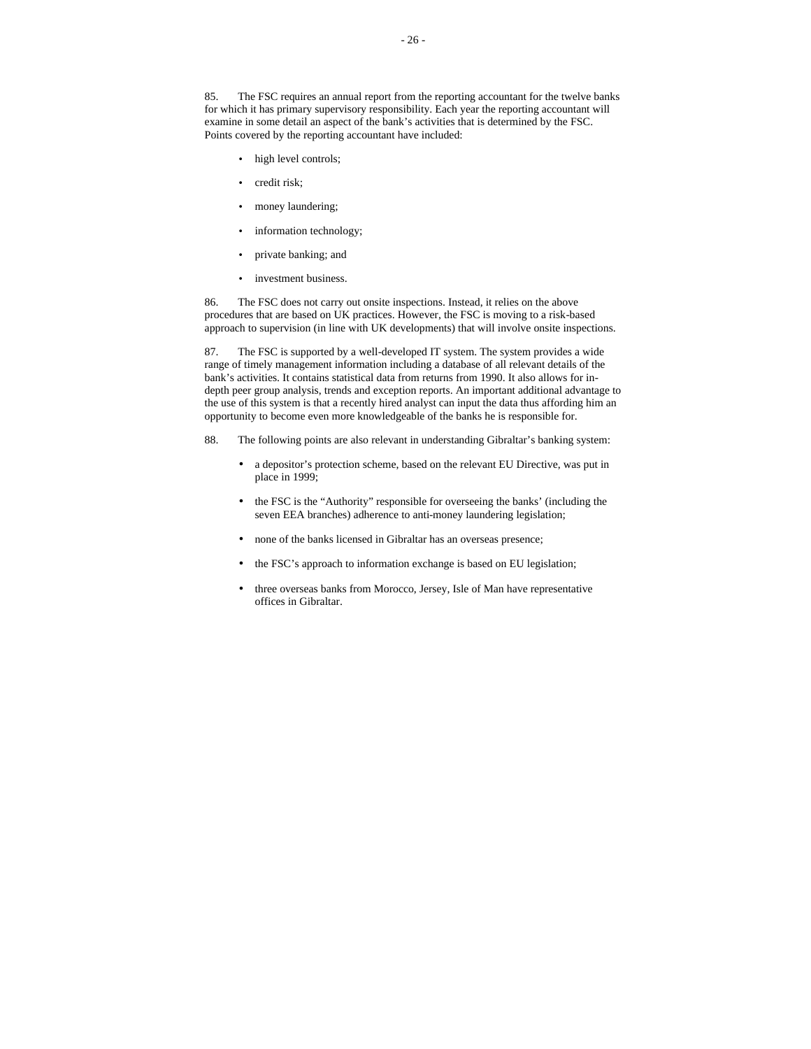85. The FSC requires an annual report from the reporting accountant for the twelve banks for which it has primary supervisory responsibility. Each year the reporting accountant will examine in some detail an aspect of the bank's activities that is determined by the FSC. Points covered by the reporting accountant have included:

- high level controls;
- credit risk;
- money laundering;
- information technology;
- private banking; and
- investment business.

86. The FSC does not carry out onsite inspections. Instead, it relies on the above procedures that are based on UK practices. However, the FSC is moving to a risk-based approach to supervision (in line with UK developments) that will involve onsite inspections.

87. The FSC is supported by a well-developed IT system. The system provides a wide range of timely management information including a database of all relevant details of the bank's activities. It contains statistical data from returns from 1990. It also allows for indepth peer group analysis, trends and exception reports. An important additional advantage to the use of this system is that a recently hired analyst can input the data thus affording him an opportunity to become even more knowledgeable of the banks he is responsible for.

- 88. The following points are also relevant in understanding Gibraltar's banking system:
	- a depositor's protection scheme, based on the relevant EU Directive, was put in place in 1999;
	- the FSC is the "Authority" responsible for overseeing the banks' (including the seven EEA branches) adherence to anti-money laundering legislation;
	- none of the banks licensed in Gibraltar has an overseas presence;
	- the FSC's approach to information exchange is based on EU legislation;
	- three overseas banks from Morocco, Jersey, Isle of Man have representative offices in Gibraltar.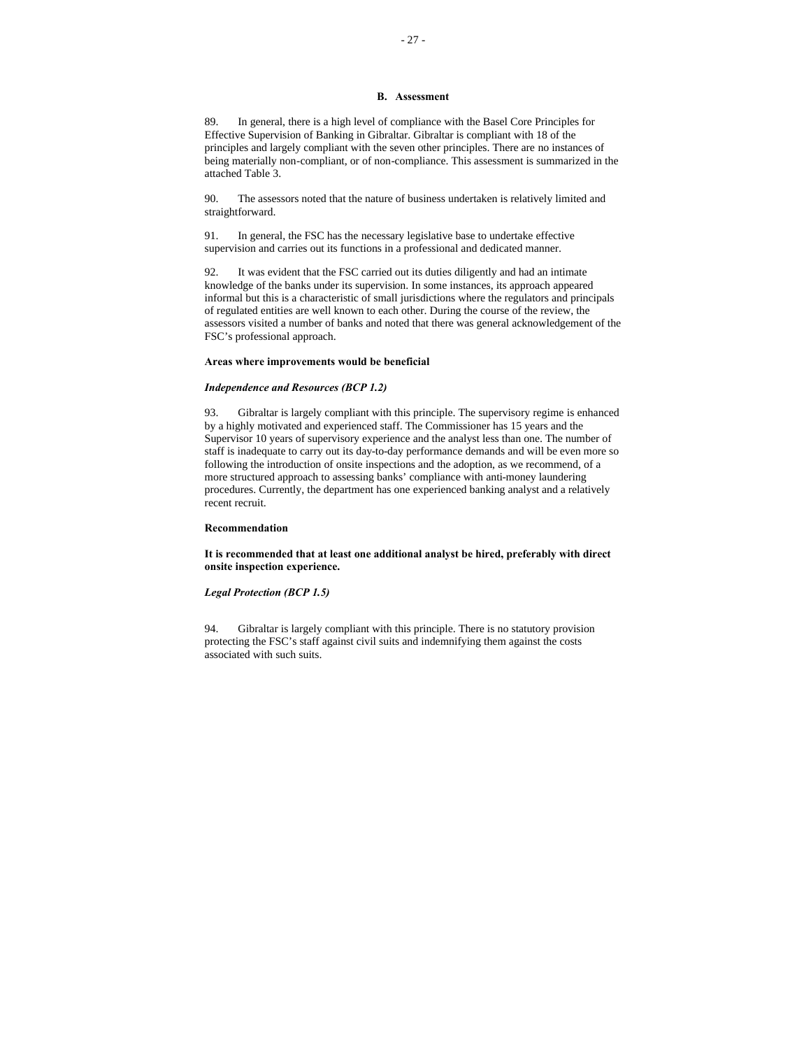#### **B. Assessment**

89. In general, there is a high level of compliance with the Basel Core Principles for Effective Supervision of Banking in Gibraltar. Gibraltar is compliant with 18 of the principles and largely compliant with the seven other principles. There are no instances of being materially non-compliant, or of non-compliance. This assessment is summarized in the attached Table 3.

90. The assessors noted that the nature of business undertaken is relatively limited and straightforward.

91. In general, the FSC has the necessary legislative base to undertake effective supervision and carries out its functions in a professional and dedicated manner.

92. It was evident that the FSC carried out its duties diligently and had an intimate knowledge of the banks under its supervision. In some instances, its approach appeared informal but this is a characteristic of small jurisdictions where the regulators and principals of regulated entities are well known to each other. During the course of the review, the assessors visited a number of banks and noted that there was general acknowledgement of the FSC's professional approach.

#### **Areas where improvements would be beneficial**

#### *Independence and Resources (BCP 1.2)*

93. Gibraltar is largely compliant with this principle. The supervisory regime is enhanced by a highly motivated and experienced staff. The Commissioner has 15 years and the Supervisor 10 years of supervisory experience and the analyst less than one. The number of staff is inadequate to carry out its day-to-day performance demands and will be even more so following the introduction of onsite inspections and the adoption, as we recommend, of a more structured approach to assessing banks' compliance with anti-money laundering procedures. Currently, the department has one experienced banking analyst and a relatively recent recruit.

#### **Recommendation**

**It is recommended that at least one additional analyst be hired, preferably with direct onsite inspection experience.**

#### *Legal Protection (BCP 1.5)*

94. Gibraltar is largely compliant with this principle. There is no statutory provision protecting the FSC's staff against civil suits and indemnifying them against the costs associated with such suits.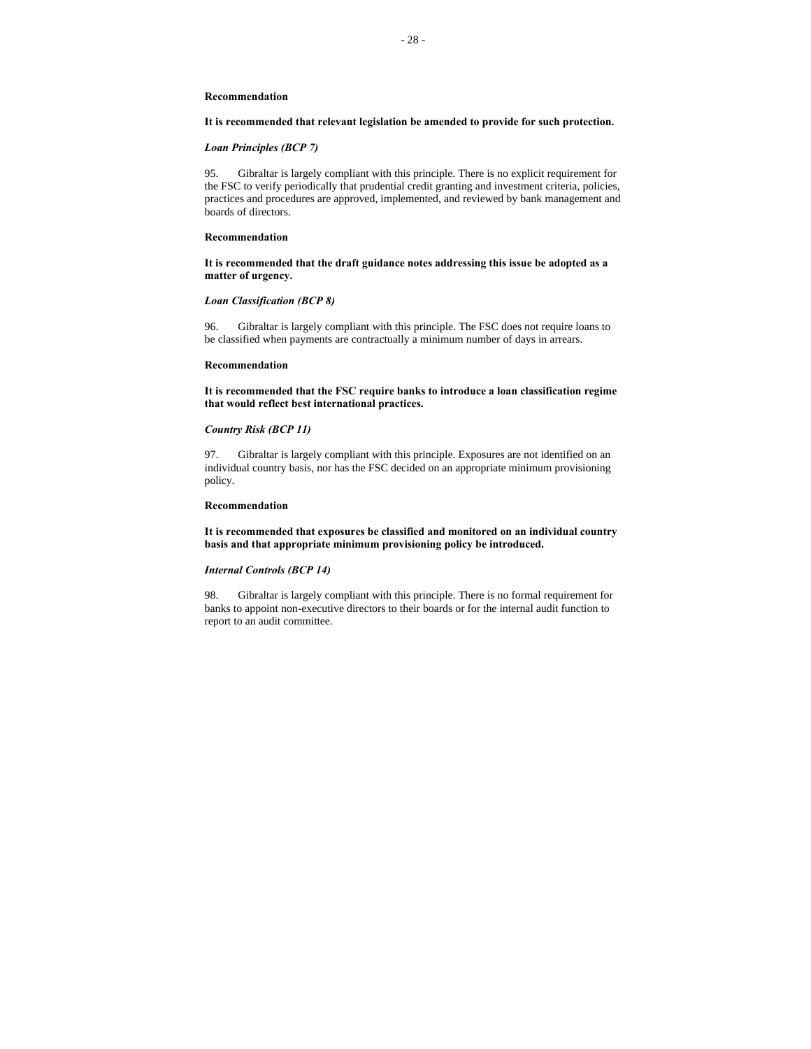# **It is recommended that relevant legislation be amended to provide for such protection.**

# *Loan Principles (BCP 7)*

95. Gibraltar is largely compliant with this principle. There is no explicit requirement for the FSC to verify periodically that prudential credit granting and investment criteria, policies, practices and procedures are approved, implemented, and reviewed by bank management and boards of directors.

#### **Recommendation**

**It is recommended that the draft guidance notes addressing this issue be adopted as a matter of urgency.**

# *Loan Classification (BCP 8)*

96. Gibraltar is largely compliant with this principle. The FSC does not require loans to be classified when payments are contractually a minimum number of days in arrears.

#### **Recommendation**

**It is recommended that the FSC require banks to introduce a loan classification regime that would reflect best international practices.**

# *Country Risk (BCP 11)*

97. Gibraltar is largely compliant with this principle. Exposures are not identified on an individual country basis, nor has the FSC decided on an appropriate minimum provisioning policy.

#### **Recommendation**

**It is recommended that exposures be classified and monitored on an individual country basis and that appropriate minimum provisioning policy be introduced.**

## *Internal Controls (BCP 14)*

98. Gibraltar is largely compliant with this principle. There is no formal requirement for banks to appoint non-executive directors to their boards or for the internal audit function to report to an audit committee.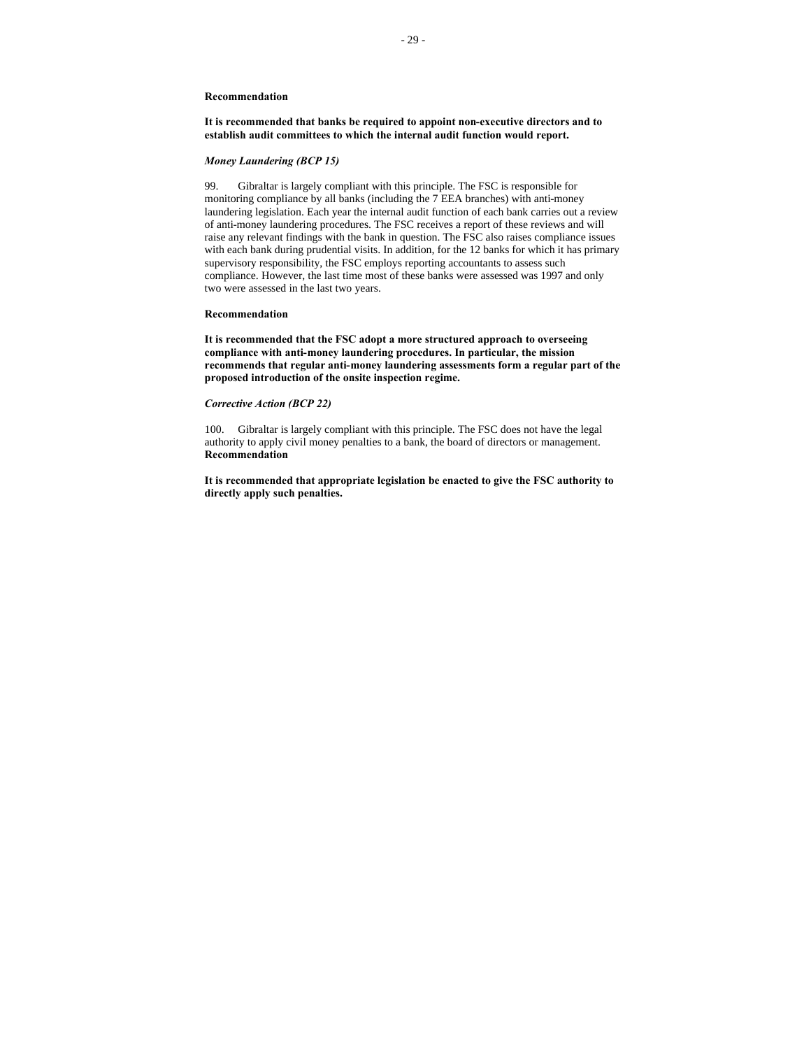**It is recommended that banks be required to appoint non-executive directors and to establish audit committees to which the internal audit function would report.**

#### *Money Laundering (BCP 15)*

99. Gibraltar is largely compliant with this principle. The FSC is responsible for monitoring compliance by all banks (including the 7 EEA branches) with anti-money laundering legislation. Each year the internal audit function of each bank carries out a review of anti-money laundering procedures. The FSC receives a report of these reviews and will raise any relevant findings with the bank in question. The FSC also raises compliance issues with each bank during prudential visits. In addition, for the 12 banks for which it has primary supervisory responsibility, the FSC employs reporting accountants to assess such compliance. However, the last time most of these banks were assessed was 1997 and only two were assessed in the last two years.

#### **Recommendation**

**It is recommended that the FSC adopt a more structured approach to overseeing compliance with anti-money laundering procedures. In particular, the mission recommends that regular anti-money laundering assessments form a regular part of the proposed introduction of the onsite inspection regime.**

#### *Corrective Action (BCP 22)*

100. Gibraltar is largely compliant with this principle. The FSC does not have the legal authority to apply civil money penalties to a bank, the board of directors or management. **Recommendation**

**It is recommended that appropriate legislation be enacted to give the FSC authority to directly apply such penalties.**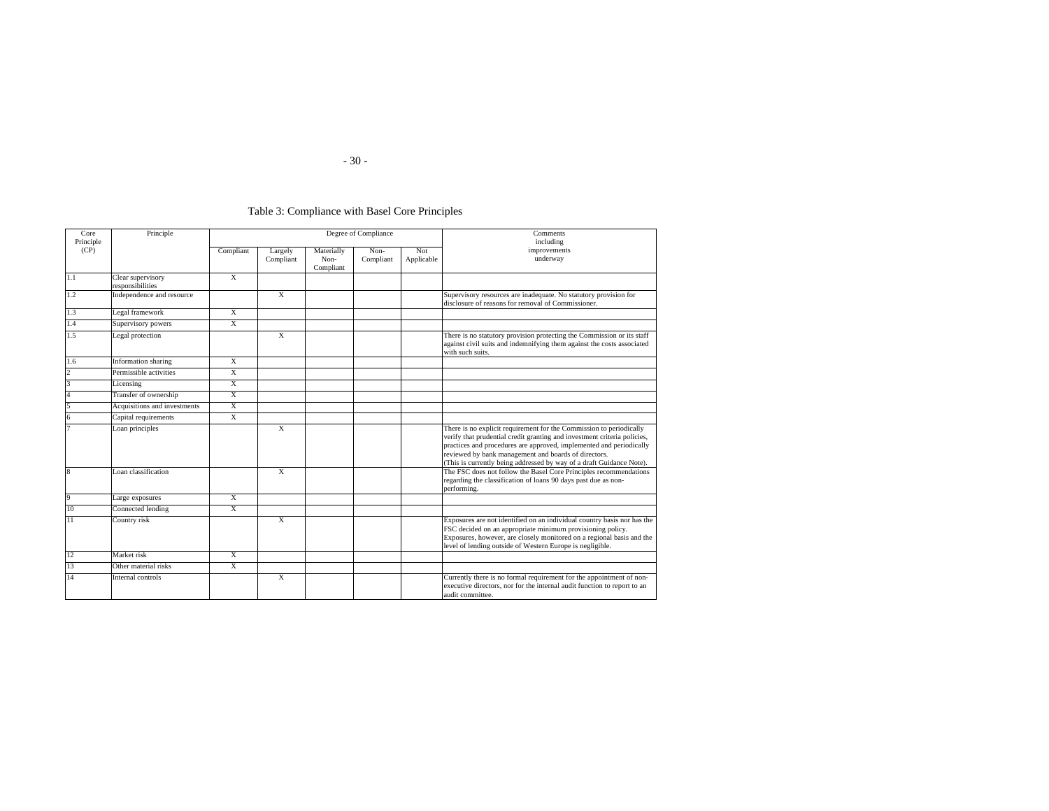# Table 3: Compliance with Basel Core Principles

| Core<br>Principle       | Principle                             |                |                         |                      | Degree of Compliance            | Comments<br>including |                                                                                                                                                                                                                                                                                                                                                        |                          |
|-------------------------|---------------------------------------|----------------|-------------------------|----------------------|---------------------------------|-----------------------|--------------------------------------------------------------------------------------------------------------------------------------------------------------------------------------------------------------------------------------------------------------------------------------------------------------------------------------------------------|--------------------------|
| (CP)                    |                                       |                | Compliant               | Largely<br>Compliant | Materially<br>Non-<br>Compliant | Non-<br>Compliant     | Not<br>Applicable                                                                                                                                                                                                                                                                                                                                      | improvements<br>underway |
| $\overline{1.1}$        | Clear supervisory<br>responsibilities | X              |                         |                      |                                 |                       |                                                                                                                                                                                                                                                                                                                                                        |                          |
| 1.2                     | Independence and resource             |                | $\overline{X}$          |                      |                                 |                       | Supervisory resources are inadequate. No statutory provision for<br>disclosure of reasons for removal of Commissioner.                                                                                                                                                                                                                                 |                          |
| 1.3                     | Legal framework                       | X              |                         |                      |                                 |                       |                                                                                                                                                                                                                                                                                                                                                        |                          |
| 1.4                     | Supervisory powers                    | X              |                         |                      |                                 |                       |                                                                                                                                                                                                                                                                                                                                                        |                          |
| 1.5                     | Legal protection                      |                | X                       |                      |                                 |                       | There is no statutory provision protecting the Commission or its staff<br>against civil suits and indemnifying them against the costs associated<br>with such suits.                                                                                                                                                                                   |                          |
| 1.6                     | Information sharing                   | $\overline{X}$ |                         |                      |                                 |                       |                                                                                                                                                                                                                                                                                                                                                        |                          |
| $\overline{2}$          | Permissible activities                | $\overline{X}$ |                         |                      |                                 |                       |                                                                                                                                                                                                                                                                                                                                                        |                          |
| 3                       | Licensing                             | X              |                         |                      |                                 |                       |                                                                                                                                                                                                                                                                                                                                                        |                          |
| $\overline{4}$          | Transfer of ownership                 | X              |                         |                      |                                 |                       |                                                                                                                                                                                                                                                                                                                                                        |                          |
| F                       | Acquisitions and investments          | X              |                         |                      |                                 |                       |                                                                                                                                                                                                                                                                                                                                                        |                          |
|                         | Capital requirements                  | $\overline{X}$ |                         |                      |                                 |                       |                                                                                                                                                                                                                                                                                                                                                        |                          |
|                         | Loan principles                       |                | $\overline{\mathbf{x}}$ |                      |                                 |                       | There is no explicit requirement for the Commission to periodically<br>verify that prudential credit granting and investment criteria policies,<br>practices and procedures are approved, implemented and periodically<br>reviewed by bank management and boards of directors.<br>(This is currently being addressed by way of a draft Guidance Note). |                          |
| $\overline{\mathbf{8}}$ | Loan classification                   |                | $\overline{\mathbf{x}}$ |                      |                                 |                       | The FSC does not follow the Basel Core Principles recommendations<br>regarding the classification of loans 90 days past due as non-<br>performing.                                                                                                                                                                                                     |                          |
| 9                       | Large exposures                       | X              |                         |                      |                                 |                       |                                                                                                                                                                                                                                                                                                                                                        |                          |
| 10                      | Connected lending                     | X              |                         |                      |                                 |                       |                                                                                                                                                                                                                                                                                                                                                        |                          |
| 11                      | Country risk                          |                | X                       |                      |                                 |                       | Exposures are not identified on an individual country basis nor has the<br>FSC decided on an appropriate minimum provisioning policy.<br>Exposures, however, are closely monitored on a regional basis and the<br>level of lending outside of Western Europe is negligible.                                                                            |                          |
| 12                      | Market risk                           | X              |                         |                      |                                 |                       |                                                                                                                                                                                                                                                                                                                                                        |                          |
| 13                      | Other material risks                  | $\overline{X}$ |                         |                      |                                 |                       |                                                                                                                                                                                                                                                                                                                                                        |                          |
| 14                      | Internal controls                     |                | X                       |                      |                                 |                       | Currently there is no formal requirement for the appointment of non-<br>executive directors, nor for the internal audit function to report to an<br>audit committee.                                                                                                                                                                                   |                          |

- 30 -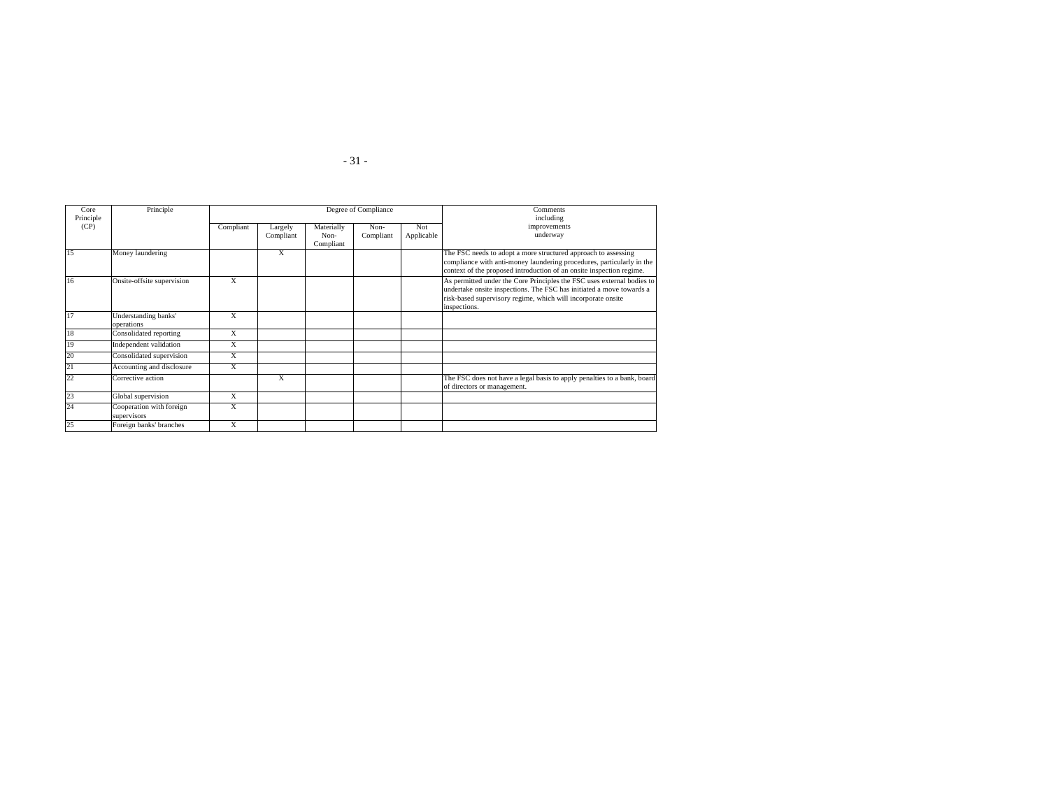| Core<br>Principle | Principle                               |                         |                      |                                 | Degree of Compliance | Comments<br>including |                                                                                                                                                                                                                                |
|-------------------|-----------------------------------------|-------------------------|----------------------|---------------------------------|----------------------|-----------------------|--------------------------------------------------------------------------------------------------------------------------------------------------------------------------------------------------------------------------------|
| (CP)              |                                         | Compliant               | Largely<br>Compliant | Materially<br>Non-<br>Compliant | Non-<br>Compliant    | Not<br>Applicable     | improvements<br>underway                                                                                                                                                                                                       |
| 15                | Money laundering                        |                         | X                    |                                 |                      |                       | The FSC needs to adopt a more structured approach to assessing<br>compliance with anti-money laundering procedures, particularly in the<br>context of the proposed introduction of an onsite inspection regime.                |
| 16                | Onsite-offsite supervision              | X                       |                      |                                 |                      |                       | As permitted under the Core Principles the FSC uses external bodies to<br>undertake onsite inspections. The FSC has initiated a move towards a<br>risk-based supervisory regime, which will incorporate onsite<br>inspections. |
| 17                | Understanding banks'<br>operations      | X                       |                      |                                 |                      |                       |                                                                                                                                                                                                                                |
| 18                | Consolidated reporting                  | $\overline{\mathbf{x}}$ |                      |                                 |                      |                       |                                                                                                                                                                                                                                |
| 19                | Independent validation                  | X                       |                      |                                 |                      |                       |                                                                                                                                                                                                                                |
| 20                | Consolidated supervision                | X                       |                      |                                 |                      |                       |                                                                                                                                                                                                                                |
| 21                | Accounting and disclosure               | X                       |                      |                                 |                      |                       |                                                                                                                                                                                                                                |
| 22                | Corrective action                       |                         | X                    |                                 |                      |                       | The FSC does not have a legal basis to apply penalties to a bank, board<br>of directors or management.                                                                                                                         |
| 23                | Global supervision                      | X                       |                      |                                 |                      |                       |                                                                                                                                                                                                                                |
| 24                | Cooperation with foreign<br>supervisors | X                       |                      |                                 |                      |                       |                                                                                                                                                                                                                                |
| 25                | Foreign banks' branches                 | X                       |                      |                                 |                      |                       |                                                                                                                                                                                                                                |

- 31 -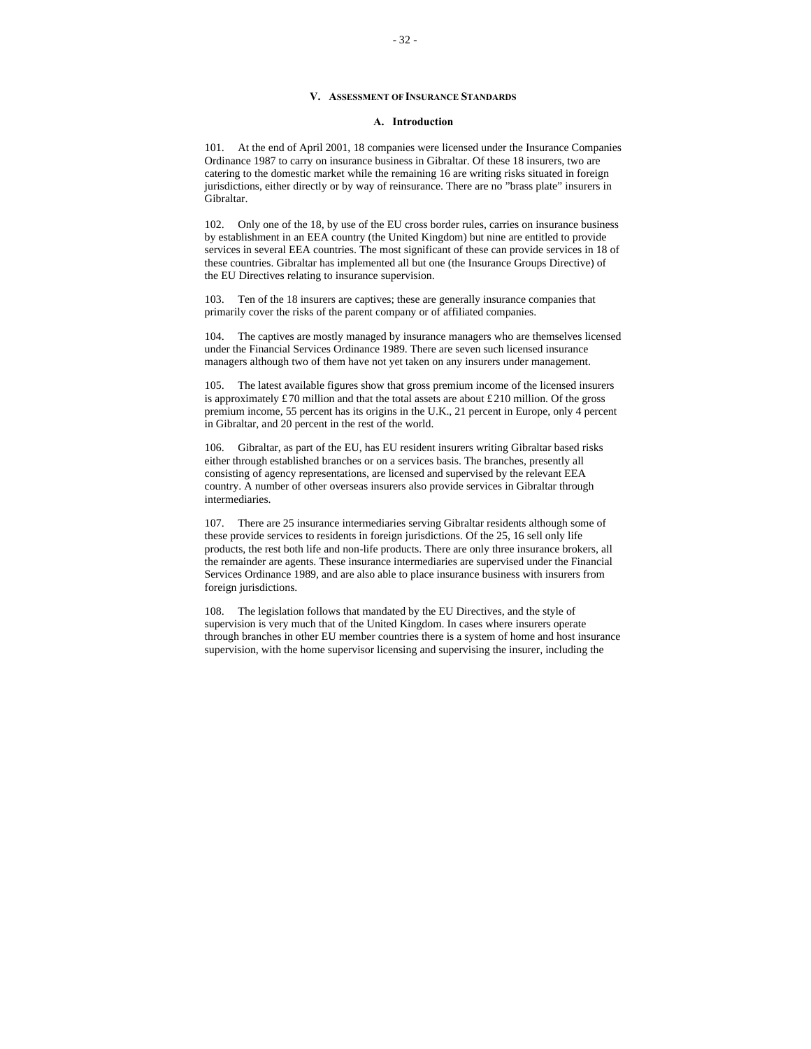# **V. ASSESSMENT OF INSURANCE STANDARDS**

# **A. Introduction**

101. At the end of April 2001, 18 companies were licensed under the Insurance Companies Ordinance 1987 to carry on insurance business in Gibraltar. Of these 18 insurers, two are catering to the domestic market while the remaining 16 are writing risks situated in foreign jurisdictions, either directly or by way of reinsurance. There are no "brass plate" insurers in Gibraltar.

102. Only one of the 18, by use of the EU cross border rules, carries on insurance business by establishment in an EEA country (the United Kingdom) but nine are entitled to provide services in several EEA countries. The most significant of these can provide services in 18 of these countries. Gibraltar has implemented all but one (the Insurance Groups Directive) of the EU Directives relating to insurance supervision.

103. Ten of the 18 insurers are captives; these are generally insurance companies that primarily cover the risks of the parent company or of affiliated companies.

104. The captives are mostly managed by insurance managers who are themselves licensed under the Financial Services Ordinance 1989. There are seven such licensed insurance managers although two of them have not yet taken on any insurers under management.

105. The latest available figures show that gross premium income of the licensed insurers is approximately £70 million and that the total assets are about £210 million. Of the gross premium income, 55 percent has its origins in the U.K., 21 percent in Europe, only 4 percent in Gibraltar, and 20 percent in the rest of the world.

106. Gibraltar, as part of the EU, has EU resident insurers writing Gibraltar based risks either through established branches or on a services basis. The branches, presently all consisting of agency representations, are licensed and supervised by the relevant EEA country. A number of other overseas insurers also provide services in Gibraltar through intermediaries.

107. There are 25 insurance intermediaries serving Gibraltar residents although some of these provide services to residents in foreign jurisdictions. Of the 25, 16 sell only life products, the rest both life and non-life products. There are only three insurance brokers, all the remainder are agents. These insurance intermediaries are supervised under the Financial Services Ordinance 1989, and are also able to place insurance business with insurers from foreign jurisdictions.

108. The legislation follows that mandated by the EU Directives, and the style of supervision is very much that of the United Kingdom. In cases where insurers operate through branches in other EU member countries there is a system of home and host insurance supervision, with the home supervisor licensing and supervising the insurer, including the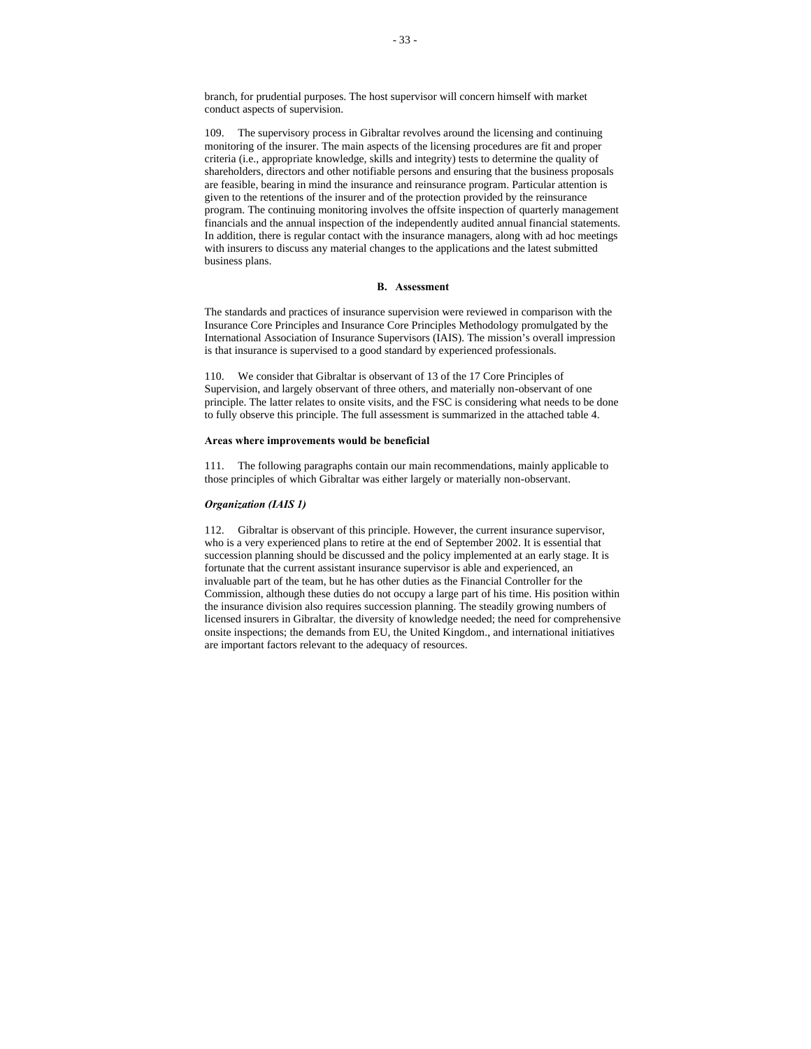branch, for prudential purposes. The host supervisor will concern himself with market conduct aspects of supervision.

109. The supervisory process in Gibraltar revolves around the licensing and continuing monitoring of the insurer. The main aspects of the licensing procedures are fit and proper criteria (i.e., appropriate knowledge, skills and integrity) tests to determine the quality of shareholders, directors and other notifiable persons and ensuring that the business proposals are feasible, bearing in mind the insurance and reinsurance program. Particular attention is given to the retentions of the insurer and of the protection provided by the reinsurance program. The continuing monitoring involves the offsite inspection of quarterly management financials and the annual inspection of the independently audited annual financial statements. In addition, there is regular contact with the insurance managers, along with ad hoc meetings with insurers to discuss any material changes to the applications and the latest submitted business plans.

#### **B. Assessment**

The standards and practices of insurance supervision were reviewed in comparison with the Insurance Core Principles and Insurance Core Principles Methodology promulgated by the International Association of Insurance Supervisors (IAIS). The mission's overall impression is that insurance is supervised to a good standard by experienced professionals.

110. We consider that Gibraltar is observant of 13 of the 17 Core Principles of Supervision, and largely observant of three others, and materially non-observant of one principle. The latter relates to onsite visits, and the FSC is considering what needs to be done to fully observe this principle. The full assessment is summarized in the attached table 4.

#### **Areas where improvements would be beneficial**

111. The following paragraphs contain our main recommendations, mainly applicable to those principles of which Gibraltar was either largely or materially non-observant.

#### *Organization (IAIS 1)*

112. Gibraltar is observant of this principle. However, the current insurance supervisor, who is a very experienced plans to retire at the end of September 2002. It is essential that succession planning should be discussed and the policy implemented at an early stage. It is fortunate that the current assistant insurance supervisor is able and experienced, an invaluable part of the team, but he has other duties as the Financial Controller for the Commission, although these duties do not occupy a large part of his time. His position within the insurance division also requires succession planning. The steadily growing numbers of licensed insurers in Gibraltar*,* the diversity of knowledge needed; the need for comprehensive onsite inspections; the demands from EU, the United Kingdom., and international initiatives are important factors relevant to the adequacy of resources.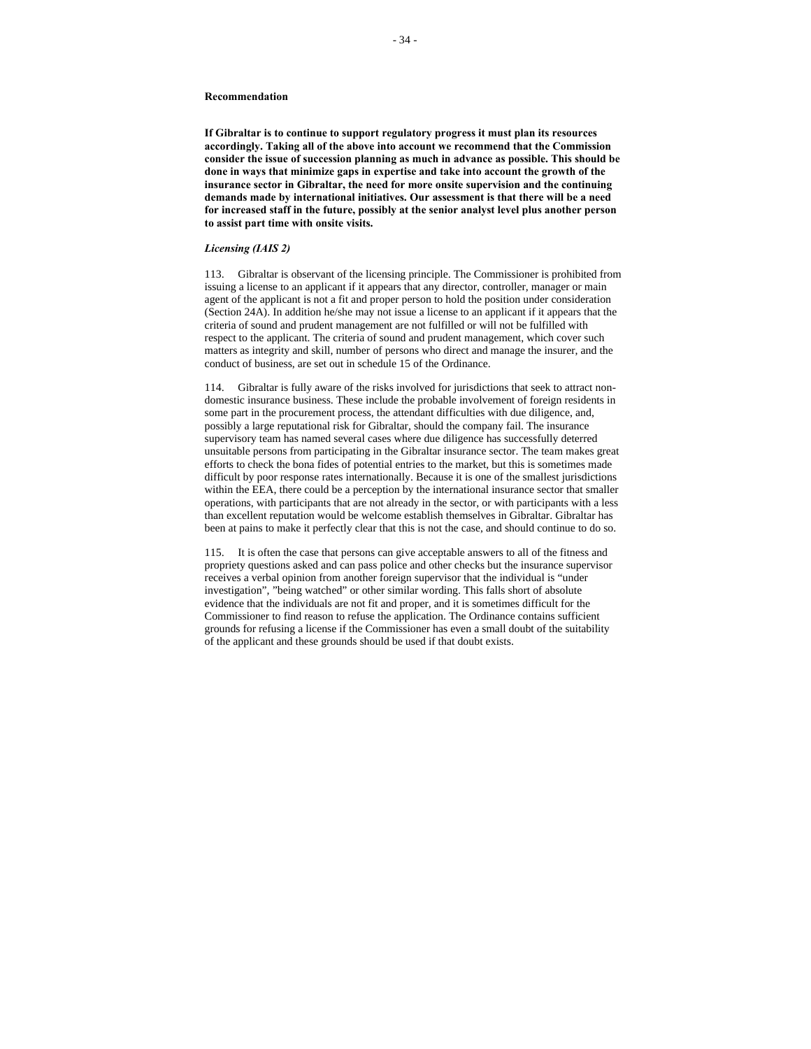**If Gibraltar is to continue to support regulatory progress it must plan its resources accordingly. Taking all of the above into account we recommend that the Commission consider the issue of succession planning as much in advance as possible. This should be done in ways that minimize gaps in expertise and take into account the growth of the insurance sector in Gibraltar, the need for more onsite supervision and the continuing demands made by international initiatives. Our assessment is that there will be a need for increased staff in the future, possibly at the senior analyst level plus another person to assist part time with onsite visits.** 

### *Licensing (IAIS 2)*

113. Gibraltar is observant of the licensing principle. The Commissioner is prohibited from issuing a license to an applicant if it appears that any director, controller, manager or main agent of the applicant is not a fit and proper person to hold the position under consideration (Section 24A). In addition he/she may not issue a license to an applicant if it appears that the criteria of sound and prudent management are not fulfilled or will not be fulfilled with respect to the applicant. The criteria of sound and prudent management, which cover such matters as integrity and skill, number of persons who direct and manage the insurer, and the conduct of business, are set out in schedule 15 of the Ordinance.

114. Gibraltar is fully aware of the risks involved for jurisdictions that seek to attract nondomestic insurance business. These include the probable involvement of foreign residents in some part in the procurement process, the attendant difficulties with due diligence, and, possibly a large reputational risk for Gibraltar, should the company fail. The insurance supervisory team has named several cases where due diligence has successfully deterred unsuitable persons from participating in the Gibraltar insurance sector. The team makes great efforts to check the bona fides of potential entries to the market, but this is sometimes made difficult by poor response rates internationally. Because it is one of the smallest jurisdictions within the EEA, there could be a perception by the international insurance sector that smaller operations, with participants that are not already in the sector, or with participants with a less than excellent reputation would be welcome establish themselves in Gibraltar. Gibraltar has been at pains to make it perfectly clear that this is not the case, and should continue to do so.

115. It is often the case that persons can give acceptable answers to all of the fitness and propriety questions asked and can pass police and other checks but the insurance supervisor receives a verbal opinion from another foreign supervisor that the individual is "under investigation", "being watched" or other similar wording. This falls short of absolute evidence that the individuals are not fit and proper, and it is sometimes difficult for the Commissioner to find reason to refuse the application. The Ordinance contains sufficient grounds for refusing a license if the Commissioner has even a small doubt of the suitability of the applicant and these grounds should be used if that doubt exists.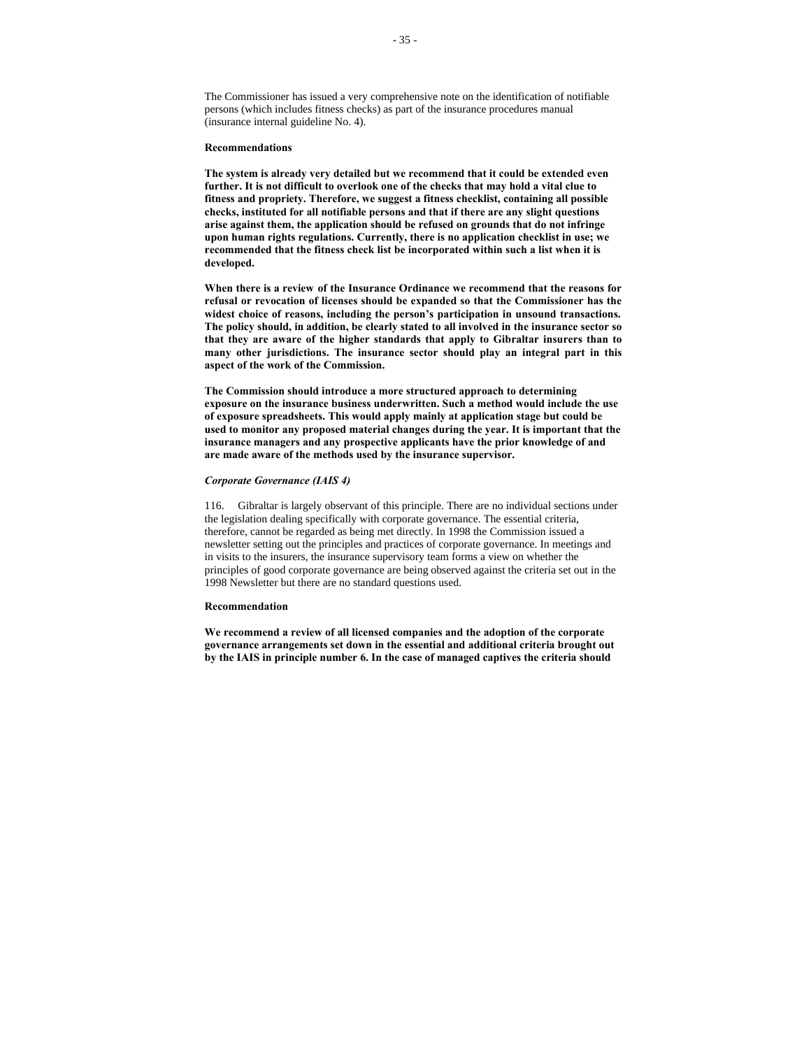The Commissioner has issued a very comprehensive note on the identification of notifiable persons (which includes fitness checks) as part of the insurance procedures manual (insurance internal guideline No. 4).

#### **Recommendations**

**The system is already very detailed but we recommend that it could be extended even further. It is not difficult to overlook one of the checks that may hold a vital clue to fitness and propriety. Therefore, we suggest a fitness checklist, containing all possible checks, instituted for all notifiable persons and that if there are any slight questions arise against them, the application should be refused on grounds that do not infringe upon human rights regulations. Currently, there is no application checklist in use; we recommended that the fitness check list be incorporated within such a list when it is developed.**

**When there is a review of the Insurance Ordinance we recommend that the reasons for refusal or revocation of licenses should be expanded so that the Commissioner has the widest choice of reasons, including the person's participation in unsound transactions. The policy should, in addition, be clearly stated to all involved in the insurance sector so that they are aware of the higher standards that apply to Gibraltar insurers than to many other jurisdictions. The insurance sector should play an integral part in this aspect of the work of the Commission.**

**The Commission should introduce a more structured approach to determining exposure on the insurance business underwritten. Such a method would include the use of exposure spreadsheets. This would apply mainly at application stage but could be used to monitor any proposed material changes during the year. It is important that the insurance managers and any prospective applicants have the prior knowledge of and are made aware of the methods used by the insurance supervisor.** 

#### *Corporate Governance (IAIS 4)*

116. Gibraltar is largely observant of this principle. There are no individual sections under the legislation dealing specifically with corporate governance. The essential criteria, therefore, cannot be regarded as being met directly. In 1998 the Commission issued a newsletter setting out the principles and practices of corporate governance. In meetings and in visits to the insurers, the insurance supervisory team forms a view on whether the principles of good corporate governance are being observed against the criteria set out in the 1998 Newsletter but there are no standard questions used.

#### **Recommendation**

**We recommend a review of all licensed companies and the adoption of the corporate governance arrangements set down in the essential and additional criteria brought out by the IAIS in principle number 6. In the case of managed captives the criteria should**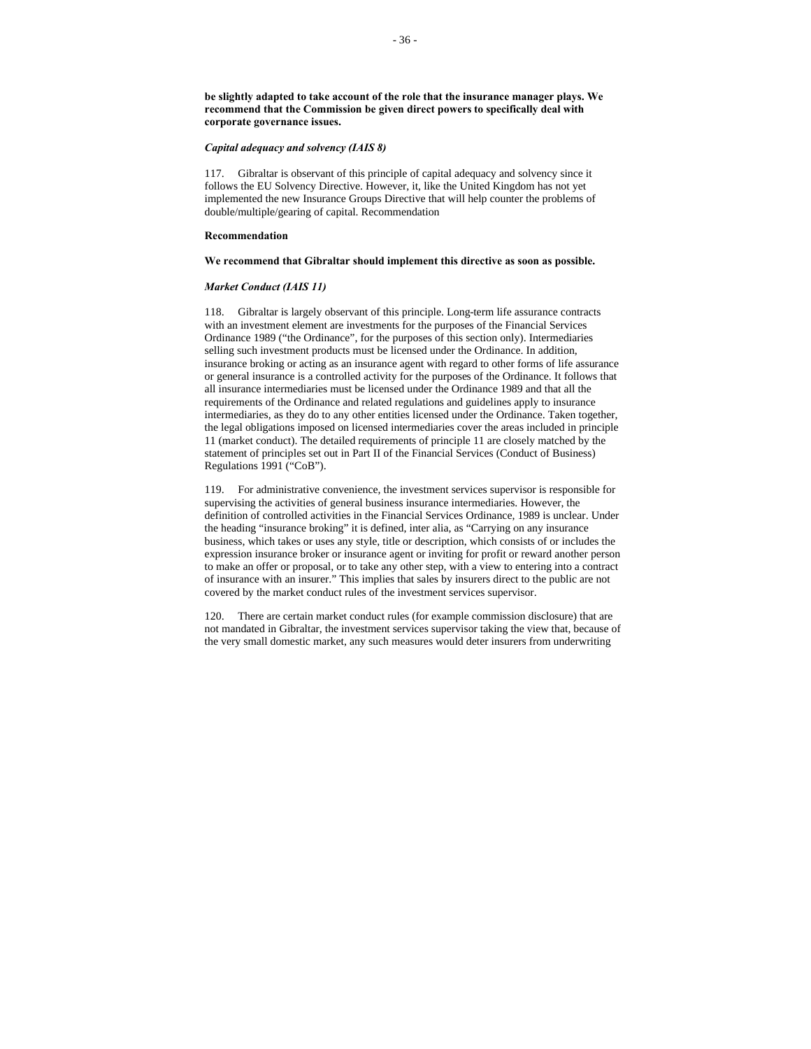**be slightly adapted to take account of the role that the insurance manager plays. We recommend that the Commission be given direct powers to specifically deal with corporate governance issues.**

# *Capital adequacy and solvency (IAIS 8)*

117. Gibraltar is observant of this principle of capital adequacy and solvency since it follows the EU Solvency Directive. However, it, like the United Kingdom has not yet implemented the new Insurance Groups Directive that will help counter the problems of double/multiple/gearing of capital. Recommendation

#### **Recommendation**

#### **We recommend that Gibraltar should implement this directive as soon as possible.**

## *Market Conduct (IAIS 11)*

118. Gibraltar is largely observant of this principle. Long-term life assurance contracts with an investment element are investments for the purposes of the Financial Services Ordinance 1989 ("the Ordinance", for the purposes of this section only). Intermediaries selling such investment products must be licensed under the Ordinance. In addition, insurance broking or acting as an insurance agent with regard to other forms of life assurance or general insurance is a controlled activity for the purposes of the Ordinance. It follows that all insurance intermediaries must be licensed under the Ordinance 1989 and that all the requirements of the Ordinance and related regulations and guidelines apply to insurance intermediaries, as they do to any other entities licensed under the Ordinance. Taken together, the legal obligations imposed on licensed intermediaries cover the areas included in principle 11 (market conduct). The detailed requirements of principle 11 are closely matched by the statement of principles set out in Part II of the Financial Services (Conduct of Business) Regulations 1991 ("CoB").

119. For administrative convenience, the investment services supervisor is responsible for supervising the activities of general business insurance intermediaries. However, the definition of controlled activities in the Financial Services Ordinance, 1989 is unclear. Under the heading "insurance broking" it is defined, inter alia, as "Carrying on any insurance business, which takes or uses any style, title or description, which consists of or includes the expression insurance broker or insurance agent or inviting for profit or reward another person to make an offer or proposal, or to take any other step, with a view to entering into a contract of insurance with an insurer." This implies that sales by insurers direct to the public are not covered by the market conduct rules of the investment services supervisor.

120. There are certain market conduct rules (for example commission disclosure) that are not mandated in Gibraltar, the investment services supervisor taking the view that, because of the very small domestic market, any such measures would deter insurers from underwriting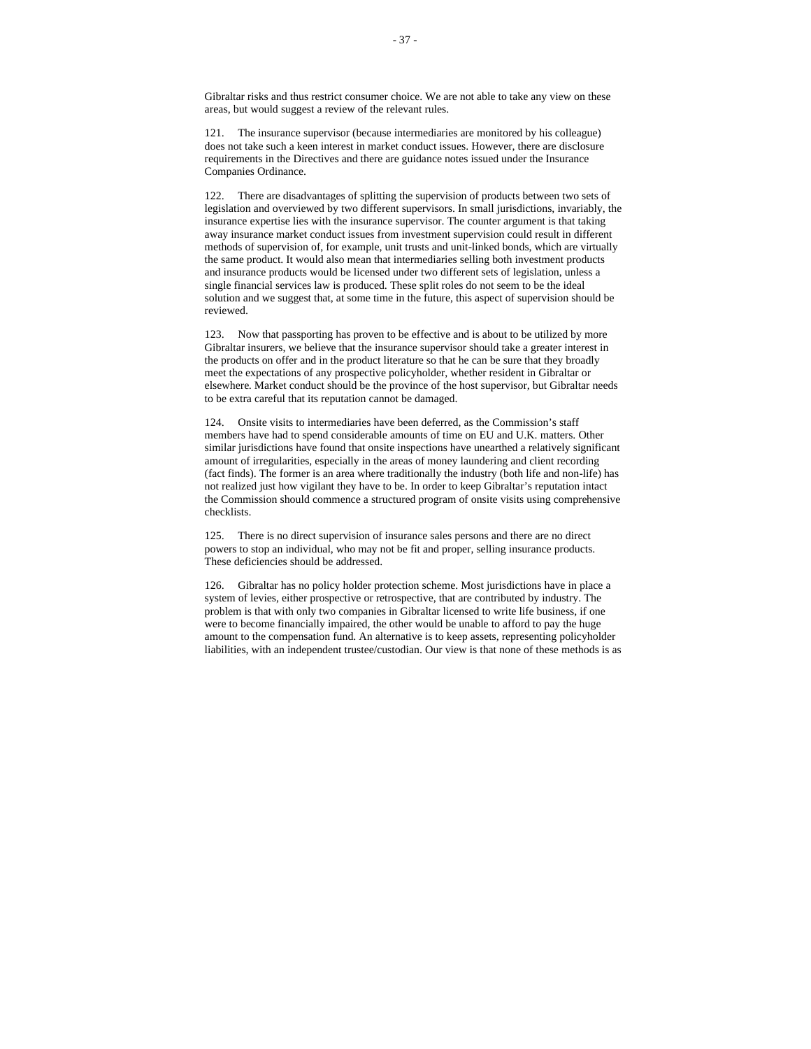121. The insurance supervisor (because intermediaries are monitored by his colleague) does not take such a keen interest in market conduct issues. However, there are disclosure requirements in the Directives and there are guidance notes issued under the Insurance Companies Ordinance.

There are disadvantages of splitting the supervision of products between two sets of legislation and overviewed by two different supervisors. In small jurisdictions, invariably, the insurance expertise lies with the insurance supervisor. The counter argument is that taking away insurance market conduct issues from investment supervision could result in different methods of supervision of, for example, unit trusts and unit-linked bonds, which are virtually the same product. It would also mean that intermediaries selling both investment products and insurance products would be licensed under two different sets of legislation, unless a single financial services law is produced. These split roles do not seem to be the ideal solution and we suggest that, at some time in the future, this aspect of supervision should be reviewed.

123. Now that passporting has proven to be effective and is about to be utilized by more Gibraltar insurers, we believe that the insurance supervisor should take a greater interest in the products on offer and in the product literature so that he can be sure that they broadly meet the expectations of any prospective policyholder, whether resident in Gibraltar or elsewhere. Market conduct should be the province of the host supervisor, but Gibraltar needs to be extra careful that its reputation cannot be damaged.

124. Onsite visits to intermediaries have been deferred, as the Commission's staff members have had to spend considerable amounts of time on EU and U.K. matters. Other similar jurisdictions have found that onsite inspections have unearthed a relatively significant amount of irregularities, especially in the areas of money laundering and client recording (fact finds). The former is an area where traditionally the industry (both life and non-life) has not realized just how vigilant they have to be. In order to keep Gibraltar's reputation intact the Commission should commence a structured program of onsite visits using comprehensive checklists.

125. There is no direct supervision of insurance sales persons and there are no direct powers to stop an individual, who may not be fit and proper, selling insurance products. These deficiencies should be addressed.

126. Gibraltar has no policy holder protection scheme. Most jurisdictions have in place a system of levies, either prospective or retrospective, that are contributed by industry. The problem is that with only two companies in Gibraltar licensed to write life business, if one were to become financially impaired, the other would be unable to afford to pay the huge amount to the compensation fund. An alternative is to keep assets, representing policyholder liabilities, with an independent trustee/custodian. Our view is that none of these methods is as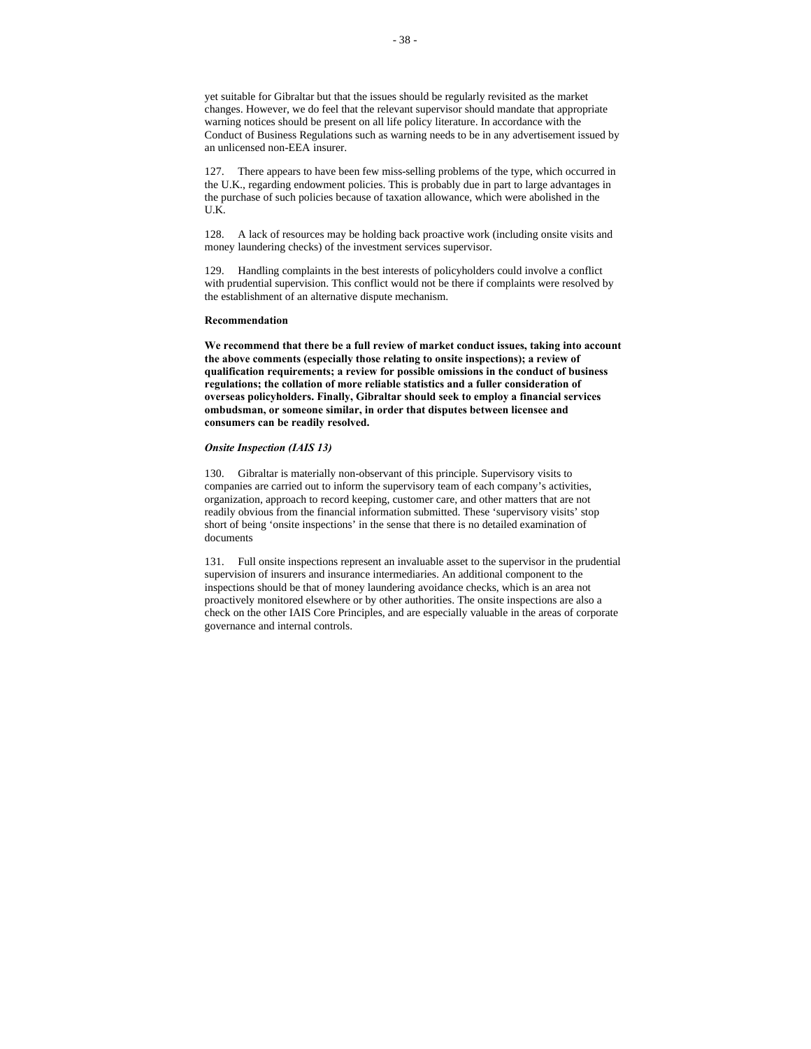yet suitable for Gibraltar but that the issues should be regularly revisited as the market changes. However, we do feel that the relevant supervisor should mandate that appropriate warning notices should be present on all life policy literature. In accordance with the Conduct of Business Regulations such as warning needs to be in any advertisement issued by an unlicensed non-EEA insurer.

127. There appears to have been few miss-selling problems of the type, which occurred in the U.K., regarding endowment policies. This is probably due in part to large advantages in the purchase of such policies because of taxation allowance, which were abolished in the U.K.

128. A lack of resources may be holding back proactive work (including onsite visits and money laundering checks) of the investment services supervisor.

129. Handling complaints in the best interests of policyholders could involve a conflict with prudential supervision. This conflict would not be there if complaints were resolved by the establishment of an alternative dispute mechanism.

#### **Recommendation**

**We recommend that there be a full review of market conduct issues, taking into account the above comments (especially those relating to onsite inspections); a review of qualification requirements; a review for possible omissions in the conduct of business regulations; the collation of more reliable statistics and a fuller consideration of overseas policyholders. Finally, Gibraltar should seek to employ a financial services ombudsman, or someone similar, in order that disputes between licensee and consumers can be readily resolved.**

#### *Onsite Inspection (IAIS 13)*

130. Gibraltar is materially non-observant of this principle. Supervisory visits to companies are carried out to inform the supervisory team of each company's activities, organization, approach to record keeping, customer care, and other matters that are not readily obvious from the financial information submitted. These 'supervisory visits' stop short of being 'onsite inspections' in the sense that there is no detailed examination of documents

131. Full onsite inspections represent an invaluable asset to the supervisor in the prudential supervision of insurers and insurance intermediaries. An additional component to the inspections should be that of money laundering avoidance checks, which is an area not proactively monitored elsewhere or by other authorities. The onsite inspections are also a check on the other IAIS Core Principles, and are especially valuable in the areas of corporate governance and internal controls.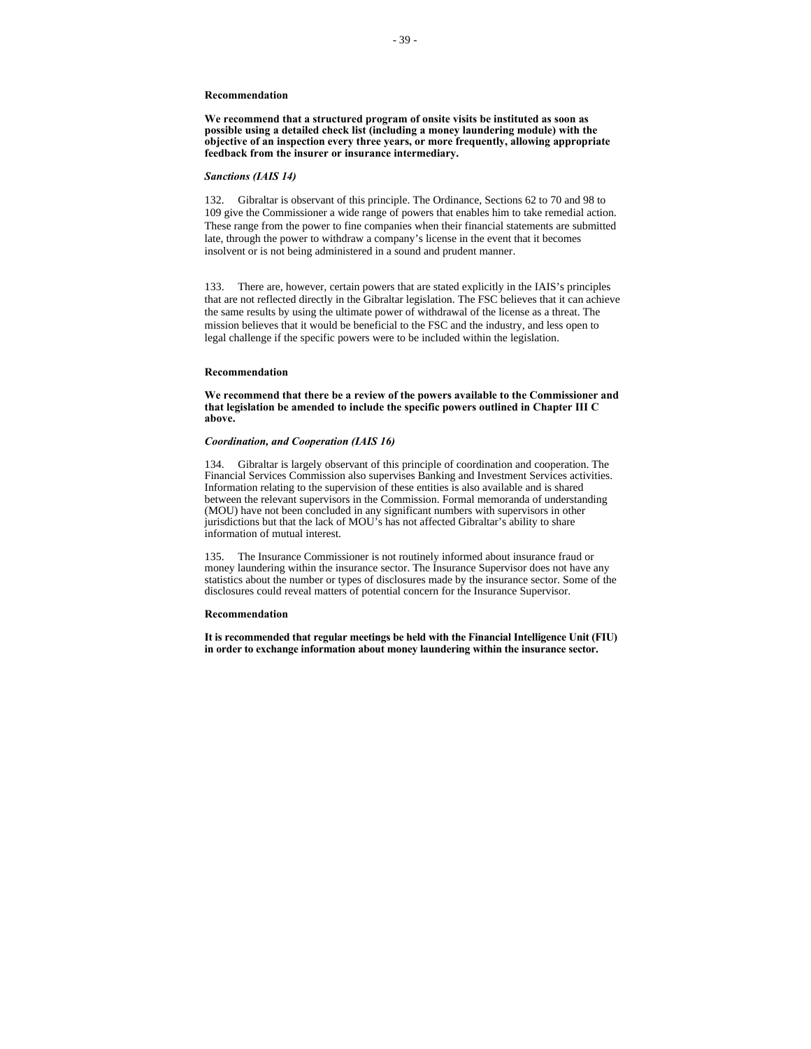**We recommend that a structured program of onsite visits be instituted as soon as possible using a detailed check list (including a money laundering module) with the objective of an inspection every three years, or more frequently, allowing appropriate feedback from the insurer or insurance intermediary.** 

#### *Sanctions (IAIS 14)*

132. Gibraltar is observant of this principle. The Ordinance, Sections 62 to 70 and 98 to 109 give the Commissioner a wide range of powers that enables him to take remedial action. These range from the power to fine companies when their financial statements are submitted late, through the power to withdraw a company's license in the event that it becomes insolvent or is not being administered in a sound and prudent manner.

133. There are, however, certain powers that are stated explicitly in the IAIS's principles that are not reflected directly in the Gibraltar legislation. The FSC believes that it can achieve the same results by using the ultimate power of withdrawal of the license as a threat. The mission believes that it would be beneficial to the FSC and the industry, and less open to legal challenge if the specific powers were to be included within the legislation.

#### **Recommendation**

**We recommend that there be a review of the powers available to the Commissioner and that legislation be amended to include the specific powers outlined in Chapter III C above.**

#### *Coordination, and Cooperation (IAIS 16)*

134. Gibraltar is largely observant of this principle of coordination and cooperation. The Financial Services Commission also supervises Banking and Investment Services activities. Information relating to the supervision of these entities is also available and is shared between the relevant supervisors in the Commission. Formal memoranda of understanding (MOU) have not been concluded in any significant numbers with supervisors in other jurisdictions but that the lack of MOU's has not affected Gibraltar's ability to share information of mutual interest.

135. The Insurance Commissioner is not routinely informed about insurance fraud or money laundering within the insurance sector. The Insurance Supervisor does not have any statistics about the number or types of disclosures made by the insurance sector. Some of the disclosures could reveal matters of potential concern for the Insurance Supervisor.

#### **Recommendation**

**It is recommended that regular meetings be held with the Financial Intelligence Unit (FIU) in order to exchange information about money laundering within the insurance sector.**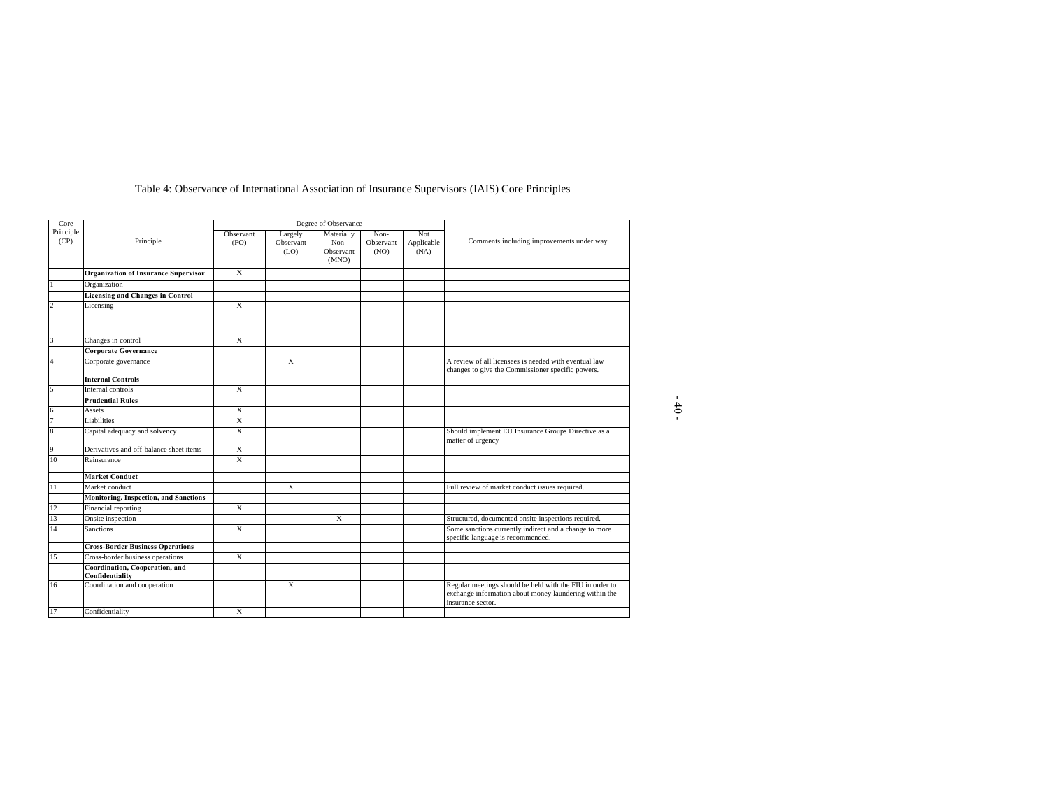| Core              |                                                   |                         | Degree of Observance         |                                          |                           |                           |                                                                                                                                         |  |
|-------------------|---------------------------------------------------|-------------------------|------------------------------|------------------------------------------|---------------------------|---------------------------|-----------------------------------------------------------------------------------------------------------------------------------------|--|
| Principle<br>(CP) | Principle                                         | Observant<br>(FO)       | Largely<br>Observant<br>(LO) | Materially<br>Non-<br>Observant<br>(MNO) | Non-<br>Observant<br>(NO) | Not<br>Applicable<br>(NA) | Comments including improvements under way                                                                                               |  |
|                   | <b>Organization of Insurance Supervisor</b>       | X                       |                              |                                          |                           |                           |                                                                                                                                         |  |
|                   | Organization                                      |                         |                              |                                          |                           |                           |                                                                                                                                         |  |
|                   | <b>Licensing and Changes in Control</b>           |                         |                              |                                          |                           |                           |                                                                                                                                         |  |
| $\overline{2}$    | Licensing                                         | X                       |                              |                                          |                           |                           |                                                                                                                                         |  |
| 3                 | Changes in control                                | X                       |                              |                                          |                           |                           |                                                                                                                                         |  |
|                   | <b>Corporate Governance</b>                       |                         |                              |                                          |                           |                           |                                                                                                                                         |  |
| $\overline{4}$    | Corporate governance                              |                         | X                            |                                          |                           |                           | A review of all licensees is needed with eventual law<br>changes to give the Commissioner specific powers.                              |  |
|                   | <b>Internal Controls</b>                          |                         |                              |                                          |                           |                           |                                                                                                                                         |  |
| 5                 | Internal controls                                 | X                       |                              |                                          |                           |                           |                                                                                                                                         |  |
|                   | <b>Prudential Rules</b>                           |                         |                              |                                          |                           |                           |                                                                                                                                         |  |
| 6                 | Assets                                            | X                       |                              |                                          |                           |                           |                                                                                                                                         |  |
| 7                 | Liabilities                                       | X                       |                              |                                          |                           |                           |                                                                                                                                         |  |
| 8                 | Capital adequacy and solvency                     | X                       |                              |                                          |                           |                           | Should implement EU Insurance Groups Directive as a<br>matter of urgency                                                                |  |
| 9                 | Derivatives and off-balance sheet items           | X                       |                              |                                          |                           |                           |                                                                                                                                         |  |
| 10                | Reinsurance                                       | X                       |                              |                                          |                           |                           |                                                                                                                                         |  |
|                   | <b>Market Conduct</b>                             |                         |                              |                                          |                           |                           |                                                                                                                                         |  |
| 11                | Market conduct                                    |                         | X                            |                                          |                           |                           | Full review of market conduct issues required.                                                                                          |  |
|                   | <b>Monitoring, Inspection, and Sanctions</b>      |                         |                              |                                          |                           |                           |                                                                                                                                         |  |
| 12                | Financial reporting                               | $\overline{\mathbf{x}}$ |                              |                                          |                           |                           |                                                                                                                                         |  |
| 13                | Onsite inspection                                 |                         |                              | X                                        |                           |                           | Structured, documented onsite inspections required.                                                                                     |  |
| 14                | <b>Sanctions</b>                                  | $\overline{X}$          |                              |                                          |                           |                           | Some sanctions currently indirect and a change to more<br>specific language is recommended.                                             |  |
|                   | <b>Cross-Border Business Operations</b>           |                         |                              |                                          |                           |                           |                                                                                                                                         |  |
| 15                | Cross-border business operations                  | $\overline{X}$          |                              |                                          |                           |                           |                                                                                                                                         |  |
|                   | Coordination, Cooperation, and<br>Confidentiality |                         |                              |                                          |                           |                           |                                                                                                                                         |  |
| 16                | Coordination and cooperation                      |                         | $\overline{X}$               |                                          |                           |                           | Regular meetings should be held with the FIU in order to<br>exchange information about money laundering within the<br>insurance sector. |  |
| 17                | Confidentiality                                   | X                       |                              |                                          |                           |                           |                                                                                                                                         |  |

# Table 4: Observance of International Association of Insurance Supervisors (IAIS) Core Principles

- 40 -

 $\overline{\phantom{1}}$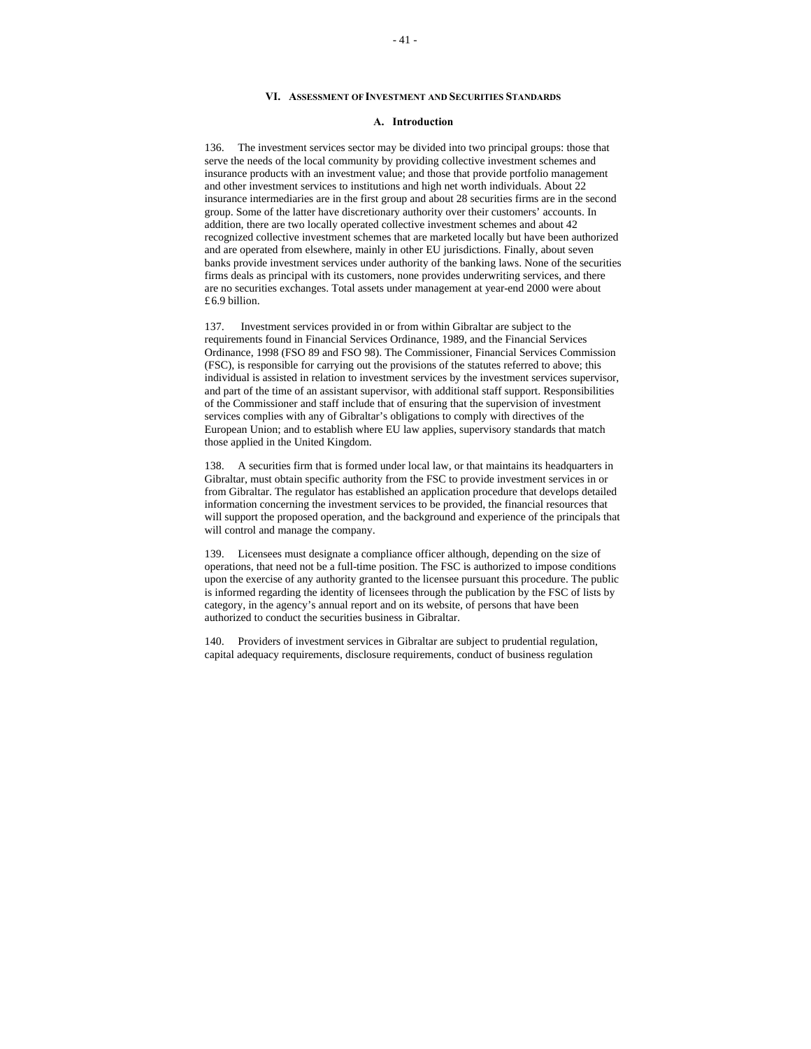#### **VI. ASSESSMENT OF INVESTMENT AND SECURITIES STANDARDS**

# **A. Introduction**

136. The investment services sector may be divided into two principal groups: those that serve the needs of the local community by providing collective investment schemes and insurance products with an investment value; and those that provide portfolio management and other investment services to institutions and high net worth individuals. About 22 insurance intermediaries are in the first group and about 28 securities firms are in the second group. Some of the latter have discretionary authority over their customers' accounts. In addition, there are two locally operated collective investment schemes and about 42 recognized collective investment schemes that are marketed locally but have been authorized and are operated from elsewhere, mainly in other EU jurisdictions. Finally, about seven banks provide investment services under authority of the banking laws. None of the securities firms deals as principal with its customers, none provides underwriting services, and there are no securities exchanges. Total assets under management at year-end 2000 were about £6.9 billion.

137. Investment services provided in or from within Gibraltar are subject to the requirements found in Financial Services Ordinance, 1989, and the Financial Services Ordinance, 1998 (FSO 89 and FSO 98). The Commissioner, Financial Services Commission (FSC), is responsible for carrying out the provisions of the statutes referred to above; this individual is assisted in relation to investment services by the investment services supervisor, and part of the time of an assistant supervisor, with additional staff support. Responsibilities of the Commissioner and staff include that of ensuring that the supervision of investment services complies with any of Gibraltar's obligations to comply with directives of the European Union; and to establish where EU law applies, supervisory standards that match those applied in the United Kingdom.

138. A securities firm that is formed under local law, or that maintains its headquarters in Gibraltar, must obtain specific authority from the FSC to provide investment services in or from Gibraltar. The regulator has established an application procedure that develops detailed information concerning the investment services to be provided, the financial resources that will support the proposed operation, and the background and experience of the principals that will control and manage the company.

139. Licensees must designate a compliance officer although, depending on the size of operations, that need not be a full-time position. The FSC is authorized to impose conditions upon the exercise of any authority granted to the licensee pursuant this procedure. The public is informed regarding the identity of licensees through the publication by the FSC of lists by category, in the agency's annual report and on its website, of persons that have been authorized to conduct the securities business in Gibraltar.

140. Providers of investment services in Gibraltar are subject to prudential regulation, capital adequacy requirements, disclosure requirements, conduct of business regulation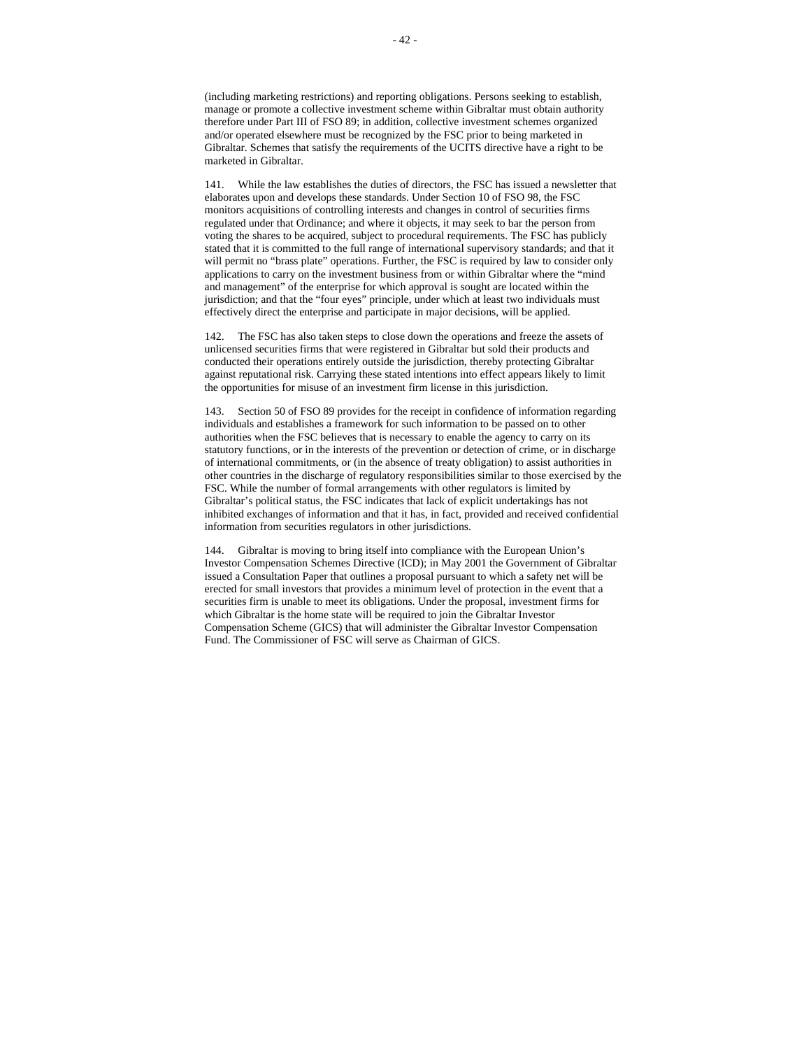141. While the law establishes the duties of directors, the FSC has issued a newsletter that elaborates upon and develops these standards. Under Section 10 of FSO 98, the FSC monitors acquisitions of controlling interests and changes in control of securities firms regulated under that Ordinance; and where it objects, it may seek to bar the person from voting the shares to be acquired, subject to procedural requirements. The FSC has publicly stated that it is committed to the full range of international supervisory standards; and that it will permit no "brass plate" operations. Further, the FSC is required by law to consider only applications to carry on the investment business from or within Gibraltar where the "mind and management" of the enterprise for which approval is sought are located within the jurisdiction; and that the "four eyes" principle, under which at least two individuals must effectively direct the enterprise and participate in major decisions, will be applied.

142. The FSC has also taken steps to close down the operations and freeze the assets of unlicensed securities firms that were registered in Gibraltar but sold their products and conducted their operations entirely outside the jurisdiction, thereby protecting Gibraltar against reputational risk. Carrying these stated intentions into effect appears likely to limit the opportunities for misuse of an investment firm license in this jurisdiction.

143. Section 50 of FSO 89 provides for the receipt in confidence of information regarding individuals and establishes a framework for such information to be passed on to other authorities when the FSC believes that is necessary to enable the agency to carry on its statutory functions, or in the interests of the prevention or detection of crime, or in discharge of international commitments, or (in the absence of treaty obligation) to assist authorities in other countries in the discharge of regulatory responsibilities similar to those exercised by the FSC. While the number of formal arrangements with other regulators is limited by Gibraltar's political status, the FSC indicates that lack of explicit undertakings has not inhibited exchanges of information and that it has, in fact, provided and received confidential information from securities regulators in other jurisdictions.

144. Gibraltar is moving to bring itself into compliance with the European Union's Investor Compensation Schemes Directive (ICD); in May 2001 the Government of Gibraltar issued a Consultation Paper that outlines a proposal pursuant to which a safety net will be erected for small investors that provides a minimum level of protection in the event that a securities firm is unable to meet its obligations. Under the proposal, investment firms for which Gibraltar is the home state will be required to join the Gibraltar Investor Compensation Scheme (GICS) that will administer the Gibraltar Investor Compensation Fund. The Commissioner of FSC will serve as Chairman of GICS.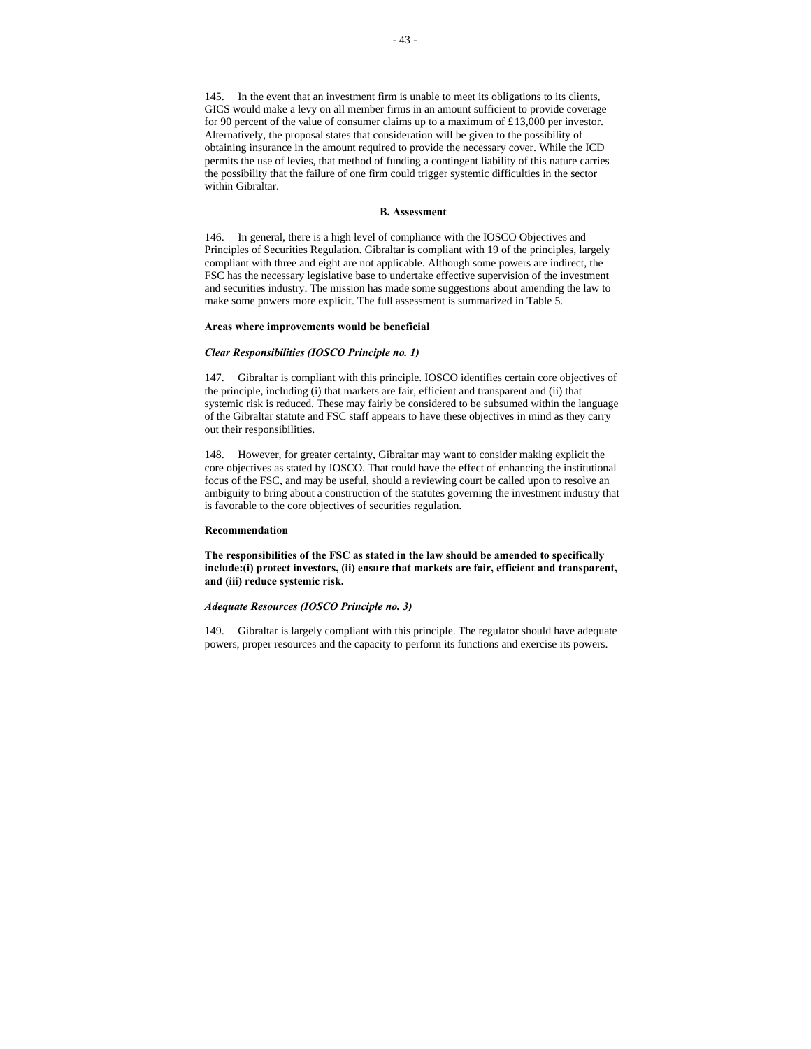145. In the event that an investment firm is unable to meet its obligations to its clients, GICS would make a levy on all member firms in an amount sufficient to provide coverage for 90 percent of the value of consumer claims up to a maximum of £13,000 per investor. Alternatively, the proposal states that consideration will be given to the possibility of obtaining insurance in the amount required to provide the necessary cover. While the ICD permits the use of levies, that method of funding a contingent liability of this nature carries the possibility that the failure of one firm could trigger systemic difficulties in the sector within Gibraltar.

#### **B. Assessment**

146. In general, there is a high level of compliance with the IOSCO Objectives and Principles of Securities Regulation. Gibraltar is compliant with 19 of the principles, largely compliant with three and eight are not applicable. Although some powers are indirect, the FSC has the necessary legislative base to undertake effective supervision of the investment and securities industry. The mission has made some suggestions about amending the law to make some powers more explicit. The full assessment is summarized in Table 5.

#### **Areas where improvements would be beneficial**

#### *Clear Responsibilities (IOSCO Principle no. 1)*

147. Gibraltar is compliant with this principle. IOSCO identifies certain core objectives of the principle, including (i) that markets are fair, efficient and transparent and (ii) that systemic risk is reduced. These may fairly be considered to be subsumed within the language of the Gibraltar statute and FSC staff appears to have these objectives in mind as they carry out their responsibilities.

148. However, for greater certainty, Gibraltar may want to consider making explicit the core objectives as stated by IOSCO. That could have the effect of enhancing the institutional focus of the FSC, and may be useful, should a reviewing court be called upon to resolve an ambiguity to bring about a construction of the statutes governing the investment industry that is favorable to the core objectives of securities regulation.

#### **Recommendation**

**The responsibilities of the FSC as stated in the law should be amended to specifically include:(i) protect investors, (ii) ensure that markets are fair, efficient and transparent, and (iii) reduce systemic risk.** 

#### *Adequate Resources (IOSCO Principle no. 3)*

149. Gibraltar is largely compliant with this principle. The regulator should have adequate powers, proper resources and the capacity to perform its functions and exercise its powers.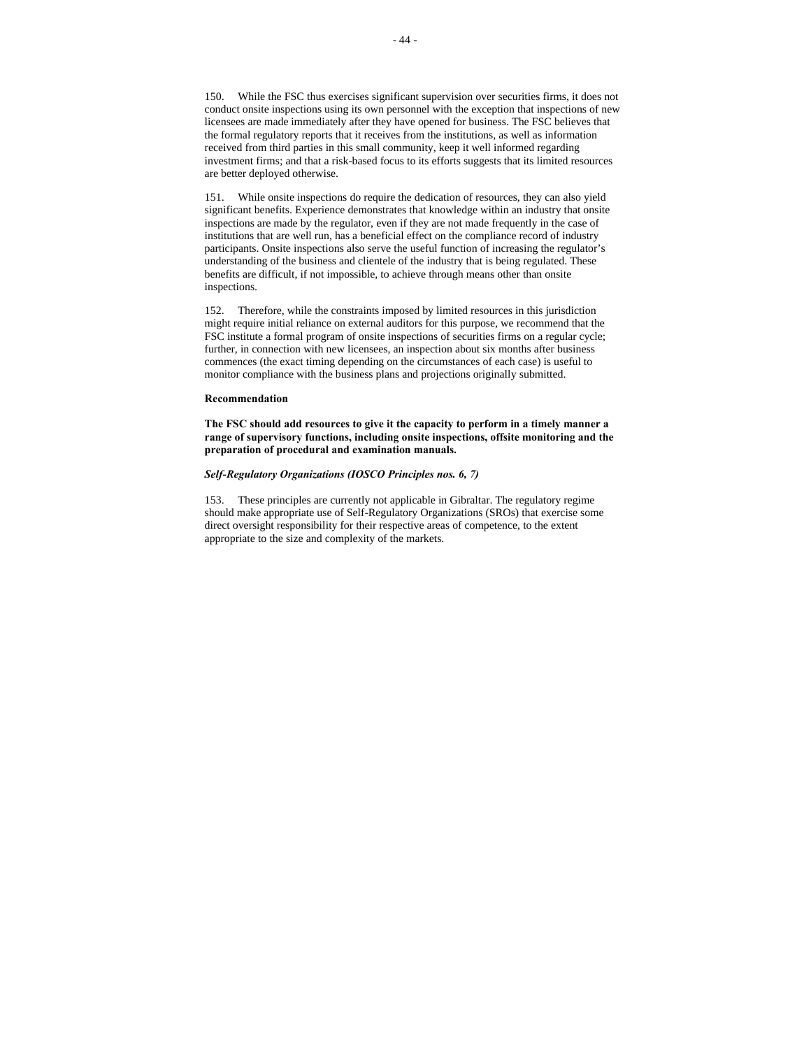150. While the FSC thus exercises significant supervision over securities firms, it does not conduct onsite inspections using its own personnel with the exception that inspections of new licensees are made immediately after they have opened for business. The FSC believes that the formal regulatory reports that it receives from the institutions, as well as information received from third parties in this small community, keep it well informed regarding investment firms; and that a risk-based focus to its efforts suggests that its limited resources are better deployed otherwise.

151. While onsite inspections do require the dedication of resources, they can also yield significant benefits. Experience demonstrates that knowledge within an industry that onsite inspections are made by the regulator, even if they are not made frequently in the case of institutions that are well run, has a beneficial effect on the compliance record of industry participants. Onsite inspections also serve the useful function of increasing the regulator's understanding of the business and clientele of the industry that is being regulated. These benefits are difficult, if not impossible, to achieve through means other than onsite inspections.

152. Therefore, while the constraints imposed by limited resources in this jurisdiction might require initial reliance on external auditors for this purpose, we recommend that the FSC institute a formal program of onsite inspections of securities firms on a regular cycle; further, in connection with new licensees, an inspection about six months after business commences (the exact timing depending on the circumstances of each case) is useful to monitor compliance with the business plans and projections originally submitted.

#### **Recommendation**

**The FSC should add resources to give it the capacity to perform in a timely manner a range of supervisory functions, including onsite inspections, offsite monitoring and the preparation of procedural and examination manuals.**

# *Self-Regulatory Organizations (IOSCO Principles nos. 6, 7)*

153. These principles are currently not applicable in Gibraltar. The regulatory regime should make appropriate use of Self-Regulatory Organizations (SROs) that exercise some direct oversight responsibility for their respective areas of competence, to the extent appropriate to the size and complexity of the markets.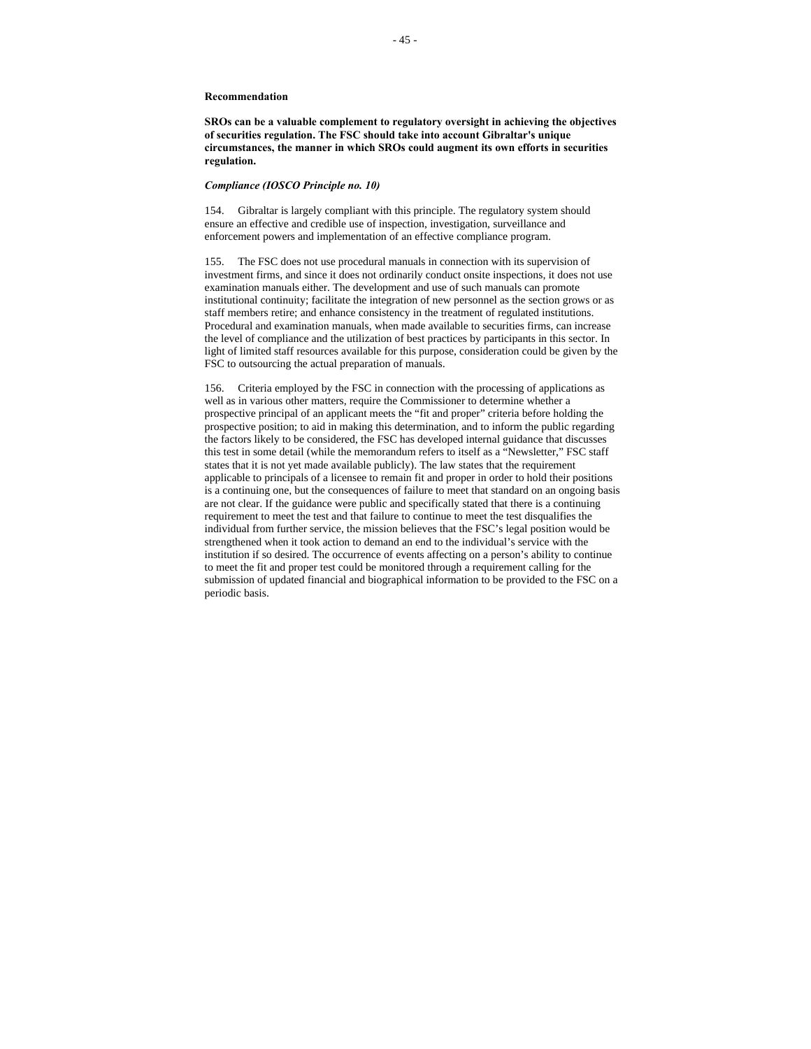**SROs can be a valuable complement to regulatory oversight in achieving the objectives of securities regulation. The FSC should take into account Gibraltar's unique circumstances, the manner in which SROs could augment its own efforts in securities regulation.**

#### *Compliance (IOSCO Principle no. 10)*

154. Gibraltar is largely compliant with this principle. The regulatory system should ensure an effective and credible use of inspection, investigation, surveillance and enforcement powers and implementation of an effective compliance program.

155. The FSC does not use procedural manuals in connection with its supervision of investment firms, and since it does not ordinarily conduct onsite inspections, it does not use examination manuals either. The development and use of such manuals can promote institutional continuity; facilitate the integration of new personnel as the section grows or as staff members retire; and enhance consistency in the treatment of regulated institutions. Procedural and examination manuals, when made available to securities firms, can increase the level of compliance and the utilization of best practices by participants in this sector. In light of limited staff resources available for this purpose, consideration could be given by the FSC to outsourcing the actual preparation of manuals.

156. Criteria employed by the FSC in connection with the processing of applications as well as in various other matters, require the Commissioner to determine whether a prospective principal of an applicant meets the "fit and proper" criteria before holding the prospective position; to aid in making this determination, and to inform the public regarding the factors likely to be considered, the FSC has developed internal guidance that discusses this test in some detail (while the memorandum refers to itself as a "Newsletter," FSC staff states that it is not yet made available publicly). The law states that the requirement applicable to principals of a licensee to remain fit and proper in order to hold their positions is a continuing one, but the consequences of failure to meet that standard on an ongoing basis are not clear. If the guidance were public and specifically stated that there is a continuing requirement to meet the test and that failure to continue to meet the test disqualifies the individual from further service, the mission believes that the FSC's legal position would be strengthened when it took action to demand an end to the individual's service with the institution if so desired. The occurrence of events affecting on a person's ability to continue to meet the fit and proper test could be monitored through a requirement calling for the submission of updated financial and biographical information to be provided to the FSC on a periodic basis.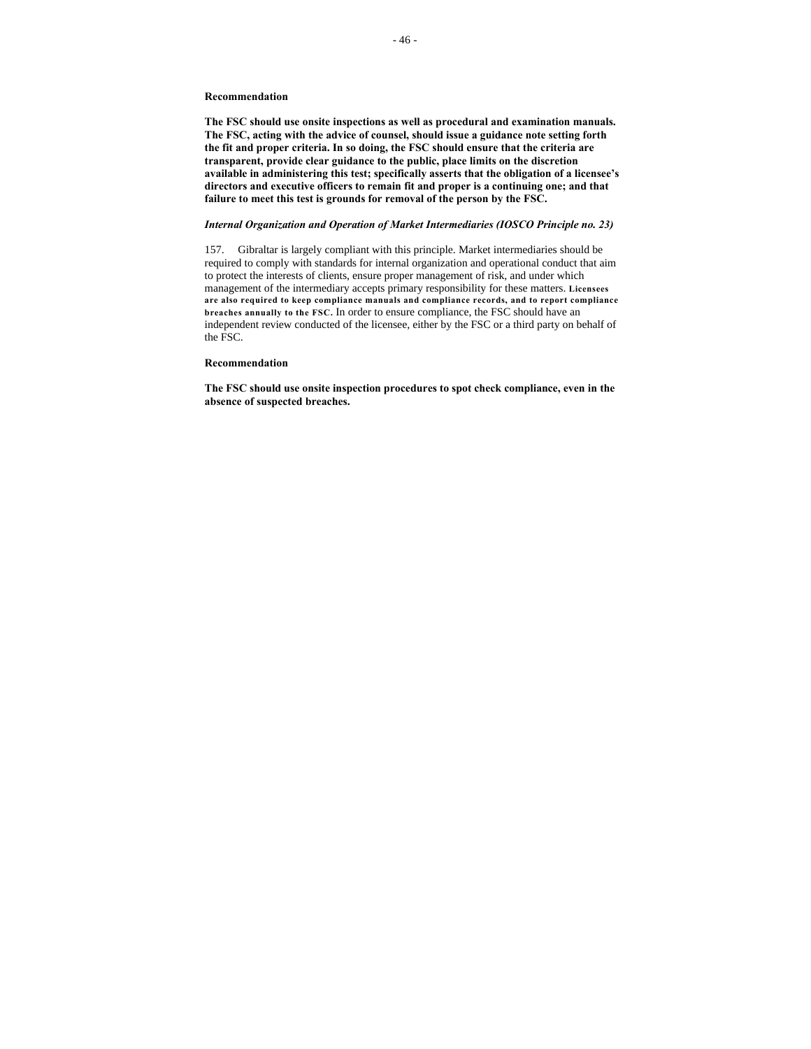**The FSC should use onsite inspections as well as procedural and examination manuals. The FSC, acting with the advice of counsel, should issue a guidance note setting forth the fit and proper criteria. In so doing, the FSC should ensure that the criteria are transparent, provide clear guidance to the public, place limits on the discretion available in administering this test; specifically asserts that the obligation of a licensee's directors and executive officers to remain fit and proper is a continuing one; and that failure to meet this test is grounds for removal of the person by the FSC.** 

# *Internal Organization and Operation of Market Intermediaries (IOSCO Principle no. 23)*

157. Gibraltar is largely compliant with this principle. Market intermediaries should be required to comply with standards for internal organization and operational conduct that aim to protect the interests of clients, ensure proper management of risk, and under which management of the intermediary accepts primary responsibility for these matters. **Licensees are also required to keep compliance manuals and compliance records, and to report compliance breaches annually to the FSC.** In order to ensure compliance, the FSC should have an independent review conducted of the licensee, either by the FSC or a third party on behalf of the FSC.

#### **Recommendation**

**The FSC should use onsite inspection procedures to spot check compliance, even in the absence of suspected breaches.**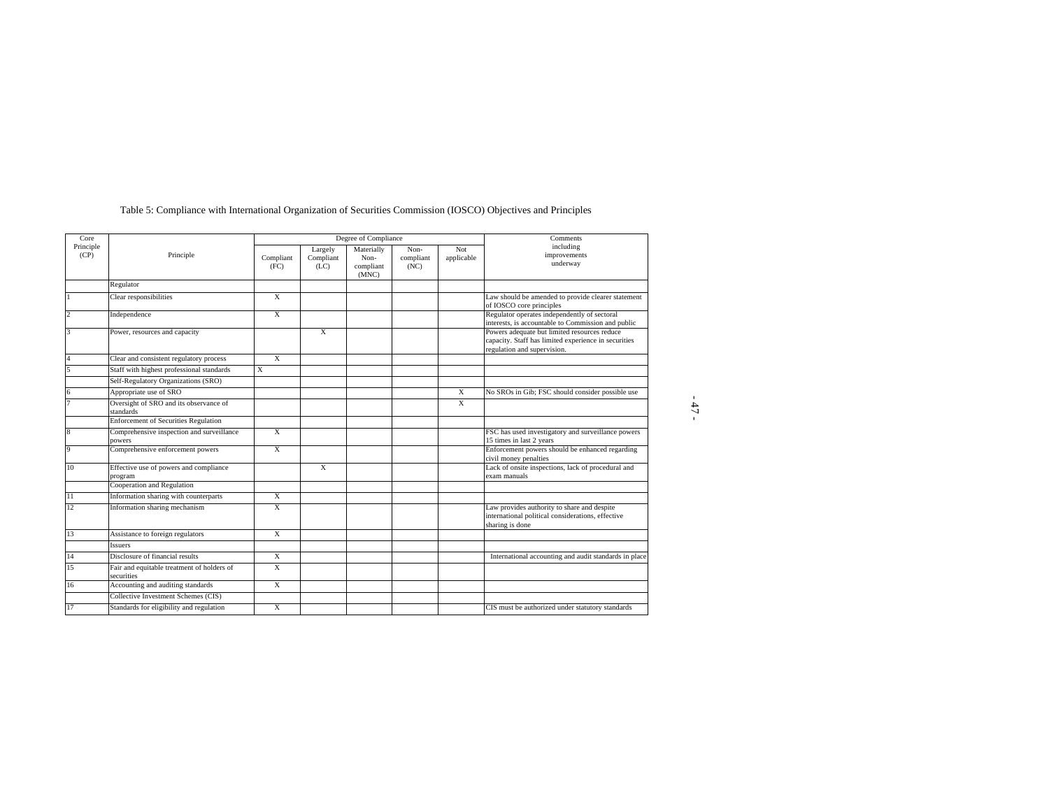| Core              |                                                          | Degree of Compliance    |                              |                                          |                           |                   | Comments                                                                                                                            |  |
|-------------------|----------------------------------------------------------|-------------------------|------------------------------|------------------------------------------|---------------------------|-------------------|-------------------------------------------------------------------------------------------------------------------------------------|--|
| Principle<br>(CP) | Principle                                                | Compliant<br>(FC)       | Largely<br>Compliant<br>(LC) | Materially<br>Non-<br>compliant<br>(MNC) | Non-<br>compliant<br>(NC) | Not<br>applicable | including<br>improvements<br>underway                                                                                               |  |
|                   | Regulator                                                |                         |                              |                                          |                           |                   |                                                                                                                                     |  |
|                   | Clear responsibilities                                   | $\overline{\mathbf{x}}$ |                              |                                          |                           |                   | Law should be amended to provide clearer statement<br>of IOSCO core principles                                                      |  |
| $\overline{2}$    | Independence                                             | $\overline{\mathbf{x}}$ |                              |                                          |                           |                   | Regulator operates independently of sectoral<br>interests, is accountable to Commission and public                                  |  |
| 3                 | Power, resources and capacity                            |                         | $\overline{X}$               |                                          |                           |                   | Powers adequate but limited resources reduce<br>capacity. Staff has limited experience in securities<br>regulation and supervision. |  |
| 4                 | Clear and consistent regulatory process                  | $\overline{X}$          |                              |                                          |                           |                   |                                                                                                                                     |  |
| 5                 | Staff with highest professional standards                | X                       |                              |                                          |                           |                   |                                                                                                                                     |  |
|                   | Self-Regulatory Organizations (SRO)                      |                         |                              |                                          |                           |                   |                                                                                                                                     |  |
| 6                 | Appropriate use of SRO                                   |                         |                              |                                          |                           | $\overline{X}$    | No SROs in Gib; FSC should consider possible use                                                                                    |  |
|                   | Oversight of SRO and its observance of<br>standards      |                         |                              |                                          |                           | $\overline{X}$    |                                                                                                                                     |  |
|                   | <b>Enforcement of Securities Regulation</b>              |                         |                              |                                          |                           |                   |                                                                                                                                     |  |
| 8                 | Comprehensive inspection and surveillance<br>powers      | X                       |                              |                                          |                           |                   | FSC has used investigatory and surveillance powers<br>15 times in last 2 years                                                      |  |
| 9                 | Comprehensive enforcement powers                         | $\overline{\mathbf{x}}$ |                              |                                          |                           |                   | Enforcement powers should be enhanced regarding<br>civil money penalties                                                            |  |
| 10                | Effective use of powers and compliance<br>program        |                         | $\overline{X}$               |                                          |                           |                   | Lack of onsite inspections, lack of procedural and<br>exam manuals                                                                  |  |
|                   | Cooperation and Regulation                               |                         |                              |                                          |                           |                   |                                                                                                                                     |  |
| $\overline{11}$   | Information sharing with counterparts                    | X                       |                              |                                          |                           |                   |                                                                                                                                     |  |
| 12                | Information sharing mechanism                            | $\overline{X}$          |                              |                                          |                           |                   | Law provides authority to share and despite<br>international political considerations, effective<br>sharing is done                 |  |
| 13                | Assistance to foreign regulators                         | X                       |                              |                                          |                           |                   |                                                                                                                                     |  |
|                   | <b>Issuers</b>                                           |                         |                              |                                          |                           |                   |                                                                                                                                     |  |
| 14                | Disclosure of financial results                          | $\overline{X}$          |                              |                                          |                           |                   | International accounting and audit standards in place                                                                               |  |
| 15                | Fair and equitable treatment of holders of<br>securities | $\overline{\mathbf{x}}$ |                              |                                          |                           |                   |                                                                                                                                     |  |
| 16                | Accounting and auditing standards                        | $\overline{\mathbf{x}}$ |                              |                                          |                           |                   |                                                                                                                                     |  |
|                   | Collective Investment Schemes (CIS)                      |                         |                              |                                          |                           |                   |                                                                                                                                     |  |
| 17                | Standards for eligibility and regulation                 | $\overline{\mathbf{x}}$ |                              |                                          |                           |                   | CIS must be authorized under statutory standards                                                                                    |  |

- 47 -

# Table 5: Compliance with International Organization of Securities Commission (IOSCO) Objectives and Principles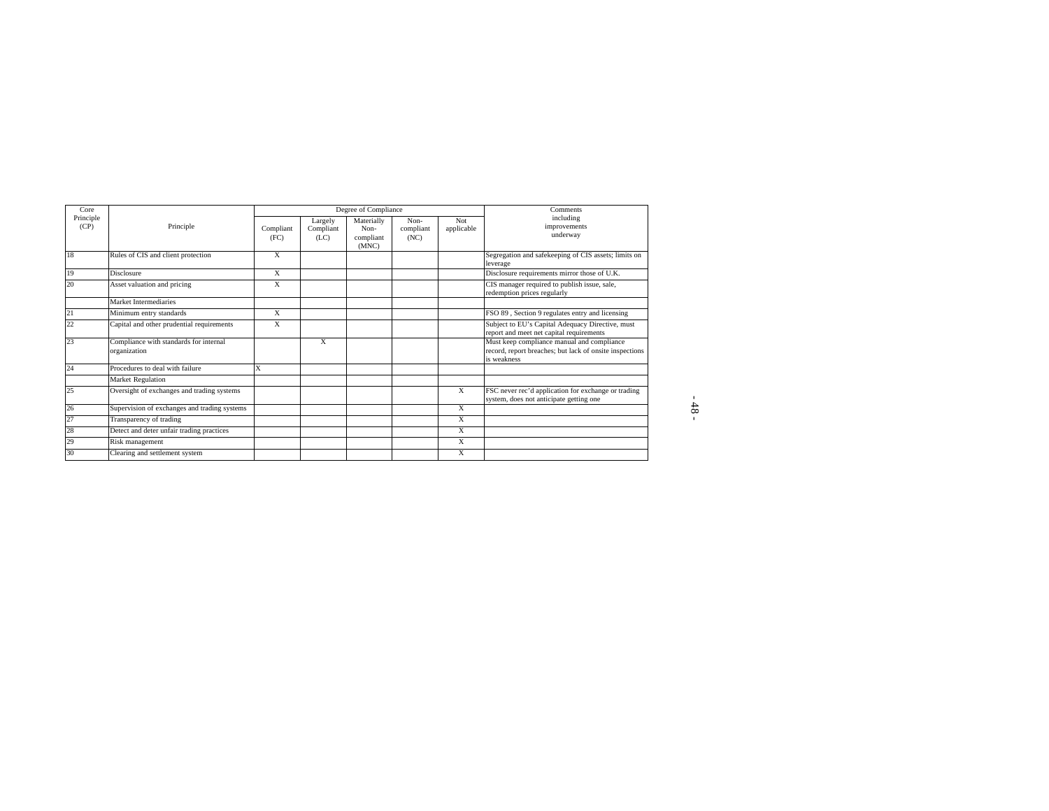| Core              |                                                        |                   |                              | Degree of Compliance                     | Comments                  |                   |                                                                                                                      |
|-------------------|--------------------------------------------------------|-------------------|------------------------------|------------------------------------------|---------------------------|-------------------|----------------------------------------------------------------------------------------------------------------------|
| Principle<br>(CP) | Principle                                              | Compliant<br>(FC) | Largely<br>Compliant<br>(LC) | Materially<br>Non-<br>compliant<br>(MNC) | Non-<br>compliant<br>(NC) | Not<br>applicable | including<br>improvements<br>underway                                                                                |
| 18                | Rules of CIS and client protection                     | X                 |                              |                                          |                           |                   | Segregation and safekeeping of CIS assets; limits on<br>leverage                                                     |
| 19                | Disclosure                                             | X                 |                              |                                          |                           |                   | Disclosure requirements mirror those of U.K.                                                                         |
| 20                | Asset valuation and pricing                            | X                 |                              |                                          |                           |                   | CIS manager required to publish issue, sale,<br>redemption prices regularly                                          |
|                   | Market Intermediaries                                  |                   |                              |                                          |                           |                   |                                                                                                                      |
| 21                | Minimum entry standards                                | X                 |                              |                                          |                           |                   | FSO 89, Section 9 regulates entry and licensing                                                                      |
| 22                | Capital and other prudential requirements              | X                 |                              |                                          |                           |                   | Subject to EU's Capital Adequacy Directive, must<br>report and meet net capital requirements                         |
| 23                | Compliance with standards for internal<br>organization |                   | X                            |                                          |                           |                   | Must keep compliance manual and compliance<br>record, report breaches; but lack of onsite inspections<br>is weakness |
| 24                | Procedures to deal with failure                        | X                 |                              |                                          |                           |                   |                                                                                                                      |
|                   | Market Regulation                                      |                   |                              |                                          |                           |                   |                                                                                                                      |
| 25                | Oversight of exchanges and trading systems             |                   |                              |                                          |                           | X                 | FSC never rec'd application for exchange or trading<br>system, does not anticipate getting one                       |
| 26                | Supervision of exchanges and trading systems           |                   |                              |                                          |                           | X                 |                                                                                                                      |
| 27                | Transparency of trading                                |                   |                              |                                          |                           | X                 |                                                                                                                      |
| 28                | Detect and deter unfair trading practices              |                   |                              |                                          |                           | $\mathbf{x}$      |                                                                                                                      |
| 29                | Risk management                                        |                   |                              |                                          |                           | X                 |                                                                                                                      |
| 30                | Clearing and settlement system                         |                   |                              |                                          |                           | X                 |                                                                                                                      |

- 48 -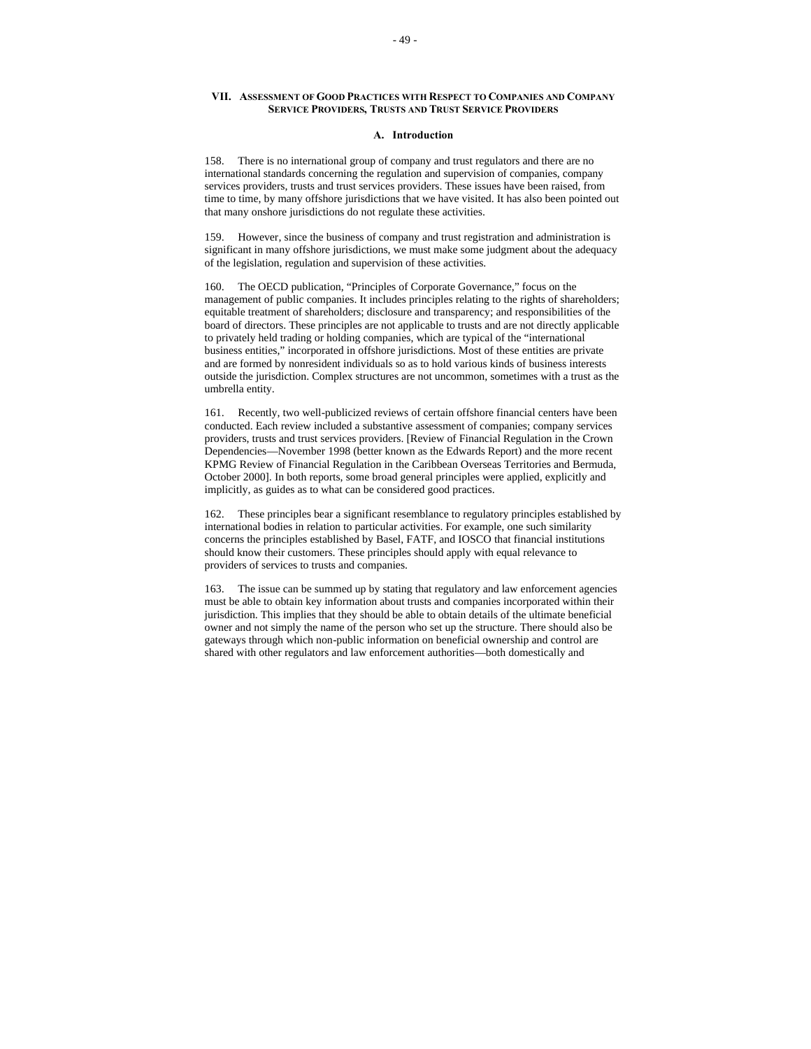# **VII. ASSESSMENT OF GOOD PRACTICES WITH RESPECT TO COMPANIES AND COMPANY SERVICE PROVIDERS, TRUSTS AND TRUST SERVICE PROVIDERS**

## **A. Introduction**

158. There is no international group of company and trust regulators and there are no international standards concerning the regulation and supervision of companies, company services providers, trusts and trust services providers. These issues have been raised, from time to time, by many offshore jurisdictions that we have visited. It has also been pointed out that many onshore jurisdictions do not regulate these activities.

159. However, since the business of company and trust registration and administration is significant in many offshore jurisdictions, we must make some judgment about the adequacy of the legislation, regulation and supervision of these activities.

160. The OECD publication, "Principles of Corporate Governance," focus on the management of public companies. It includes principles relating to the rights of shareholders; equitable treatment of shareholders; disclosure and transparency; and responsibilities of the board of directors. These principles are not applicable to trusts and are not directly applicable to privately held trading or holding companies, which are typical of the "international business entities," incorporated in offshore jurisdictions. Most of these entities are private and are formed by nonresident individuals so as to hold various kinds of business interests outside the jurisdiction. Complex structures are not uncommon, sometimes with a trust as the umbrella entity.

161. Recently, two well-publicized reviews of certain offshore financial centers have been conducted. Each review included a substantive assessment of companies; company services providers, trusts and trust services providers. [Review of Financial Regulation in the Crown Dependencies—November 1998 (better known as the Edwards Report) and the more recent KPMG Review of Financial Regulation in the Caribbean Overseas Territories and Bermuda, October 2000]. In both reports, some broad general principles were applied, explicitly and implicitly, as guides as to what can be considered good practices.

162. These principles bear a significant resemblance to regulatory principles established by international bodies in relation to particular activities. For example, one such similarity concerns the principles established by Basel, FATF, and IOSCO that financial institutions should know their customers. These principles should apply with equal relevance to providers of services to trusts and companies.

163. The issue can be summed up by stating that regulatory and law enforcement agencies must be able to obtain key information about trusts and companies incorporated within their jurisdiction. This implies that they should be able to obtain details of the ultimate beneficial owner and not simply the name of the person who set up the structure. There should also be gateways through which non-public information on beneficial ownership and control are shared with other regulators and law enforcement authorities—both domestically and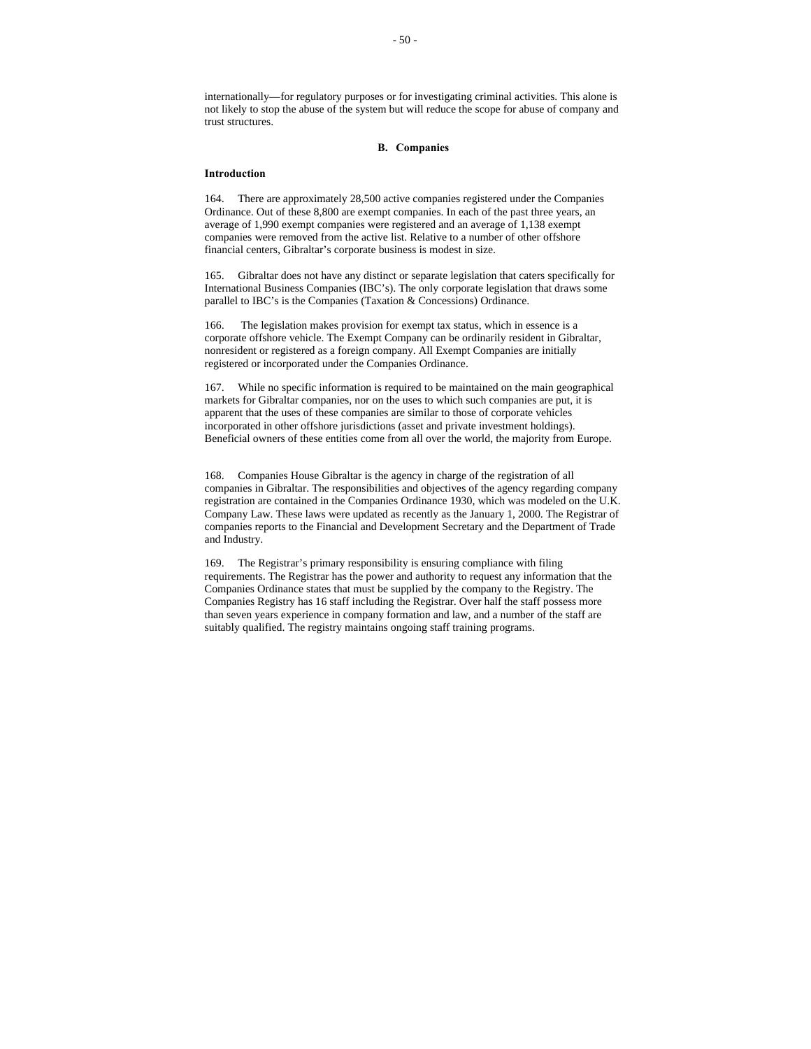internationally—for regulatory purposes or for investigating criminal activities. This alone is not likely to stop the abuse of the system but will reduce the scope for abuse of company and trust structures.

# **B. Companies**

## **Introduction**

164. There are approximately 28,500 active companies registered under the Companies Ordinance. Out of these 8,800 are exempt companies. In each of the past three years, an average of 1,990 exempt companies were registered and an average of 1,138 exempt companies were removed from the active list. Relative to a number of other offshore financial centers, Gibraltar's corporate business is modest in size.

165. Gibraltar does not have any distinct or separate legislation that caters specifically for International Business Companies (IBC's). The only corporate legislation that draws some parallel to IBC's is the Companies (Taxation & Concessions) Ordinance.

166. The legislation makes provision for exempt tax status, which in essence is a corporate offshore vehicle. The Exempt Company can be ordinarily resident in Gibraltar, nonresident or registered as a foreign company. All Exempt Companies are initially registered or incorporated under the Companies Ordinance.

167. While no specific information is required to be maintained on the main geographical markets for Gibraltar companies, nor on the uses to which such companies are put, it is apparent that the uses of these companies are similar to those of corporate vehicles incorporated in other offshore jurisdictions (asset and private investment holdings). Beneficial owners of these entities come from all over the world, the majority from Europe.

168. Companies House Gibraltar is the agency in charge of the registration of all companies in Gibraltar. The responsibilities and objectives of the agency regarding company registration are contained in the Companies Ordinance 1930, which was modeled on the U.K. Company Law. These laws were updated as recently as the January 1, 2000. The Registrar of companies reports to the Financial and Development Secretary and the Department of Trade and Industry.

169. The Registrar's primary responsibility is ensuring compliance with filing requirements. The Registrar has the power and authority to request any information that the Companies Ordinance states that must be supplied by the company to the Registry. The Companies Registry has 16 staff including the Registrar. Over half the staff possess more than seven years experience in company formation and law, and a number of the staff are suitably qualified. The registry maintains ongoing staff training programs.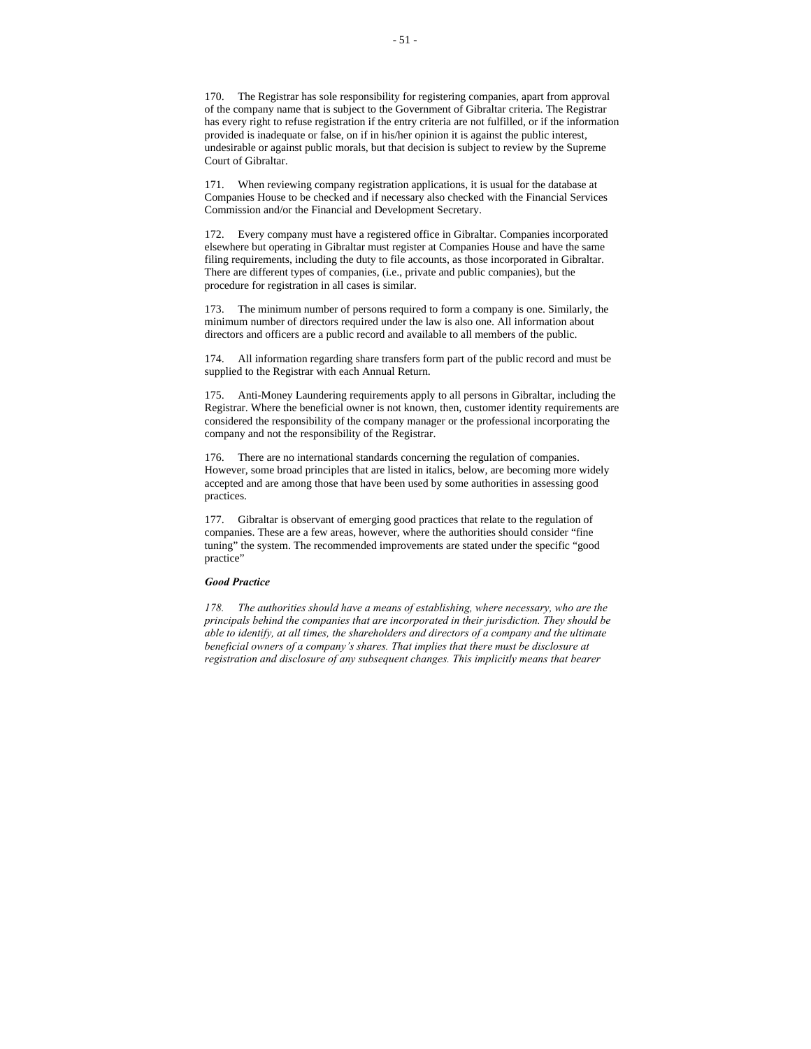170. The Registrar has sole responsibility for registering companies, apart from approval of the company name that is subject to the Government of Gibraltar criteria. The Registrar has every right to refuse registration if the entry criteria are not fulfilled, or if the information provided is inadequate or false, on if in his/her opinion it is against the public interest, undesirable or against public morals, but that decision is subject to review by the Supreme Court of Gibraltar.

171. When reviewing company registration applications, it is usual for the database at Companies House to be checked and if necessary also checked with the Financial Services Commission and/or the Financial and Development Secretary.

172. Every company must have a registered office in Gibraltar. Companies incorporated elsewhere but operating in Gibraltar must register at Companies House and have the same filing requirements, including the duty to file accounts, as those incorporated in Gibraltar. There are different types of companies, (i.e., private and public companies), but the procedure for registration in all cases is similar.

173. The minimum number of persons required to form a company is one. Similarly, the minimum number of directors required under the law is also one. All information about directors and officers are a public record and available to all members of the public.

174. All information regarding share transfers form part of the public record and must be supplied to the Registrar with each Annual Return.

175. Anti-Money Laundering requirements apply to all persons in Gibraltar, including the Registrar. Where the beneficial owner is not known, then, customer identity requirements are considered the responsibility of the company manager or the professional incorporating the company and not the responsibility of the Registrar.

176. There are no international standards concerning the regulation of companies. However, some broad principles that are listed in italics, below, are becoming more widely accepted and are among those that have been used by some authorities in assessing good practices.

177. Gibraltar is observant of emerging good practices that relate to the regulation of companies. These are a few areas, however, where the authorities should consider "fine tuning" the system. The recommended improvements are stated under the specific "good practice"

# *Good Practice*

*178. The authorities should have a means of establishing, where necessary, who are the principals behind the companies that are incorporated in their jurisdiction. They should be able to identify, at all times, the shareholders and directors of a company and the ultimate beneficial owners of a company's shares. That implies that there must be disclosure at registration and disclosure of any subsequent changes. This implicitly means that bearer*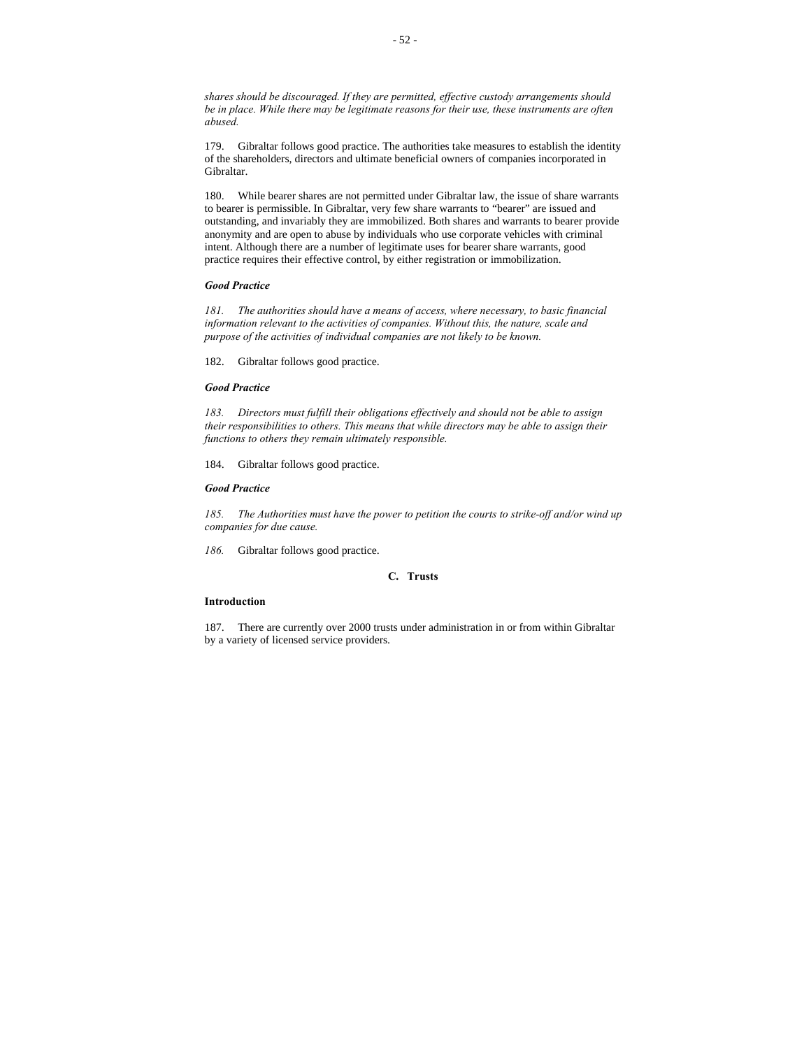*shares should be discouraged. If they are permitted, effective custody arrangements should be in place. While there may be legitimate reasons for their use, these instruments are often abused.*

179. Gibraltar follows good practice. The authorities take measures to establish the identity of the shareholders, directors and ultimate beneficial owners of companies incorporated in Gibraltar.

180. While bearer shares are not permitted under Gibraltar law, the issue of share warrants to bearer is permissible. In Gibraltar, very few share warrants to "bearer" are issued and outstanding, and invariably they are immobilized. Both shares and warrants to bearer provide anonymity and are open to abuse by individuals who use corporate vehicles with criminal intent. Although there are a number of legitimate uses for bearer share warrants, good practice requires their effective control, by either registration or immobilization.

# *Good Practice*

*181. The authorities should have a means of access, where necessary, to basic financial information relevant to the activities of companies. Without this, the nature, scale and purpose of the activities of individual companies are not likely to be known.*

182. Gibraltar follows good practice.

#### *Good Practice*

*183. Directors must fulfill their obligations effectively and should not be able to assign their responsibilities to others. This means that while directors may be able to assign their functions to others they remain ultimately responsible.*

184. Gibraltar follows good practice.

## *Good Practice*

*185. The Authorities must have the power to petition the courts to strike-off and/or wind up companies for due cause.*

*186.* Gibraltar follows good practice.

# **C. Trusts**

#### **Introduction**

187. There are currently over 2000 trusts under administration in or from within Gibraltar by a variety of licensed service providers.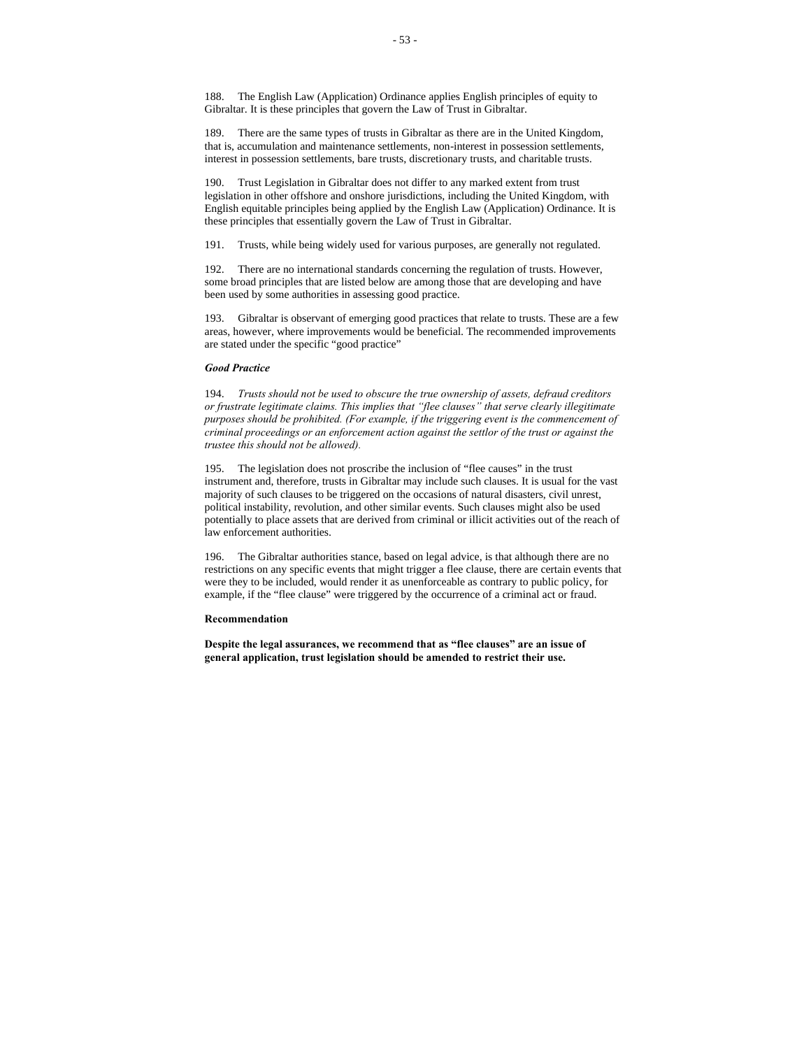188. The English Law (Application) Ordinance applies English principles of equity to Gibraltar. It is these principles that govern the Law of Trust in Gibraltar.

189. There are the same types of trusts in Gibraltar as there are in the United Kingdom, that is, accumulation and maintenance settlements, non-interest in possession settlements, interest in possession settlements, bare trusts, discretionary trusts, and charitable trusts.

190. Trust Legislation in Gibraltar does not differ to any marked extent from trust legislation in other offshore and onshore jurisdictions, including the United Kingdom, with English equitable principles being applied by the English Law (Application) Ordinance. It is these principles that essentially govern the Law of Trust in Gibraltar.

191. Trusts, while being widely used for various purposes, are generally not regulated.

192. There are no international standards concerning the regulation of trusts. However, some broad principles that are listed below are among those that are developing and have been used by some authorities in assessing good practice.

193. Gibraltar is observant of emerging good practices that relate to trusts. These are a few areas, however, where improvements would be beneficial. The recommended improvements are stated under the specific "good practice"

#### *Good Practice*

194. *Trusts should not be used to obscure the true ownership of assets, defraud creditors or frustrate legitimate claims. This implies that "flee clauses" that serve clearly illegitimate purposes should be prohibited. (For example, if the triggering event is the commencement of criminal proceedings or an enforcement action against the settlor of the trust or against the trustee this should not be allowed).*

195. The legislation does not proscribe the inclusion of "flee causes" in the trust instrument and, therefore, trusts in Gibraltar may include such clauses. It is usual for the vast majority of such clauses to be triggered on the occasions of natural disasters, civil unrest, political instability, revolution, and other similar events. Such clauses might also be used potentially to place assets that are derived from criminal or illicit activities out of the reach of law enforcement authorities.

196. The Gibraltar authorities stance, based on legal advice, is that although there are no restrictions on any specific events that might trigger a flee clause, there are certain events that were they to be included, would render it as unenforceable as contrary to public policy, for example, if the "flee clause" were triggered by the occurrence of a criminal act or fraud.

### **Recommendation**

**Despite the legal assurances, we recommend that as "flee clauses" are an issue of general application, trust legislation should be amended to restrict their use.**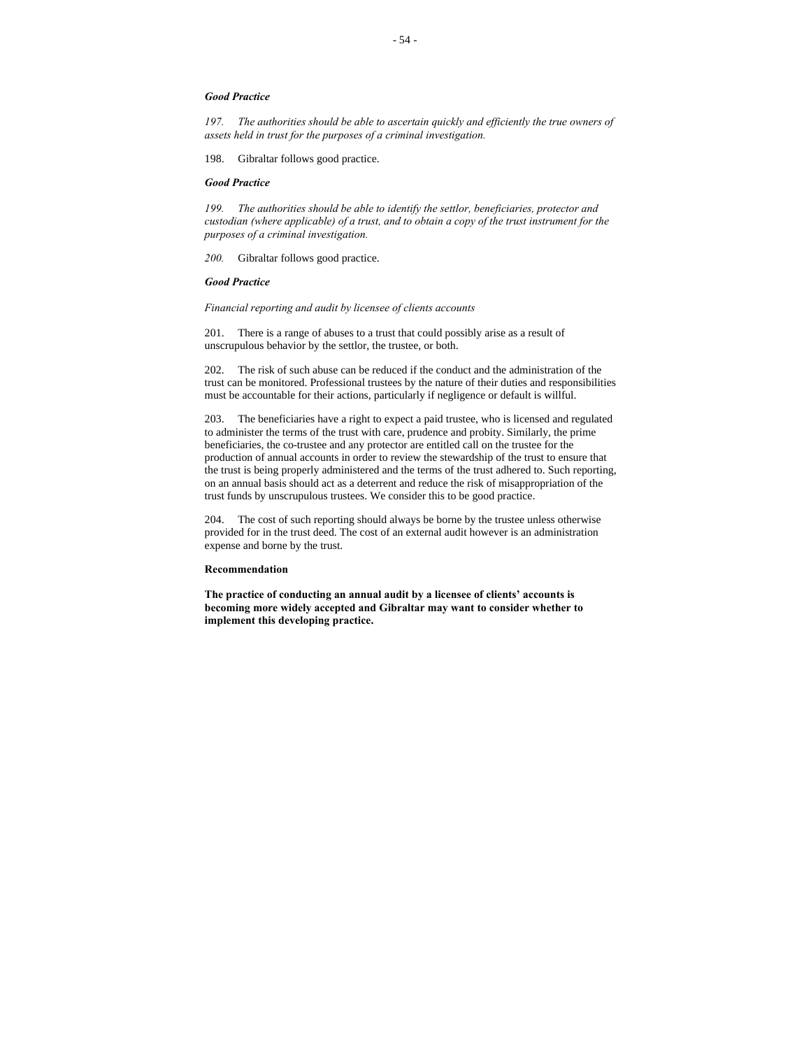# *Good Practice*

*197. The authorities should be able to ascertain quickly and efficiently the true owners of assets held in trust for the purposes of a criminal investigation.*

198. Gibraltar follows good practice.

# *Good Practice*

*199. The authorities should be able to identify the settlor, beneficiaries, protector and custodian (where applicable) of a trust, and to obtain a copy of the trust instrument for the purposes of a criminal investigation.*

*200.* Gibraltar follows good practice.

# *Good Practice*

*Financial reporting and audit by licensee of clients accounts*

201. There is a range of abuses to a trust that could possibly arise as a result of unscrupulous behavior by the settlor, the trustee, or both.

202. The risk of such abuse can be reduced if the conduct and the administration of the trust can be monitored. Professional trustees by the nature of their duties and responsibilities must be accountable for their actions, particularly if negligence or default is willful.

203. The beneficiaries have a right to expect a paid trustee, who is licensed and regulated to administer the terms of the trust with care, prudence and probity. Similarly, the prime beneficiaries, the co-trustee and any protector are entitled call on the trustee for the production of annual accounts in order to review the stewardship of the trust to ensure that the trust is being properly administered and the terms of the trust adhered to. Such reporting, on an annual basis should act as a deterrent and reduce the risk of misappropriation of the trust funds by unscrupulous trustees. We consider this to be good practice.

204. The cost of such reporting should always be borne by the trustee unless otherwise provided for in the trust deed. The cost of an external audit however is an administration expense and borne by the trust.

#### **Recommendation**

**The practice of conducting an annual audit by a licensee of clients' accounts is becoming more widely accepted and Gibraltar may want to consider whether to implement this developing practice.**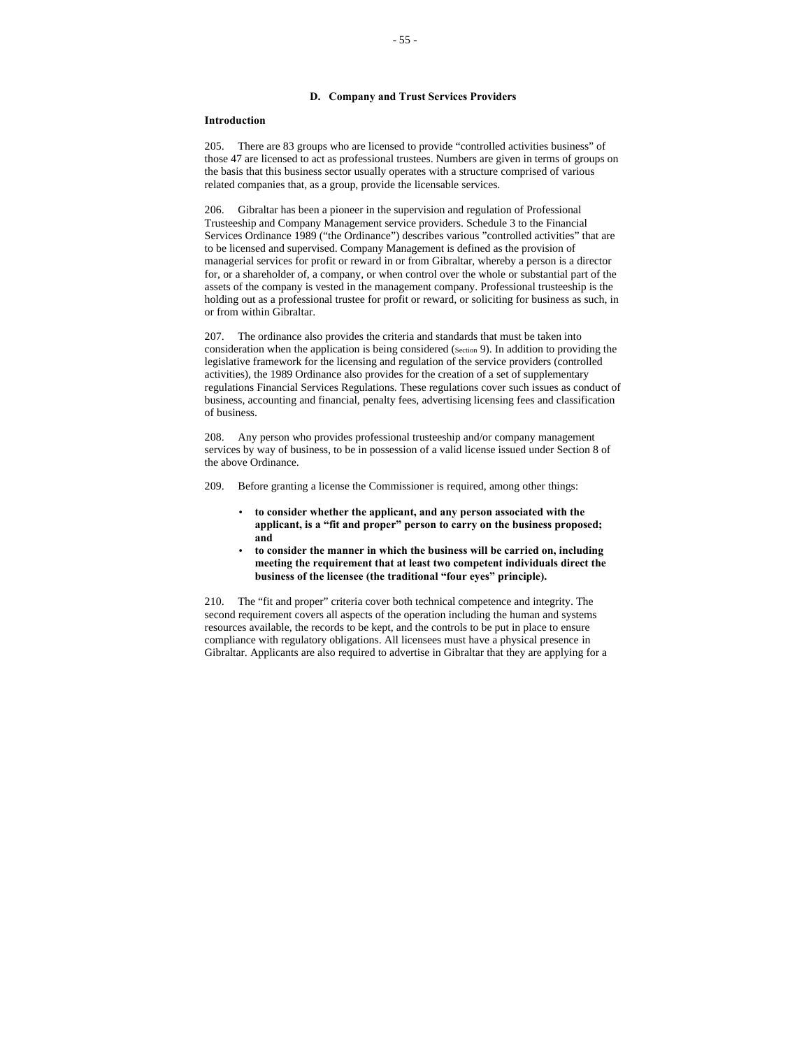# **D. Company and Trust Services Providers**

#### **Introduction**

205. There are 83 groups who are licensed to provide "controlled activities business" of those 47 are licensed to act as professional trustees. Numbers are given in terms of groups on the basis that this business sector usually operates with a structure comprised of various related companies that, as a group, provide the licensable services.

206. Gibraltar has been a pioneer in the supervision and regulation of Professional Trusteeship and Company Management service providers. Schedule 3 to the Financial Services Ordinance 1989 ("the Ordinance") describes various "controlled activities" that are to be licensed and supervised. Company Management is defined as the provision of managerial services for profit or reward in or from Gibraltar, whereby a person is a director for, or a shareholder of, a company, or when control over the whole or substantial part of the assets of the company is vested in the management company. Professional trusteeship is the holding out as a professional trustee for profit or reward, or soliciting for business as such, in or from within Gibraltar.

207. The ordinance also provides the criteria and standards that must be taken into consideration when the application is being considered (Section 9). In addition to providing the legislative framework for the licensing and regulation of the service providers (controlled activities), the 1989 Ordinance also provides for the creation of a set of supplementary regulations Financial Services Regulations. These regulations cover such issues as conduct of business, accounting and financial, penalty fees, advertising licensing fees and classification of business.

208. Any person who provides professional trusteeship and/or company management services by way of business, to be in possession of a valid license issued under Section 8 of the above Ordinance.

209. Before granting a license the Commissioner is required, among other things:

- **to consider whether the applicant, and any person associated with the applicant, is a "fit and proper" person to carry on the business proposed; and**
- **to consider the manner in which the business will be carried on, including meeting the requirement that at least two competent individuals direct the business of the licensee (the traditional "four eyes" principle).**

210. The "fit and proper" criteria cover both technical competence and integrity. The second requirement covers all aspects of the operation including the human and systems resources available, the records to be kept, and the controls to be put in place to ensure compliance with regulatory obligations. All licensees must have a physical presence in Gibraltar. Applicants are also required to advertise in Gibraltar that they are applying for a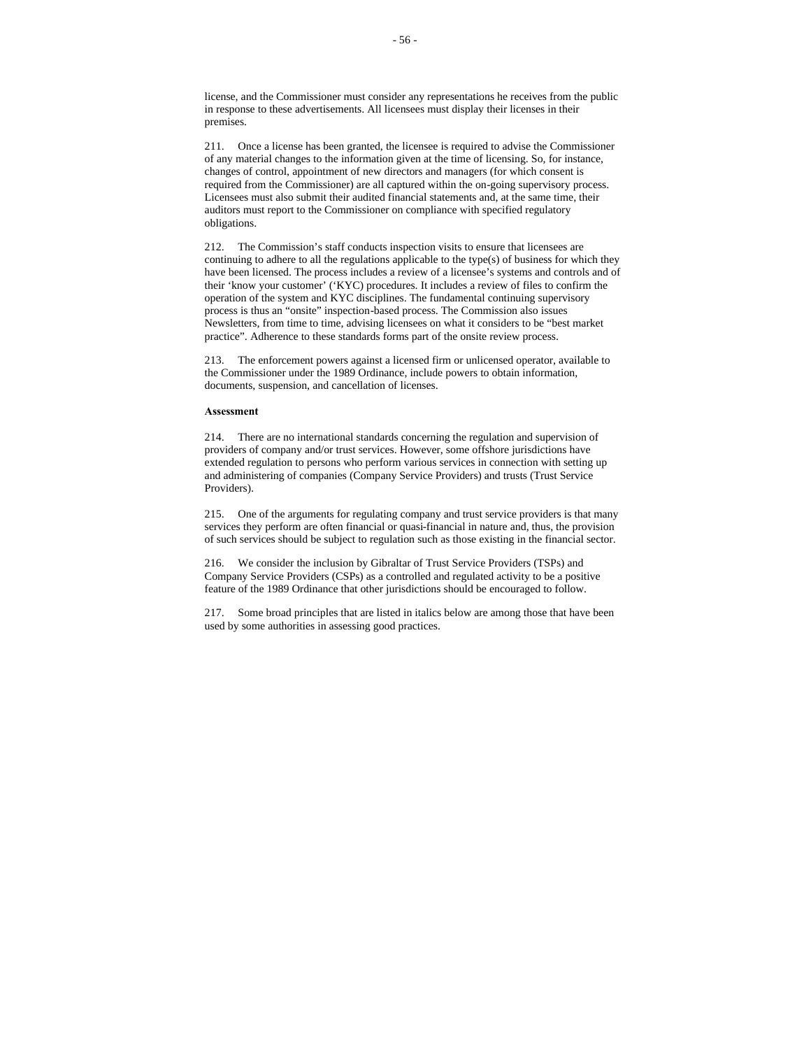license, and the Commissioner must consider any representations he receives from the public in response to these advertisements. All licensees must display their licenses in their premises.

211. Once a license has been granted, the licensee is required to advise the Commissioner of any material changes to the information given at the time of licensing. So, for instance, changes of control, appointment of new directors and managers (for which consent is required from the Commissioner) are all captured within the on-going supervisory process. Licensees must also submit their audited financial statements and, at the same time, their auditors must report to the Commissioner on compliance with specified regulatory obligations.

212. The Commission's staff conducts inspection visits to ensure that licensees are continuing to adhere to all the regulations applicable to the type(s) of business for which they have been licensed. The process includes a review of a licensee's systems and controls and of their 'know your customer' ('KYC) procedures. It includes a review of files to confirm the operation of the system and KYC disciplines. The fundamental continuing supervisory process is thus an "onsite" inspection-based process. The Commission also issues Newsletters, from time to time, advising licensees on what it considers to be "best market practice". Adherence to these standards forms part of the onsite review process.

213. The enforcement powers against a licensed firm or unlicensed operator, available to the Commissioner under the 1989 Ordinance, include powers to obtain information, documents, suspension, and cancellation of licenses.

#### **Assessment**

214. There are no international standards concerning the regulation and supervision of providers of company and/or trust services. However, some offshore jurisdictions have extended regulation to persons who perform various services in connection with setting up and administering of companies (Company Service Providers) and trusts (Trust Service Providers).

215. One of the arguments for regulating company and trust service providers is that many services they perform are often financial or quasi-financial in nature and, thus, the provision of such services should be subject to regulation such as those existing in the financial sector.

216. We consider the inclusion by Gibraltar of Trust Service Providers (TSPs) and Company Service Providers (CSPs) as a controlled and regulated activity to be a positive feature of the 1989 Ordinance that other jurisdictions should be encouraged to follow.

217. Some broad principles that are listed in italics below are among those that have been used by some authorities in assessing good practices.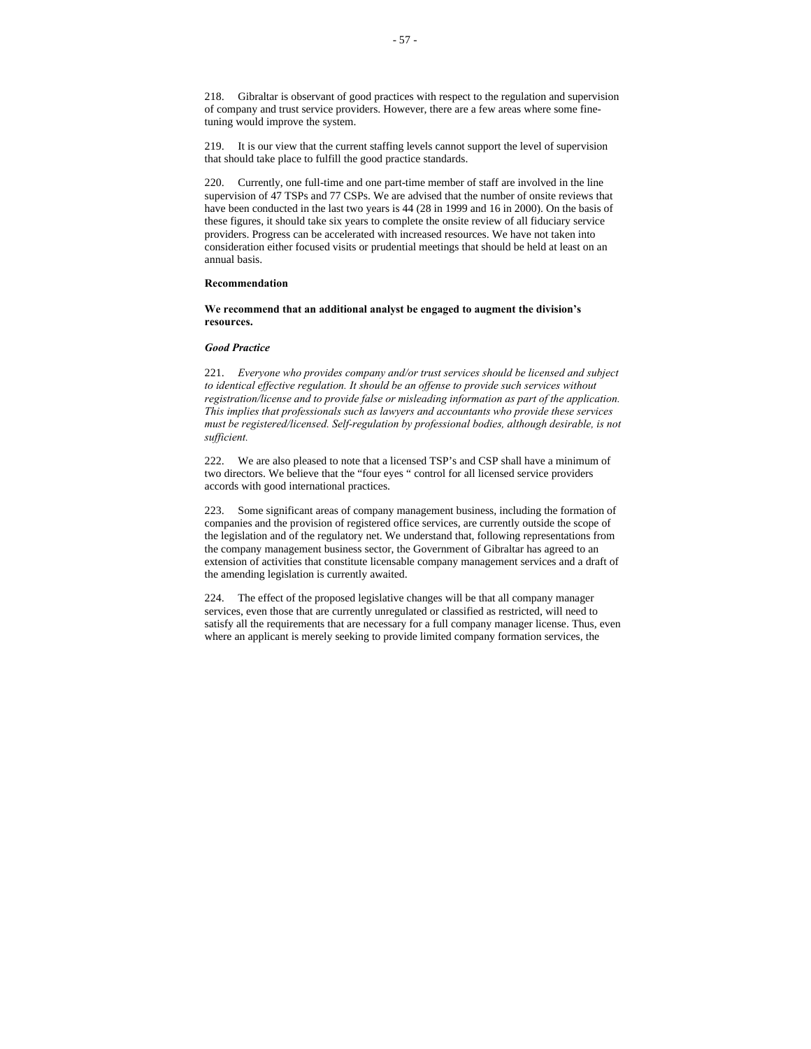218. Gibraltar is observant of good practices with respect to the regulation and supervision of company and trust service providers. However, there are a few areas where some finetuning would improve the system.

219. It is our view that the current staffing levels cannot support the level of supervision that should take place to fulfill the good practice standards.

220. Currently, one full-time and one part-time member of staff are involved in the line supervision of 47 TSPs and 77 CSPs. We are advised that the number of onsite reviews that have been conducted in the last two years is 44 (28 in 1999 and 16 in 2000). On the basis of these figures, it should take six years to complete the onsite review of all fiduciary service providers. Progress can be accelerated with increased resources. We have not taken into consideration either focused visits or prudential meetings that should be held at least on an annual basis.

# **Recommendation**

**We recommend that an additional analyst be engaged to augment the division's resources.**

# *Good Practice*

221. *Everyone who provides company and/or trust services should be licensed and subject to identical effective regulation. It should be an offense to provide such services without registration/license and to provide false or misleading information as part of the application. This implies that professionals such as lawyers and accountants who provide these services must be registered/licensed. Self-regulation by professional bodies, although desirable, is not sufficient.*

222. We are also pleased to note that a licensed TSP's and CSP shall have a minimum of two directors. We believe that the "four eyes " control for all licensed service providers accords with good international practices.

223. Some significant areas of company management business, including the formation of companies and the provision of registered office services, are currently outside the scope of the legislation and of the regulatory net. We understand that, following representations from the company management business sector, the Government of Gibraltar has agreed to an extension of activities that constitute licensable company management services and a draft of the amending legislation is currently awaited.

224. The effect of the proposed legislative changes will be that all company manager services, even those that are currently unregulated or classified as restricted, will need to satisfy all the requirements that are necessary for a full company manager license. Thus, even where an applicant is merely seeking to provide limited company formation services, the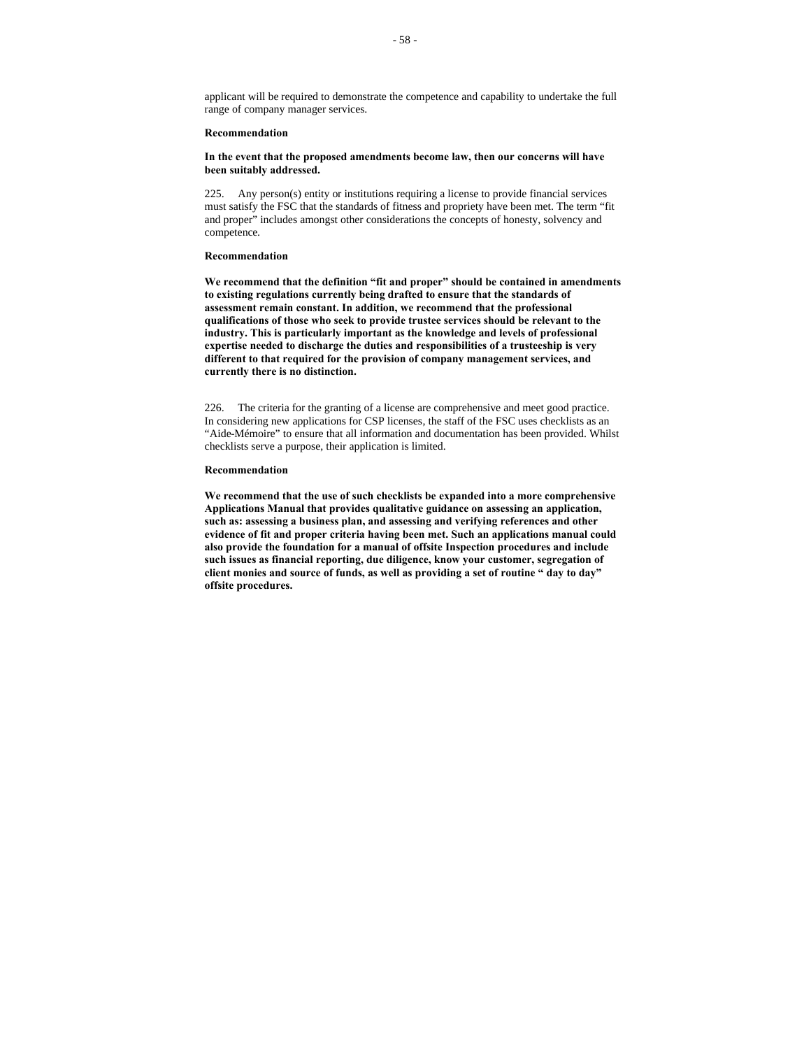applicant will be required to demonstrate the competence and capability to undertake the full range of company manager services.

## **Recommendation**

### **In the event that the proposed amendments become law, then our concerns will have been suitably addressed.**

225. Any person(s) entity or institutions requiring a license to provide financial services must satisfy the FSC that the standards of fitness and propriety have been met. The term "fit and proper" includes amongst other considerations the concepts of honesty, solvency and competence.

### **Recommendation**

**We recommend that the definition "fit and proper" should be contained in amendments to existing regulations currently being drafted to ensure that the standards of assessment remain constant. In addition, we recommend that the professional qualifications of those who seek to provide trustee services should be relevant to the industry. This is particularly important as the knowledge and levels of professional expertise needed to discharge the duties and responsibilities of a trusteeship is very different to that required for the provision of company management services, and currently there is no distinction.**

226. The criteria for the granting of a license are comprehensive and meet good practice. In considering new applications for CSP licenses, the staff of the FSC uses checklists as an "Aide-Mémoire" to ensure that all information and documentation has been provided. Whilst checklists serve a purpose, their application is limited.

#### **Recommendation**

**We recommend that the use of such checklists be expanded into a more comprehensive Applications Manual that provides qualitative guidance on assessing an application, such as: assessing a business plan, and assessing and verifying references and other evidence of fit and proper criteria having been met. Such an applications manual could also provide the foundation for a manual of offsite Inspection procedures and include such issues as financial reporting, due diligence, know your customer, segregation of client monies and source of funds, as well as providing a set of routine " day to day" offsite procedures.**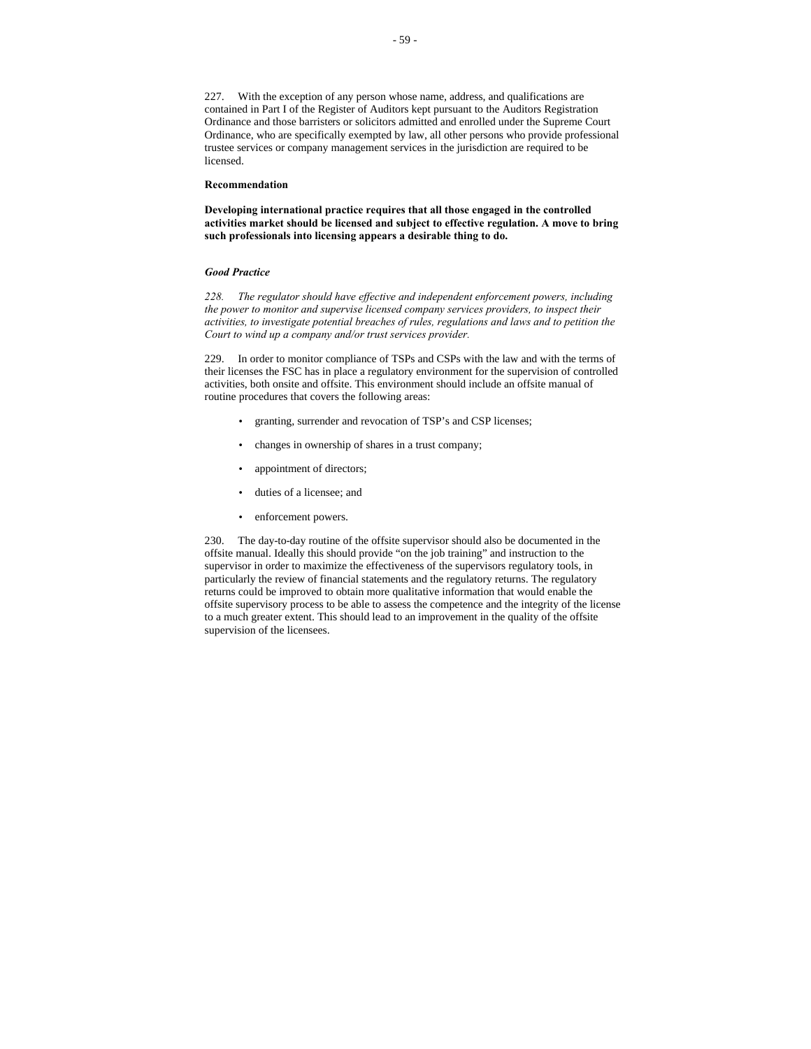227. With the exception of any person whose name, address, and qualifications are contained in Part I of the Register of Auditors kept pursuant to the Auditors Registration Ordinance and those barristers or solicitors admitted and enrolled under the Supreme Court Ordinance, who are specifically exempted by law, all other persons who provide professional trustee services or company management services in the jurisdiction are required to be licensed.

#### **Recommendation**

**Developing international practice requires that all those engaged in the controlled activities market should be licensed and subject to effective regulation. A move to bring such professionals into licensing appears a desirable thing to do.** 

#### *Good Practice*

*228. The regulator should have effective and independent enforcement powers, including the power to monitor and supervise licensed company services providers, to inspect their activities, to investigate potential breaches of rules, regulations and laws and to petition the Court to wind up a company and/or trust services provider.*

229. In order to monitor compliance of TSPs and CSPs with the law and with the terms of their licenses the FSC has in place a regulatory environment for the supervision of controlled activities, both onsite and offsite. This environment should include an offsite manual of routine procedures that covers the following areas:

- granting, surrender and revocation of TSP's and CSP licenses;
- changes in ownership of shares in a trust company;
- appointment of directors;
- duties of a licensee; and
- enforcement powers.

230. The day-to-day routine of the offsite supervisor should also be documented in the offsite manual. Ideally this should provide "on the job training" and instruction to the supervisor in order to maximize the effectiveness of the supervisors regulatory tools, in particularly the review of financial statements and the regulatory returns. The regulatory returns could be improved to obtain more qualitative information that would enable the offsite supervisory process to be able to assess the competence and the integrity of the license to a much greater extent. This should lead to an improvement in the quality of the offsite supervision of the licensees.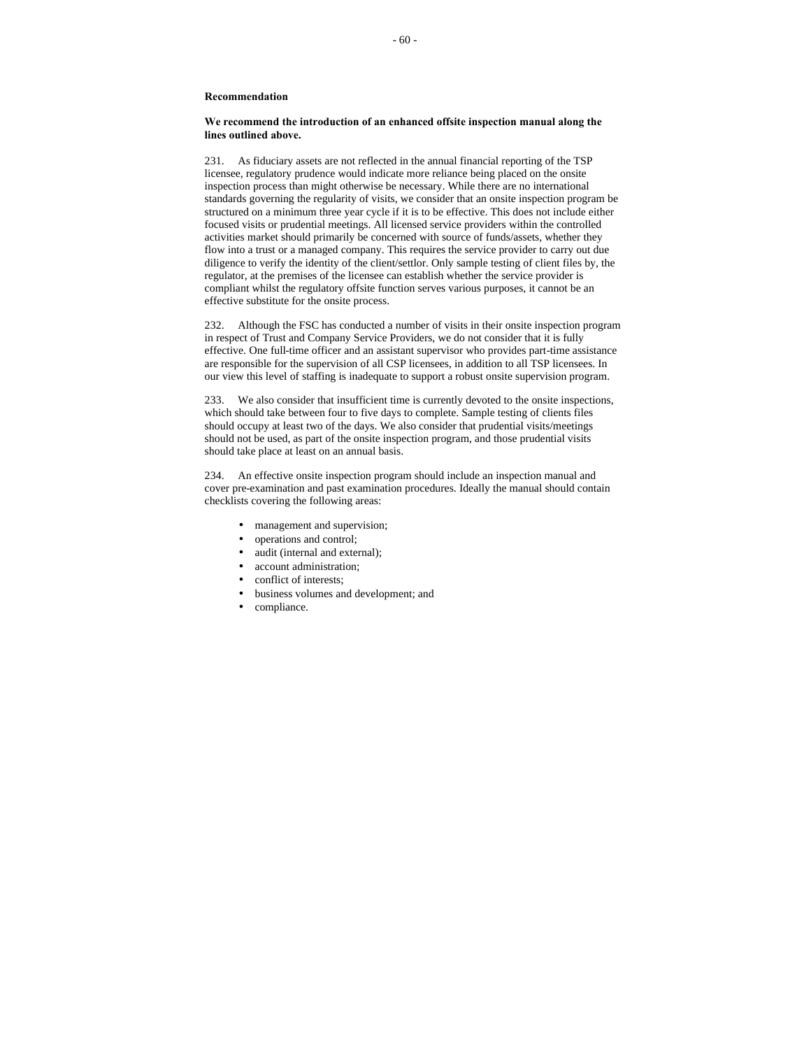# **We recommend the introduction of an enhanced offsite inspection manual along the lines outlined above.**

231. As fiduciary assets are not reflected in the annual financial reporting of the TSP licensee, regulatory prudence would indicate more reliance being placed on the onsite inspection process than might otherwise be necessary. While there are no international standards governing the regularity of visits, we consider that an onsite inspection program be structured on a minimum three year cycle if it is to be effective. This does not include either focused visits or prudential meetings. All licensed service providers within the controlled activities market should primarily be concerned with source of funds/assets, whether they flow into a trust or a managed company. This requires the service provider to carry out due diligence to verify the identity of the client/settlor. Only sample testing of client files by, the regulator, at the premises of the licensee can establish whether the service provider is compliant whilst the regulatory offsite function serves various purposes, it cannot be an effective substitute for the onsite process.

232. Although the FSC has conducted a number of visits in their onsite inspection program in respect of Trust and Company Service Providers, we do not consider that it is fully effective. One full-time officer and an assistant supervisor who provides part-time assistance are responsible for the supervision of all CSP licensees, in addition to all TSP licensees. In our view this level of staffing is inadequate to support a robust onsite supervision program.

233. We also consider that insufficient time is currently devoted to the onsite inspections, which should take between four to five days to complete. Sample testing of clients files should occupy at least two of the days. We also consider that prudential visits/meetings should not be used, as part of the onsite inspection program, and those prudential visits should take place at least on an annual basis.

234. An effective onsite inspection program should include an inspection manual and cover pre-examination and past examination procedures. Ideally the manual should contain checklists covering the following areas:

- management and supervision;
- operations and control;
- audit (internal and external);
- account administration;
- conflict of interests;
- business volumes and development; and
- compliance.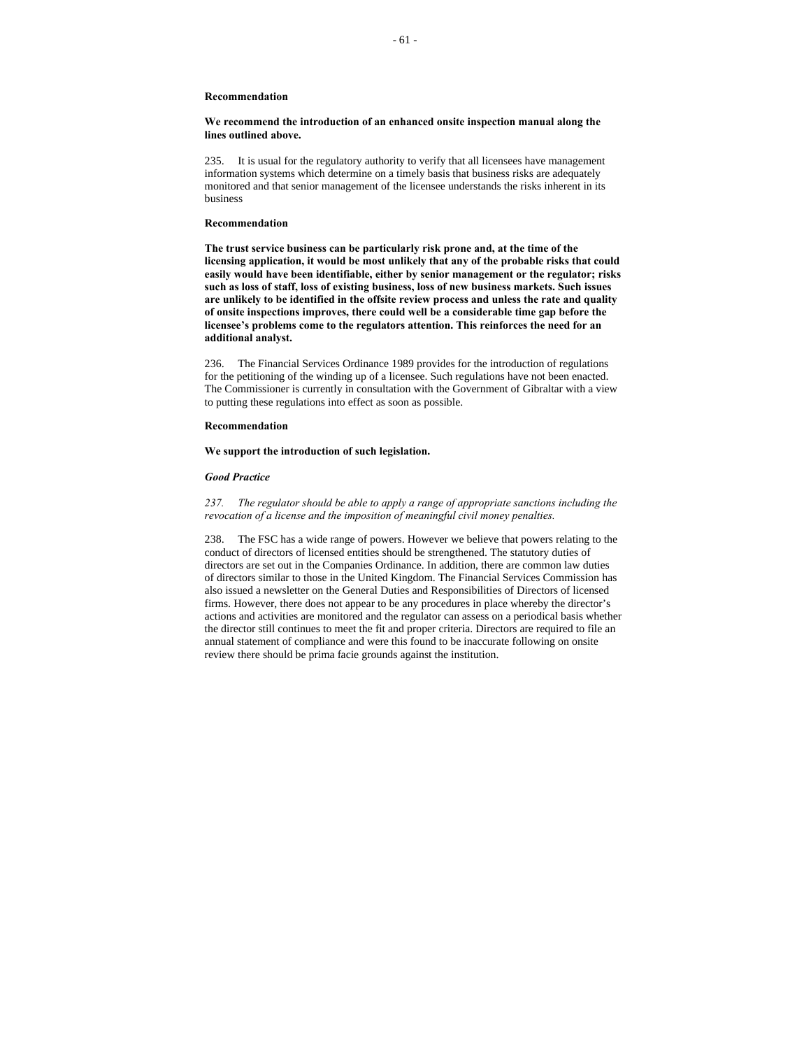# **We recommend the introduction of an enhanced onsite inspection manual along the lines outlined above.**

235. It is usual for the regulatory authority to verify that all licensees have management information systems which determine on a timely basis that business risks are adequately monitored and that senior management of the licensee understands the risks inherent in its business

#### **Recommendation**

**The trust service business can be particularly risk prone and, at the time of the licensing application, it would be most unlikely that any of the probable risks that could easily would have been identifiable, either by senior management or the regulator; risks such as loss of staff, loss of existing business, loss of new business markets. Such issues are unlikely to be identified in the offsite review process and unless the rate and quality of onsite inspections improves, there could well be a considerable time gap before the licensee's problems come to the regulators attention. This reinforces the need for an additional analyst.**

236. The Financial Services Ordinance 1989 provides for the introduction of regulations for the petitioning of the winding up of a licensee. Such regulations have not been enacted. The Commissioner is currently in consultation with the Government of Gibraltar with a view to putting these regulations into effect as soon as possible.

#### **Recommendation**

#### **We support the introduction of such legislation.**

#### *Good Practice*

*237. The regulator should be able to apply a range of appropriate sanctions including the revocation of a license and the imposition of meaningful civil money penalties.*

238. The FSC has a wide range of powers. However we believe that powers relating to the conduct of directors of licensed entities should be strengthened. The statutory duties of directors are set out in the Companies Ordinance. In addition, there are common law duties of directors similar to those in the United Kingdom. The Financial Services Commission has also issued a newsletter on the General Duties and Responsibilities of Directors of licensed firms. However, there does not appear to be any procedures in place whereby the director's actions and activities are monitored and the regulator can assess on a periodical basis whether the director still continues to meet the fit and proper criteria. Directors are required to file an annual statement of compliance and were this found to be inaccurate following on onsite review there should be prima facie grounds against the institution.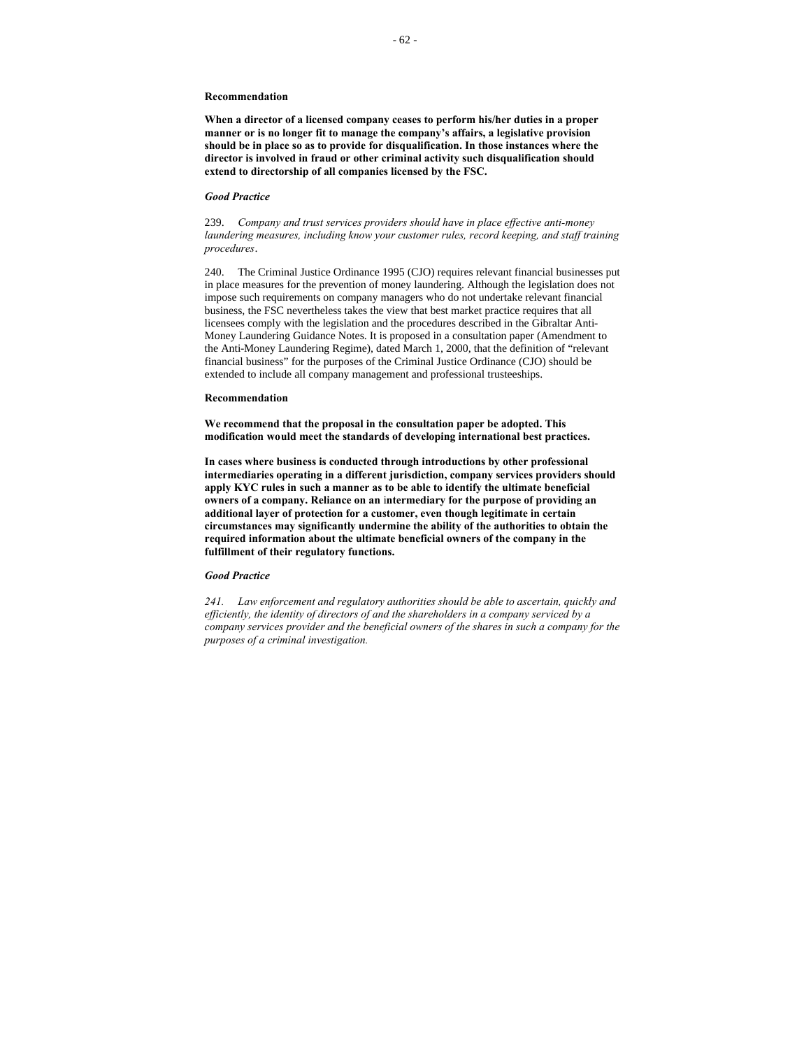**When a director of a licensed company ceases to perform his/her duties in a proper manner or is no longer fit to manage the company's affairs, a legislative provision should be in place so as to provide for disqualification. In those instances where the director is involved in fraud or other criminal activity such disqualification should extend to directorship of all companies licensed by the FSC.**

# *Good Practice*

239. *Company and trust services providers should have in place effective anti-money laundering measures, including know your customer rules, record keeping, and staff training procedures*.

240. The Criminal Justice Ordinance 1995 (CJO) requires relevant financial businesses put in place measures for the prevention of money laundering. Although the legislation does not impose such requirements on company managers who do not undertake relevant financial business, the FSC nevertheless takes the view that best market practice requires that all licensees comply with the legislation and the procedures described in the Gibraltar Anti-Money Laundering Guidance Notes. It is proposed in a consultation paper (Amendment to the Anti-Money Laundering Regime), dated March 1, 2000, that the definition of "relevant financial business" for the purposes of the Criminal Justice Ordinance (CJO) should be extended to include all company management and professional trusteeships.

#### **Recommendation**

**We recommend that the proposal in the consultation paper be adopted. This modification would meet the standards of developing international best practices.**

**In cases where business is conducted through introductions by other professional intermediaries operating in a different jurisdiction, company services providers should apply KYC rules in such a manner as to be able to identify the ultimate beneficial owners of a company. Reliance on an** i**ntermediary for the purpose of providing an additional layer of protection for a customer, even though legitimate in certain circumstances may significantly undermine the ability of the authorities to obtain the required information about the ultimate beneficial owners of the company in the fulfillment of their regulatory functions.**

#### *Good Practice*

*241. Law enforcement and regulatory authorities should be able to ascertain, quickly and efficiently, the identity of directors of and the shareholders in a company serviced by a company services provider and the beneficial owners of the shares in such a company for the purposes of a criminal investigation.*